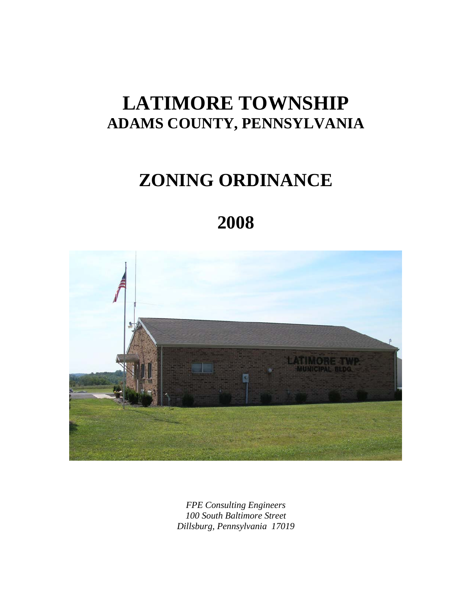# **LATIMORE TOWNSHIP ADAMS COUNTY, PENNSYLVANIA**

# **ZONING ORDINANCE**

# **2008**



*FPE Consulting Engineers 100 South Baltimore Street Dillsburg, Pennsylvania 17019*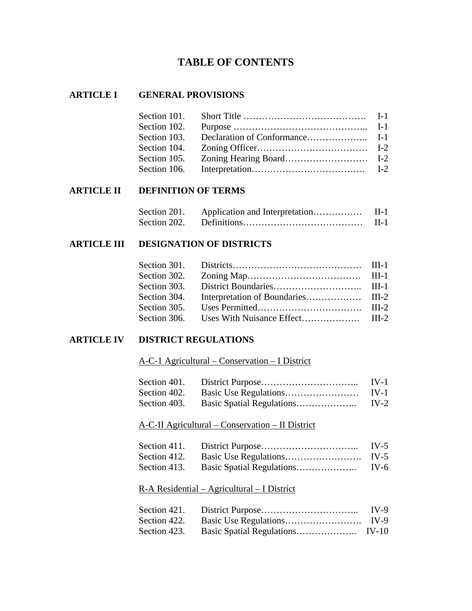# **TABLE OF CONTENTS**

## **ARTICLE I GENERAL PROVISIONS**

#### **ARTICLE II DEFINITION OF TERMS**

|  | $II-1$   |
|--|----------|
|  | $\Pi$ -1 |

## **ARTICLE III DESIGNATION OF DISTRICTS**

### **ARTICLE IV DISTRICT REGULATIONS**

A-C-1 Agricultural – Conservation – I District

| Section 401. | $IV-1$ |
|--------------|--------|
|              | $IV-1$ |
| Section 403. | IV-2   |

## A-C-II Agricultural – Conservation – II District

|  | IV-5   |
|--|--------|
|  |        |
|  | $IV-6$ |

R-A Residential – Agricultural – I District

|  | $IV-9$ |
|--|--------|
|  |        |
|  |        |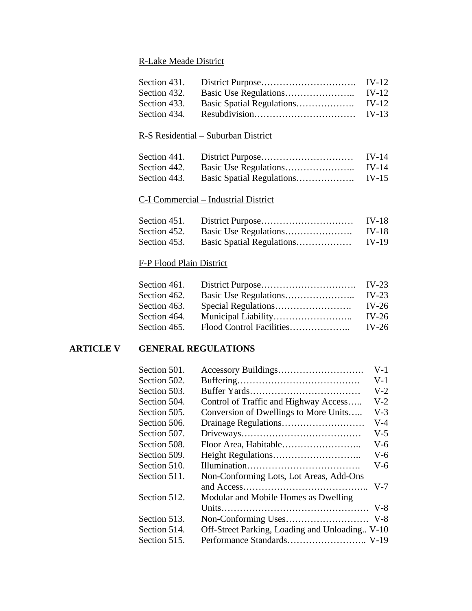# R-Lake Meade District

# R-S Residential – Suburban District

| Section 441. | <b>IV-14</b> |
|--------------|--------------|
| Section 442. | IV-14        |
| Section 443. | IV-15        |

# C-I Commercial – Industrial District

|  | IV-18 |
|--|-------|
|  | IV-18 |
|  | IV-19 |

## F-P Flood Plain District

| Section 461. |         |
|--------------|---------|
| Section 462. | IV-23   |
| Section 463. | IV-26   |
| Section 464. | $IV-26$ |
| Section 465. | $IV-26$ |

## **ARTICLE V GENERAL REGULATIONS**

|                                                | $V-1$ |
|------------------------------------------------|-------|
|                                                | $V-1$ |
|                                                | $V-2$ |
| Control of Traffic and Highway Access          | $V-2$ |
| Conversion of Dwellings to More Units          | $V-3$ |
|                                                | $V-4$ |
|                                                | $V-5$ |
|                                                | $V-6$ |
|                                                | $V-6$ |
|                                                | $V-6$ |
| Non-Conforming Lots, Lot Areas, Add-Ons        |       |
|                                                | $V-7$ |
| Modular and Mobile Homes as Dwelling           |       |
|                                                |       |
|                                                |       |
| Off-Street Parking, Loading and Unloading V-10 |       |
|                                                |       |
|                                                |       |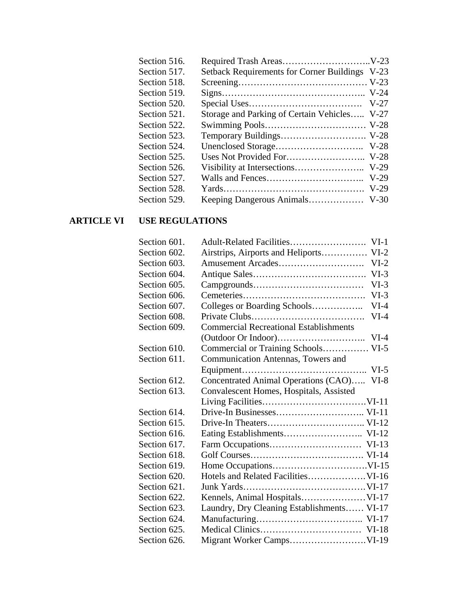| Section 516. |                                                |  |
|--------------|------------------------------------------------|--|
| Section 517. | Setback Requirements for Corner Buildings V-23 |  |
| Section 518. |                                                |  |
| Section 519. |                                                |  |
| Section 520. |                                                |  |
| Section 521. | Storage and Parking of Certain Vehicles V-27   |  |
| Section 522. |                                                |  |
| Section 523. |                                                |  |
| Section 524. |                                                |  |
| Section 525. |                                                |  |
| Section 526. |                                                |  |
| Section 527. |                                                |  |
| Section 528. |                                                |  |
| Section 529. |                                                |  |
|              |                                                |  |

# **ARTICLE VI USE REGULATIONS**

| Section 601. |                                               |
|--------------|-----------------------------------------------|
| Section 602. | Airstrips, Airports and Heliports VI-2        |
| Section 603. | $VI-2$                                        |
| Section 604. | $VI-3$                                        |
| Section 605. | $VI-3$                                        |
| Section 606. | $VI-3$                                        |
| Section 607. | Colleges or Boarding Schools<br>$VI-4$        |
| Section 608. | $VI-4$                                        |
| Section 609. | <b>Commercial Recreational Establishments</b> |
|              |                                               |
| Section 610. | Commercial or Training Schools VI-5           |
| Section 611. | Communication Antennas, Towers and            |
|              | $VI-5$                                        |
| Section 612. | Concentrated Animal Operations (CAO) VI-8     |
| Section 613. | Convalescent Homes, Hospitals, Assisted       |
|              |                                               |
| Section 614. |                                               |
| Section 615. |                                               |
| Section 616. |                                               |
| Section 617. |                                               |
| Section 618. |                                               |
| Section 619. |                                               |
| Section 620. |                                               |
| Section 621. |                                               |
| Section 622. |                                               |
| Section 623. | Laundry, Dry Cleaning Establishments VI-17    |
| Section 624. |                                               |
| Section 625. |                                               |
| Section 626. |                                               |
|              |                                               |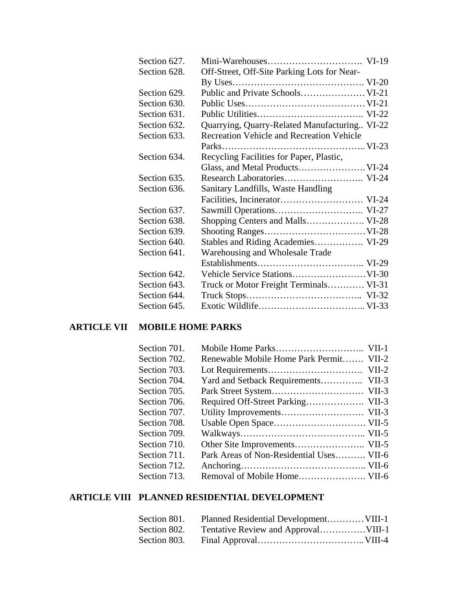| Section 627. |                                                  |  |
|--------------|--------------------------------------------------|--|
| Section 628. | Off-Street, Off-Site Parking Lots for Near-      |  |
|              |                                                  |  |
| Section 629. |                                                  |  |
| Section 630. |                                                  |  |
| Section 631. |                                                  |  |
| Section 632. | Quarrying, Quarry-Related Manufacturing VI-22    |  |
| Section 633. | <b>Recreation Vehicle and Recreation Vehicle</b> |  |
|              |                                                  |  |
| Section 634. | Recycling Facilities for Paper, Plastic,         |  |
|              |                                                  |  |
| Section 635. |                                                  |  |
| Section 636. | Sanitary Landfills, Waste Handling               |  |
|              |                                                  |  |
| Section 637. |                                                  |  |
| Section 638. | Shopping Centers and Malls VI-28                 |  |
| Section 639. |                                                  |  |
| Section 640. | Stables and Riding Academies VI-29               |  |
| Section 641. | Warehousing and Wholesale Trade                  |  |
|              |                                                  |  |
| Section 642. |                                                  |  |
| Section 643. | Truck or Motor Freight Terminals VI-31           |  |
| Section 644. |                                                  |  |
| Section 645. |                                                  |  |

# **ARTICLE VII MOBILE HOME PARKS**

| Section 701. |                                          |  |
|--------------|------------------------------------------|--|
| Section 702. | Renewable Mobile Home Park Permit VII-2  |  |
| Section 703. |                                          |  |
| Section 704. | Yard and Setback Requirements VII-3      |  |
| Section 705. |                                          |  |
| Section 706. |                                          |  |
| Section 707. |                                          |  |
| Section 708. |                                          |  |
| Section 709. |                                          |  |
| Section 710. |                                          |  |
| Section 711. | Park Areas of Non-Residential Uses VII-6 |  |
| Section 712. |                                          |  |
| Section 713. |                                          |  |
|              |                                          |  |

# **ARTICLE VIII PLANNED RESIDENTIAL DEVELOPMENT**

| Section 801. | Planned Residential Development VIII-1 |  |
|--------------|----------------------------------------|--|
|              |                                        |  |
|              |                                        |  |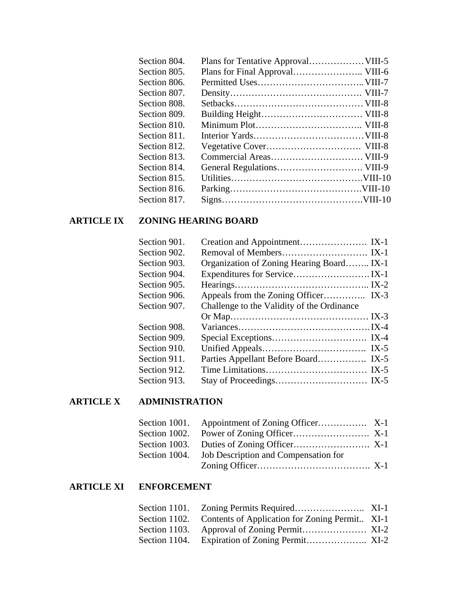| Section 804. |  |
|--------------|--|
| Section 805. |  |
| Section 806. |  |
| Section 807. |  |
| Section 808. |  |
| Section 809. |  |
| Section 810. |  |
| Section 811. |  |
| Section 812. |  |
| Section 813. |  |
| Section 814. |  |
| Section 815. |  |
| Section 816. |  |
| Section 817. |  |
|              |  |

# **ARTICLE IX ZONING HEARING BOARD**

| Section 901. |                                            |
|--------------|--------------------------------------------|
| Section 902. |                                            |
| Section 903. | Organization of Zoning Hearing Board IX-1  |
| Section 904. |                                            |
| Section 905. |                                            |
| Section 906. |                                            |
| Section 907. | Challenge to the Validity of the Ordinance |
|              |                                            |
| Section 908. |                                            |
| Section 909. |                                            |
| Section 910. |                                            |
| Section 911. |                                            |
| Section 912. |                                            |
| Section 913. |                                            |

# **ARTICLE X ADMINISTRATION**

| Section 1004. Job Description and Compensation for |  |
|----------------------------------------------------|--|
|                                                    |  |

# **ARTICLE XI ENFORCEMENT**

|               | Section 1102. Contents of Application for Zoning Permit XI-1 |  |
|---------------|--------------------------------------------------------------|--|
| Section 1103. |                                                              |  |
|               |                                                              |  |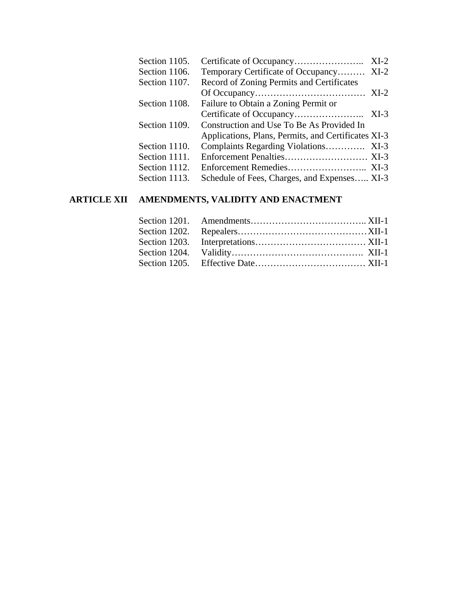| Section 1105. |                                                     | $XI-2$ |
|---------------|-----------------------------------------------------|--------|
| Section 1106. | Temporary Certificate of Occupancy XI-2             |        |
| Section 1107. | Record of Zoning Permits and Certificates           |        |
|               |                                                     |        |
| Section 1108. | Failure to Obtain a Zoning Permit or                |        |
|               |                                                     |        |
| Section 1109. | Construction and Use To Be As Provided In           |        |
|               | Applications, Plans, Permits, and Certificates XI-3 |        |
| Section 1110. |                                                     |        |
| Section 1111. |                                                     |        |
| Section 1112. |                                                     |        |
| Section 1113. | Schedule of Fees, Charges, and Expenses XI-3        |        |
|               |                                                     |        |

# **ARTICLE XII AMENDMENTS, VALIDITY AND ENACTMENT**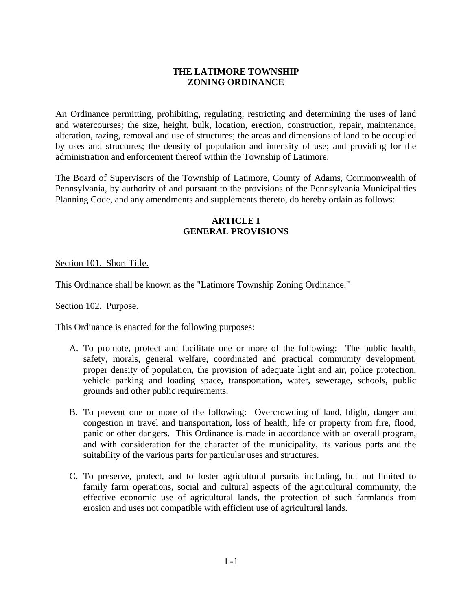## **THE LATIMORE TOWNSHIP ZONING ORDINANCE**

An Ordinance permitting, prohibiting, regulating, restricting and determining the uses of land and watercourses; the size, height, bulk, location, erection, construction, repair, maintenance, alteration, razing, removal and use of structures; the areas and dimensions of land to be occupied by uses and structures; the density of population and intensity of use; and providing for the administration and enforcement thereof within the Township of Latimore.

The Board of Supervisors of the Township of Latimore, County of Adams, Commonwealth of Pennsylvania, by authority of and pursuant to the provisions of the Pennsylvania Municipalities Planning Code, and any amendments and supplements thereto, do hereby ordain as follows:

## **ARTICLE I GENERAL PROVISIONS**

Section 101. Short Title.

This Ordinance shall be known as the "Latimore Township Zoning Ordinance."

Section 102. Purpose.

This Ordinance is enacted for the following purposes:

- A. To promote, protect and facilitate one or more of the following: The public health, safety, morals, general welfare, coordinated and practical community development, proper density of population, the provision of adequate light and air, police protection, vehicle parking and loading space, transportation, water, sewerage, schools, public grounds and other public requirements.
- B. To prevent one or more of the following: Overcrowding of land, blight, danger and congestion in travel and transportation, loss of health, life or property from fire, flood, panic or other dangers. This Ordinance is made in accordance with an overall program, and with consideration for the character of the municipality, its various parts and the suitability of the various parts for particular uses and structures.
- C. To preserve, protect, and to foster agricultural pursuits including, but not limited to family farm operations, social and cultural aspects of the agricultural community, the effective economic use of agricultural lands, the protection of such farmlands from erosion and uses not compatible with efficient use of agricultural lands.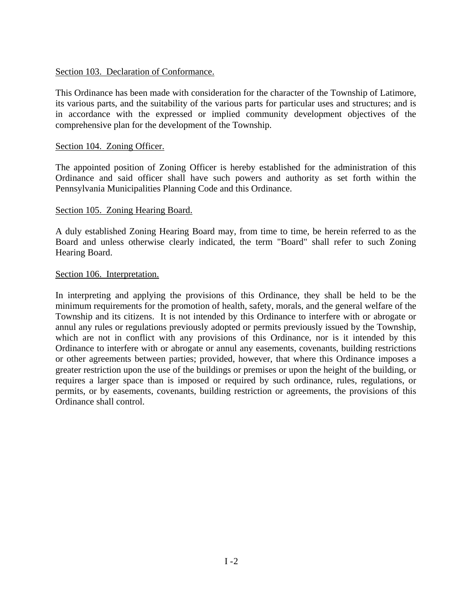#### Section 103. Declaration of Conformance.

This Ordinance has been made with consideration for the character of the Township of Latimore, its various parts, and the suitability of the various parts for particular uses and structures; and is in accordance with the expressed or implied community development objectives of the comprehensive plan for the development of the Township.

#### Section 104. Zoning Officer.

The appointed position of Zoning Officer is hereby established for the administration of this Ordinance and said officer shall have such powers and authority as set forth within the Pennsylvania Municipalities Planning Code and this Ordinance.

#### Section 105. Zoning Hearing Board.

A duly established Zoning Hearing Board may, from time to time, be herein referred to as the Board and unless otherwise clearly indicated, the term "Board" shall refer to such Zoning Hearing Board.

#### Section 106. Interpretation.

In interpreting and applying the provisions of this Ordinance, they shall be held to be the minimum requirements for the promotion of health, safety, morals, and the general welfare of the Township and its citizens. It is not intended by this Ordinance to interfere with or abrogate or annul any rules or regulations previously adopted or permits previously issued by the Township, which are not in conflict with any provisions of this Ordinance, nor is it intended by this Ordinance to interfere with or abrogate or annul any easements, covenants, building restrictions or other agreements between parties; provided, however, that where this Ordinance imposes a greater restriction upon the use of the buildings or premises or upon the height of the building, or requires a larger space than is imposed or required by such ordinance, rules, regulations, or permits, or by easements, covenants, building restriction or agreements, the provisions of this Ordinance shall control.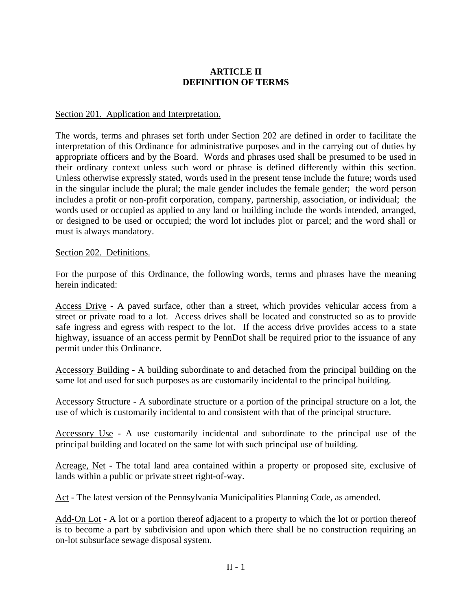# **ARTICLE II DEFINITION OF TERMS**

### Section 201. Application and Interpretation.

The words, terms and phrases set forth under Section 202 are defined in order to facilitate the interpretation of this Ordinance for administrative purposes and in the carrying out of duties by appropriate officers and by the Board. Words and phrases used shall be presumed to be used in their ordinary context unless such word or phrase is defined differently within this section. Unless otherwise expressly stated, words used in the present tense include the future; words used in the singular include the plural; the male gender includes the female gender; the word person includes a profit or non-profit corporation, company, partnership, association, or individual; the words used or occupied as applied to any land or building include the words intended, arranged, or designed to be used or occupied; the word lot includes plot or parcel; and the word shall or must is always mandatory.

### Section 202. Definitions.

For the purpose of this Ordinance, the following words, terms and phrases have the meaning herein indicated:

Access Drive - A paved surface, other than a street, which provides vehicular access from a street or private road to a lot. Access drives shall be located and constructed so as to provide safe ingress and egress with respect to the lot. If the access drive provides access to a state highway, issuance of an access permit by PennDot shall be required prior to the issuance of any permit under this Ordinance.

Accessory Building - A building subordinate to and detached from the principal building on the same lot and used for such purposes as are customarily incidental to the principal building.

Accessory Structure - A subordinate structure or a portion of the principal structure on a lot, the use of which is customarily incidental to and consistent with that of the principal structure.

Accessory Use - A use customarily incidental and subordinate to the principal use of the principal building and located on the same lot with such principal use of building.

Acreage, Net - The total land area contained within a property or proposed site, exclusive of lands within a public or private street right-of-way.

Act - The latest version of the Pennsylvania Municipalities Planning Code, as amended.

Add-On Lot - A lot or a portion thereof adjacent to a property to which the lot or portion thereof is to become a part by subdivision and upon which there shall be no construction requiring an on-lot subsurface sewage disposal system.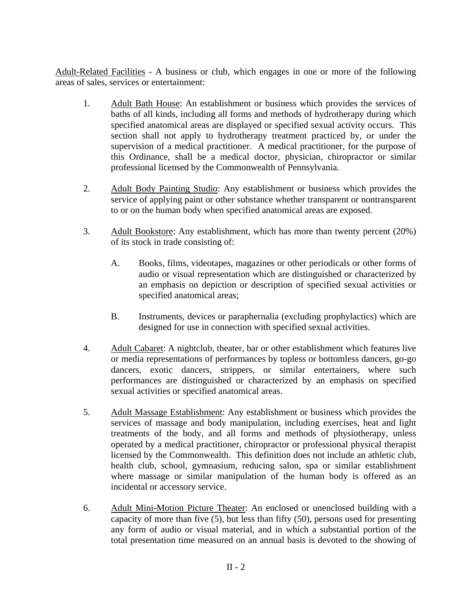Adult-Related Facilities - A business or club, which engages in one or more of the following areas of sales, services or entertainment:

- 1. Adult Bath House: An establishment or business which provides the services of baths of all kinds, including all forms and methods of hydrotherapy during which specified anatomical areas are displayed or specified sexual activity occurs. This section shall not apply to hydrotherapy treatment practiced by, or under the supervision of a medical practitioner. A medical practitioner, for the purpose of this Ordinance, shall be a medical doctor, physician, chiropractor or similar professional licensed by the Commonwealth of Pennsylvania.
- 2. Adult Body Painting Studio: Any establishment or business which provides the service of applying paint or other substance whether transparent or nontransparent to or on the human body when specified anatomical areas are exposed.
- 3. Adult Bookstore: Any establishment, which has more than twenty percent (20%) of its stock in trade consisting of:
	- A. Books, films, videotapes, magazines or other periodicals or other forms of audio or visual representation which are distinguished or characterized by an emphasis on depiction or description of specified sexual activities or specified anatomical areas;
	- B. Instruments, devices or paraphernalia (excluding prophylactics) which are designed for use in connection with specified sexual activities.
- 4. Adult Cabaret: A nightclub, theater, bar or other establishment which features live or media representations of performances by topless or bottomless dancers, go-go dancers, exotic dancers, strippers, or similar entertainers, where such performances are distinguished or characterized by an emphasis on specified sexual activities or specified anatomical areas.
- 5. Adult Massage Establishment: Any establishment or business which provides the services of massage and body manipulation, including exercises, heat and light treatments of the body, and all forms and methods of physiotherapy, unless operated by a medical practitioner, chiropractor or professional physical therapist licensed by the Commonwealth. This definition does not include an athletic club, health club, school, gymnasium, reducing salon, spa or similar establishment where massage or similar manipulation of the human body is offered as an incidental or accessory service.
- 6. Adult Mini-Motion Picture Theater: An enclosed or unenclosed building with a capacity of more than five (5), but less than fifty (50), persons used for presenting any form of audio or visual material, and in which a substantial portion of the total presentation time measured on an annual basis is devoted to the showing of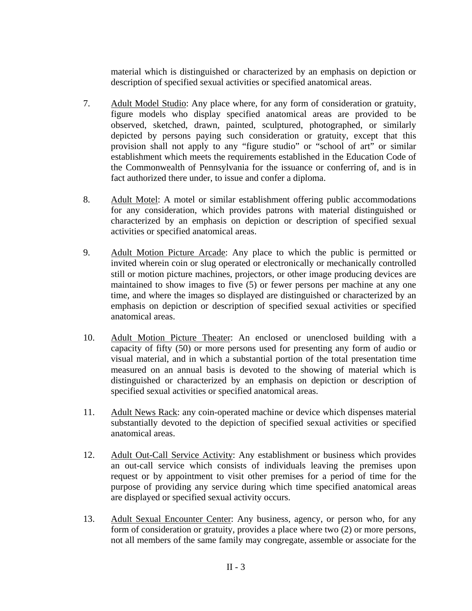material which is distinguished or characterized by an emphasis on depiction or description of specified sexual activities or specified anatomical areas.

- 7. Adult Model Studio: Any place where, for any form of consideration or gratuity, figure models who display specified anatomical areas are provided to be observed, sketched, drawn, painted, sculptured, photographed, or similarly depicted by persons paying such consideration or gratuity, except that this provision shall not apply to any "figure studio" or "school of art" or similar establishment which meets the requirements established in the Education Code of the Commonwealth of Pennsylvania for the issuance or conferring of, and is in fact authorized there under, to issue and confer a diploma.
- 8. Adult Motel: A motel or similar establishment offering public accommodations for any consideration, which provides patrons with material distinguished or characterized by an emphasis on depiction or description of specified sexual activities or specified anatomical areas.
- 9. Adult Motion Picture Arcade: Any place to which the public is permitted or invited wherein coin or slug operated or electronically or mechanically controlled still or motion picture machines, projectors, or other image producing devices are maintained to show images to five (5) or fewer persons per machine at any one time, and where the images so displayed are distinguished or characterized by an emphasis on depiction or description of specified sexual activities or specified anatomical areas.
- 10. Adult Motion Picture Theater: An enclosed or unenclosed building with a capacity of fifty (50) or more persons used for presenting any form of audio or visual material, and in which a substantial portion of the total presentation time measured on an annual basis is devoted to the showing of material which is distinguished or characterized by an emphasis on depiction or description of specified sexual activities or specified anatomical areas.
- 11. Adult News Rack: any coin-operated machine or device which dispenses material substantially devoted to the depiction of specified sexual activities or specified anatomical areas.
- 12. Adult Out-Call Service Activity: Any establishment or business which provides an out-call service which consists of individuals leaving the premises upon request or by appointment to visit other premises for a period of time for the purpose of providing any service during which time specified anatomical areas are displayed or specified sexual activity occurs.
- 13. Adult Sexual Encounter Center: Any business, agency, or person who, for any form of consideration or gratuity, provides a place where two (2) or more persons, not all members of the same family may congregate, assemble or associate for the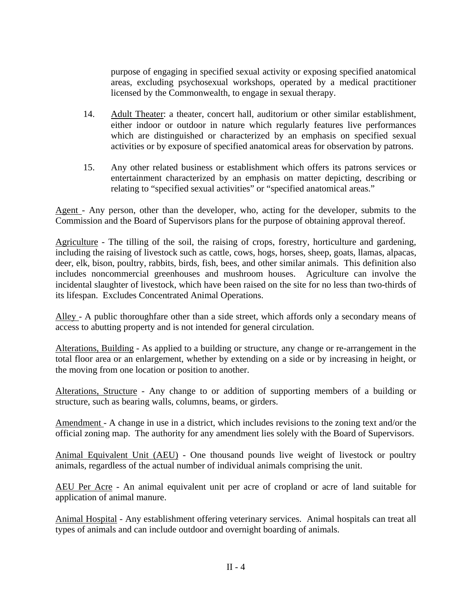purpose of engaging in specified sexual activity or exposing specified anatomical areas, excluding psychosexual workshops, operated by a medical practitioner licensed by the Commonwealth, to engage in sexual therapy.

- 14. Adult Theater: a theater, concert hall, auditorium or other similar establishment, either indoor or outdoor in nature which regularly features live performances which are distinguished or characterized by an emphasis on specified sexual activities or by exposure of specified anatomical areas for observation by patrons.
- 15. Any other related business or establishment which offers its patrons services or entertainment characterized by an emphasis on matter depicting, describing or relating to "specified sexual activities" or "specified anatomical areas."

Agent - Any person, other than the developer, who, acting for the developer, submits to the Commission and the Board of Supervisors plans for the purpose of obtaining approval thereof.

Agriculture - The tilling of the soil, the raising of crops, forestry, horticulture and gardening, including the raising of livestock such as cattle, cows, hogs, horses, sheep, goats, llamas, alpacas, deer, elk, bison, poultry, rabbits, birds, fish, bees, and other similar animals. This definition also includes noncommercial greenhouses and mushroom houses. Agriculture can involve the incidental slaughter of livestock, which have been raised on the site for no less than two-thirds of its lifespan. Excludes Concentrated Animal Operations.

Alley - A public thoroughfare other than a side street, which affords only a secondary means of access to abutting property and is not intended for general circulation.

Alterations, Building - As applied to a building or structure, any change or re-arrangement in the total floor area or an enlargement, whether by extending on a side or by increasing in height, or the moving from one location or position to another.

Alterations, Structure - Any change to or addition of supporting members of a building or structure, such as bearing walls, columns, beams, or girders.

Amendment - A change in use in a district, which includes revisions to the zoning text and/or the official zoning map. The authority for any amendment lies solely with the Board of Supervisors.

Animal Equivalent Unit (AEU) - One thousand pounds live weight of livestock or poultry animals, regardless of the actual number of individual animals comprising the unit.

AEU Per Acre - An animal equivalent unit per acre of cropland or acre of land suitable for application of animal manure.

Animal Hospital - Any establishment offering veterinary services. Animal hospitals can treat all types of animals and can include outdoor and overnight boarding of animals.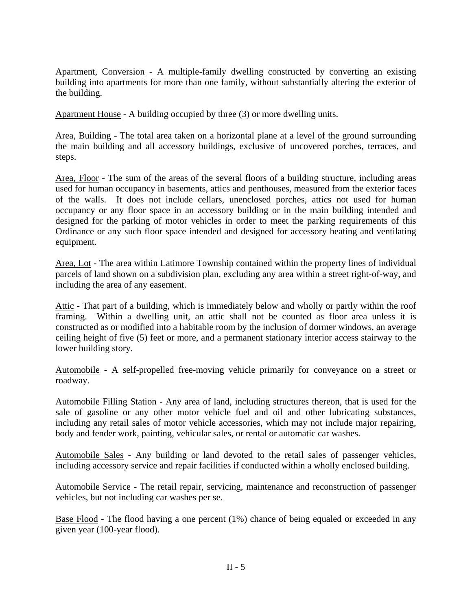Apartment, Conversion - A multiple-family dwelling constructed by converting an existing building into apartments for more than one family, without substantially altering the exterior of the building.

Apartment House - A building occupied by three (3) or more dwelling units.

Area, Building - The total area taken on a horizontal plane at a level of the ground surrounding the main building and all accessory buildings, exclusive of uncovered porches, terraces, and steps.

Area, Floor - The sum of the areas of the several floors of a building structure, including areas used for human occupancy in basements, attics and penthouses, measured from the exterior faces of the walls. It does not include cellars, unenclosed porches, attics not used for human occupancy or any floor space in an accessory building or in the main building intended and designed for the parking of motor vehicles in order to meet the parking requirements of this Ordinance or any such floor space intended and designed for accessory heating and ventilating equipment.

Area, Lot - The area within Latimore Township contained within the property lines of individual parcels of land shown on a subdivision plan, excluding any area within a street right-of-way, and including the area of any easement.

Attic - That part of a building, which is immediately below and wholly or partly within the roof framing. Within a dwelling unit, an attic shall not be counted as floor area unless it is constructed as or modified into a habitable room by the inclusion of dormer windows, an average ceiling height of five (5) feet or more, and a permanent stationary interior access stairway to the lower building story.

Automobile - A self-propelled free-moving vehicle primarily for conveyance on a street or roadway.

Automobile Filling Station - Any area of land, including structures thereon, that is used for the sale of gasoline or any other motor vehicle fuel and oil and other lubricating substances, including any retail sales of motor vehicle accessories, which may not include major repairing, body and fender work, painting, vehicular sales, or rental or automatic car washes.

Automobile Sales - Any building or land devoted to the retail sales of passenger vehicles, including accessory service and repair facilities if conducted within a wholly enclosed building.

Automobile Service - The retail repair, servicing, maintenance and reconstruction of passenger vehicles, but not including car washes per se.

Base Flood - The flood having a one percent (1%) chance of being equaled or exceeded in any given year (100-year flood).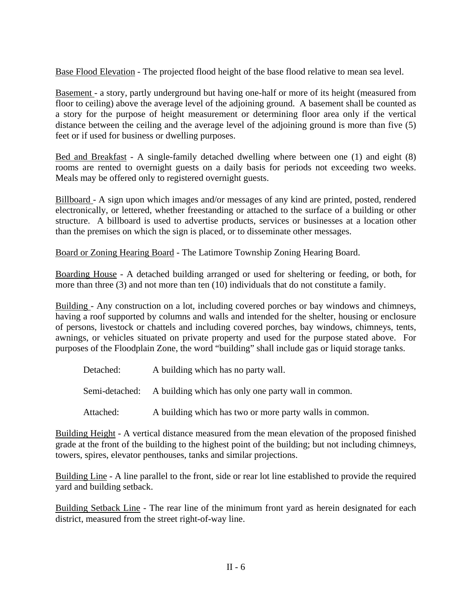Base Flood Elevation - The projected flood height of the base flood relative to mean sea level.

Basement - a story, partly underground but having one-half or more of its height (measured from floor to ceiling) above the average level of the adjoining ground. A basement shall be counted as a story for the purpose of height measurement or determining floor area only if the vertical distance between the ceiling and the average level of the adjoining ground is more than five (5) feet or if used for business or dwelling purposes.

Bed and Breakfast - A single-family detached dwelling where between one (1) and eight (8) rooms are rented to overnight guests on a daily basis for periods not exceeding two weeks. Meals may be offered only to registered overnight guests.

Billboard - A sign upon which images and/or messages of any kind are printed, posted, rendered electronically, or lettered, whether freestanding or attached to the surface of a building or other structure. A billboard is used to advertise products, services or businesses at a location other than the premises on which the sign is placed, or to disseminate other messages.

Board or Zoning Hearing Board - The Latimore Township Zoning Hearing Board.

Boarding House - A detached building arranged or used for sheltering or feeding, or both, for more than three (3) and not more than ten (10) individuals that do not constitute a family.

Building - Any construction on a lot, including covered porches or bay windows and chimneys, having a roof supported by columns and walls and intended for the shelter, housing or enclosure of persons, livestock or chattels and including covered porches, bay windows, chimneys, tents, awnings, or vehicles situated on private property and used for the purpose stated above. For purposes of the Floodplain Zone, the word "building" shall include gas or liquid storage tanks.

| Detached: | A building which has no party wall.                                |
|-----------|--------------------------------------------------------------------|
|           | Semi-detached: A building which has only one party wall in common. |
| Attached: | A building which has two or more party walls in common.            |

Building Height - A vertical distance measured from the mean elevation of the proposed finished grade at the front of the building to the highest point of the building; but not including chimneys, towers, spires, elevator penthouses, tanks and similar projections.

Building Line - A line parallel to the front, side or rear lot line established to provide the required yard and building setback.

Building Setback Line - The rear line of the minimum front yard as herein designated for each district, measured from the street right-of-way line.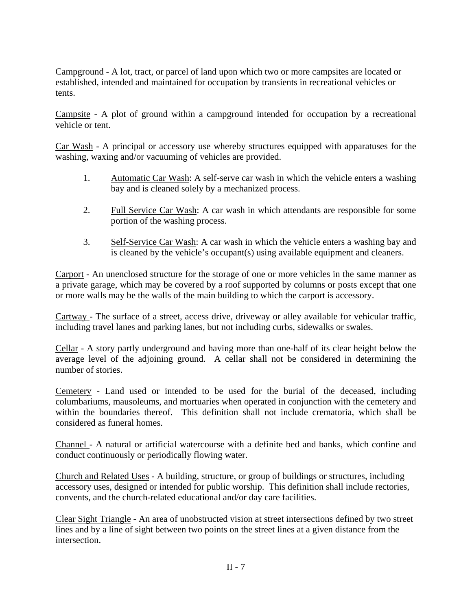Campground - A lot, tract, or parcel of land upon which two or more campsites are located or established, intended and maintained for occupation by transients in recreational vehicles or tents.

Campsite - A plot of ground within a campground intended for occupation by a recreational vehicle or tent.

Car Wash - A principal or accessory use whereby structures equipped with apparatuses for the washing, waxing and/or vacuuming of vehicles are provided.

- 1. Automatic Car Wash: A self-serve car wash in which the vehicle enters a washing bay and is cleaned solely by a mechanized process.
- 2. Full Service Car Wash: A car wash in which attendants are responsible for some portion of the washing process.
- 3. Self-Service Car Wash: A car wash in which the vehicle enters a washing bay and is cleaned by the vehicle's occupant(s) using available equipment and cleaners.

Carport - An unenclosed structure for the storage of one or more vehicles in the same manner as a private garage, which may be covered by a roof supported by columns or posts except that one or more walls may be the walls of the main building to which the carport is accessory.

Cartway - The surface of a street, access drive, driveway or alley available for vehicular traffic, including travel lanes and parking lanes, but not including curbs, sidewalks or swales.

Cellar - A story partly underground and having more than one-half of its clear height below the average level of the adjoining ground. A cellar shall not be considered in determining the number of stories.

Cemetery - Land used or intended to be used for the burial of the deceased, including columbariums, mausoleums, and mortuaries when operated in conjunction with the cemetery and within the boundaries thereof. This definition shall not include crematoria, which shall be considered as funeral homes.

Channel - A natural or artificial watercourse with a definite bed and banks, which confine and conduct continuously or periodically flowing water.

Church and Related Uses - A building, structure, or group of buildings or structures, including accessory uses, designed or intended for public worship. This definition shall include rectories, convents, and the church-related educational and/or day care facilities.

Clear Sight Triangle - An area of unobstructed vision at street intersections defined by two street lines and by a line of sight between two points on the street lines at a given distance from the intersection.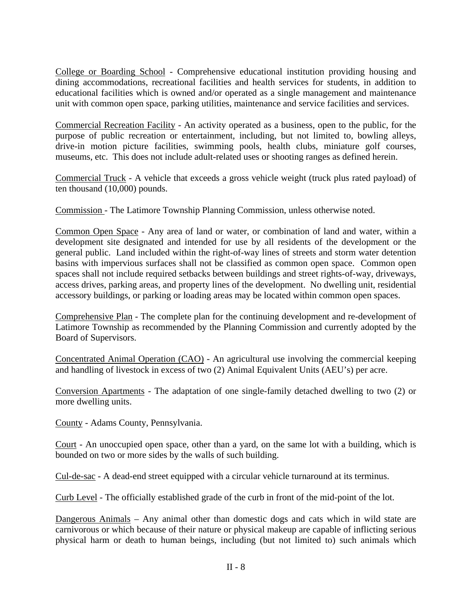College or Boarding School - Comprehensive educational institution providing housing and dining accommodations, recreational facilities and health services for students, in addition to educational facilities which is owned and/or operated as a single management and maintenance unit with common open space, parking utilities, maintenance and service facilities and services.

Commercial Recreation Facility - An activity operated as a business, open to the public, for the purpose of public recreation or entertainment, including, but not limited to, bowling alleys, drive-in motion picture facilities, swimming pools, health clubs, miniature golf courses, museums, etc. This does not include adult-related uses or shooting ranges as defined herein.

Commercial Truck - A vehicle that exceeds a gross vehicle weight (truck plus rated payload) of ten thousand (10,000) pounds.

Commission - The Latimore Township Planning Commission, unless otherwise noted.

Common Open Space - Any area of land or water, or combination of land and water, within a development site designated and intended for use by all residents of the development or the general public. Land included within the right-of-way lines of streets and storm water detention basins with impervious surfaces shall not be classified as common open space. Common open spaces shall not include required setbacks between buildings and street rights-of-way, driveways, access drives, parking areas, and property lines of the development. No dwelling unit, residential accessory buildings, or parking or loading areas may be located within common open spaces.

Comprehensive Plan - The complete plan for the continuing development and re-development of Latimore Township as recommended by the Planning Commission and currently adopted by the Board of Supervisors.

Concentrated Animal Operation (CAO) - An agricultural use involving the commercial keeping and handling of livestock in excess of two (2) Animal Equivalent Units (AEU's) per acre.

Conversion Apartments - The adaptation of one single-family detached dwelling to two (2) or more dwelling units.

County - Adams County, Pennsylvania.

Court - An unoccupied open space, other than a yard, on the same lot with a building, which is bounded on two or more sides by the walls of such building.

Cul-de-sac - A dead-end street equipped with a circular vehicle turnaround at its terminus.

Curb Level - The officially established grade of the curb in front of the mid-point of the lot.

Dangerous Animals – Any animal other than domestic dogs and cats which in wild state are carnivorous or which because of their nature or physical makeup are capable of inflicting serious physical harm or death to human beings, including (but not limited to) such animals which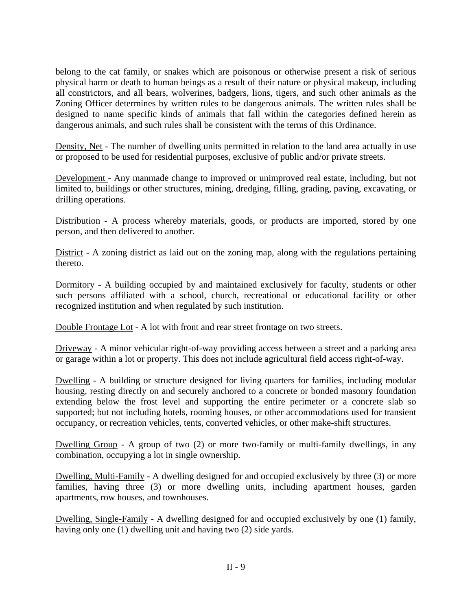belong to the cat family, or snakes which are poisonous or otherwise present a risk of serious physical harm or death to human beings as a result of their nature or physical makeup, including all constrictors, and all bears, wolverines, badgers, lions, tigers, and such other animals as the Zoning Officer determines by written rules to be dangerous animals. The written rules shall be designed to name specific kinds of animals that fall within the categories defined herein as dangerous animals, and such rules shall be consistent with the terms of this Ordinance.

Density, Net - The number of dwelling units permitted in relation to the land area actually in use or proposed to be used for residential purposes, exclusive of public and/or private streets.

Development - Any manmade change to improved or unimproved real estate, including, but not limited to, buildings or other structures, mining, dredging, filling, grading, paving, excavating, or drilling operations.

Distribution - A process whereby materials, goods, or products are imported, stored by one person, and then delivered to another.

District - A zoning district as laid out on the zoning map, along with the regulations pertaining thereto.

Dormitory - A building occupied by and maintained exclusively for faculty, students or other such persons affiliated with a school, church, recreational or educational facility or other recognized institution and when regulated by such institution.

Double Frontage Lot - A lot with front and rear street frontage on two streets.

Driveway - A minor vehicular right-of-way providing access between a street and a parking area or garage within a lot or property. This does not include agricultural field access right-of-way.

Dwelling - A building or structure designed for living quarters for families, including modular housing, resting directly on and securely anchored to a concrete or bonded masonry foundation extending below the frost level and supporting the entire perimeter or a concrete slab so supported; but not including hotels, rooming houses, or other accommodations used for transient occupancy, or recreation vehicles, tents, converted vehicles, or other make-shift structures.

Dwelling Group - A group of two (2) or more two-family or multi-family dwellings, in any combination, occupying a lot in single ownership.

Dwelling, Multi-Family - A dwelling designed for and occupied exclusively by three (3) or more families, having three (3) or more dwelling units, including apartment houses, garden apartments, row houses, and townhouses.

Dwelling, Single-Family - A dwelling designed for and occupied exclusively by one (1) family, having only one (1) dwelling unit and having two (2) side yards.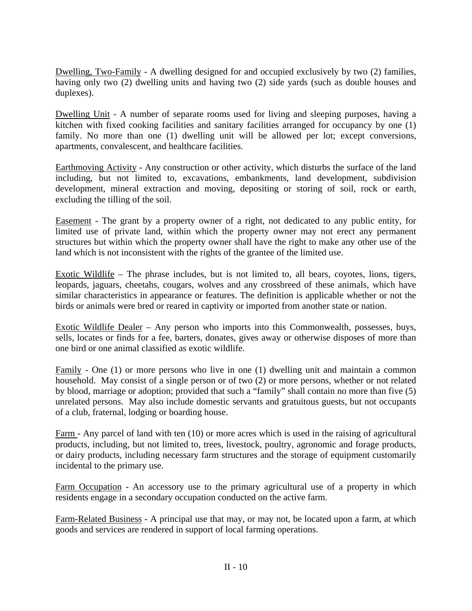Dwelling, Two-Family - A dwelling designed for and occupied exclusively by two (2) families, having only two (2) dwelling units and having two (2) side yards (such as double houses and duplexes).

Dwelling Unit - A number of separate rooms used for living and sleeping purposes, having a kitchen with fixed cooking facilities and sanitary facilities arranged for occupancy by one (1) family. No more than one (1) dwelling unit will be allowed per lot; except conversions, apartments, convalescent, and healthcare facilities.

Earthmoving Activity - Any construction or other activity, which disturbs the surface of the land including, but not limited to, excavations, embankments, land development, subdivision development, mineral extraction and moving, depositing or storing of soil, rock or earth, excluding the tilling of the soil.

Easement - The grant by a property owner of a right, not dedicated to any public entity, for limited use of private land, within which the property owner may not erect any permanent structures but within which the property owner shall have the right to make any other use of the land which is not inconsistent with the rights of the grantee of the limited use.

Exotic Wildlife – The phrase includes, but is not limited to, all bears, coyotes, lions, tigers, leopards, jaguars, cheetahs, cougars, wolves and any crossbreed of these animals, which have similar characteristics in appearance or features. The definition is applicable whether or not the birds or animals were bred or reared in captivity or imported from another state or nation.

Exotic Wildlife Dealer – Any person who imports into this Commonwealth, possesses, buys, sells, locates or finds for a fee, barters, donates, gives away or otherwise disposes of more than one bird or one animal classified as exotic wildlife.

Family - One (1) or more persons who live in one (1) dwelling unit and maintain a common household. May consist of a single person or of two (2) or more persons, whether or not related by blood, marriage or adoption; provided that such a "family" shall contain no more than five (5) unrelated persons. May also include domestic servants and gratuitous guests, but not occupants of a club, fraternal, lodging or boarding house.

Farm - Any parcel of land with ten (10) or more acres which is used in the raising of agricultural products, including, but not limited to, trees, livestock, poultry, agronomic and forage products, or dairy products, including necessary farm structures and the storage of equipment customarily incidental to the primary use.

Farm Occupation - An accessory use to the primary agricultural use of a property in which residents engage in a secondary occupation conducted on the active farm.

Farm-Related Business - A principal use that may, or may not, be located upon a farm, at which goods and services are rendered in support of local farming operations.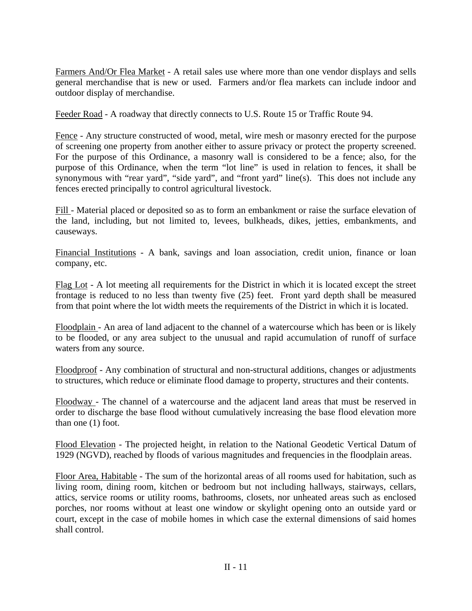Farmers And/Or Flea Market - A retail sales use where more than one vendor displays and sells general merchandise that is new or used. Farmers and/or flea markets can include indoor and outdoor display of merchandise.

Feeder Road - A roadway that directly connects to U.S. Route 15 or Traffic Route 94.

Fence - Any structure constructed of wood, metal, wire mesh or masonry erected for the purpose of screening one property from another either to assure privacy or protect the property screened. For the purpose of this Ordinance, a masonry wall is considered to be a fence; also, for the purpose of this Ordinance, when the term "lot line" is used in relation to fences, it shall be synonymous with "rear yard", "side yard", and "front yard" line(s). This does not include any fences erected principally to control agricultural livestock.

Fill - Material placed or deposited so as to form an embankment or raise the surface elevation of the land, including, but not limited to, levees, bulkheads, dikes, jetties, embankments, and causeways.

Financial Institutions - A bank, savings and loan association, credit union, finance or loan company, etc.

Flag Lot - A lot meeting all requirements for the District in which it is located except the street frontage is reduced to no less than twenty five (25) feet. Front yard depth shall be measured from that point where the lot width meets the requirements of the District in which it is located.

Floodplain - An area of land adjacent to the channel of a watercourse which has been or is likely to be flooded, or any area subject to the unusual and rapid accumulation of runoff of surface waters from any source.

Floodproof - Any combination of structural and non-structural additions, changes or adjustments to structures, which reduce or eliminate flood damage to property, structures and their contents.

Floodway - The channel of a watercourse and the adjacent land areas that must be reserved in order to discharge the base flood without cumulatively increasing the base flood elevation more than one (1) foot.

Flood Elevation - The projected height, in relation to the National Geodetic Vertical Datum of 1929 (NGVD), reached by floods of various magnitudes and frequencies in the floodplain areas.

Floor Area, Habitable - The sum of the horizontal areas of all rooms used for habitation, such as living room, dining room, kitchen or bedroom but not including hallways, stairways, cellars, attics, service rooms or utility rooms, bathrooms, closets, nor unheated areas such as enclosed porches, nor rooms without at least one window or skylight opening onto an outside yard or court, except in the case of mobile homes in which case the external dimensions of said homes shall control.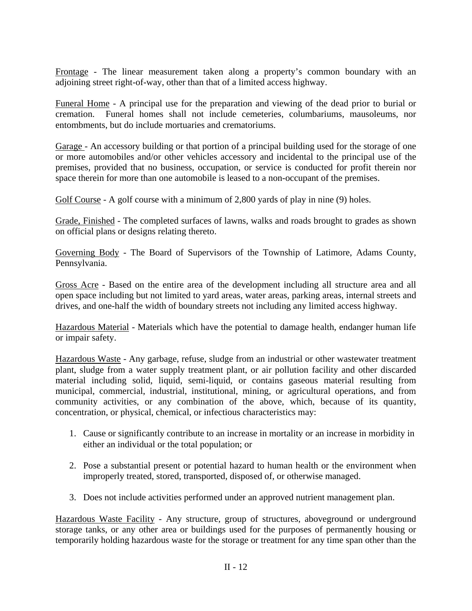Frontage - The linear measurement taken along a property's common boundary with an adjoining street right-of-way, other than that of a limited access highway.

Funeral Home - A principal use for the preparation and viewing of the dead prior to burial or cremation. Funeral homes shall not include cemeteries, columbariums, mausoleums, nor entombments, but do include mortuaries and crematoriums.

Garage - An accessory building or that portion of a principal building used for the storage of one or more automobiles and/or other vehicles accessory and incidental to the principal use of the premises, provided that no business, occupation, or service is conducted for profit therein nor space therein for more than one automobile is leased to a non-occupant of the premises.

Golf Course - A golf course with a minimum of 2,800 yards of play in nine (9) holes.

Grade, Finished - The completed surfaces of lawns, walks and roads brought to grades as shown on official plans or designs relating thereto.

Governing Body - The Board of Supervisors of the Township of Latimore, Adams County, Pennsylvania.

Gross Acre - Based on the entire area of the development including all structure area and all open space including but not limited to yard areas, water areas, parking areas, internal streets and drives, and one-half the width of boundary streets not including any limited access highway.

Hazardous Material - Materials which have the potential to damage health, endanger human life or impair safety.

Hazardous Waste - Any garbage, refuse, sludge from an industrial or other wastewater treatment plant, sludge from a water supply treatment plant, or air pollution facility and other discarded material including solid, liquid, semi-liquid, or contains gaseous material resulting from municipal, commercial, industrial, institutional, mining, or agricultural operations, and from community activities, or any combination of the above, which, because of its quantity, concentration, or physical, chemical, or infectious characteristics may:

- 1. Cause or significantly contribute to an increase in mortality or an increase in morbidity in either an individual or the total population; or
- 2. Pose a substantial present or potential hazard to human health or the environment when improperly treated, stored, transported, disposed of, or otherwise managed.
- 3. Does not include activities performed under an approved nutrient management plan.

Hazardous Waste Facility - Any structure, group of structures, aboveground or underground storage tanks, or any other area or buildings used for the purposes of permanently housing or temporarily holding hazardous waste for the storage or treatment for any time span other than the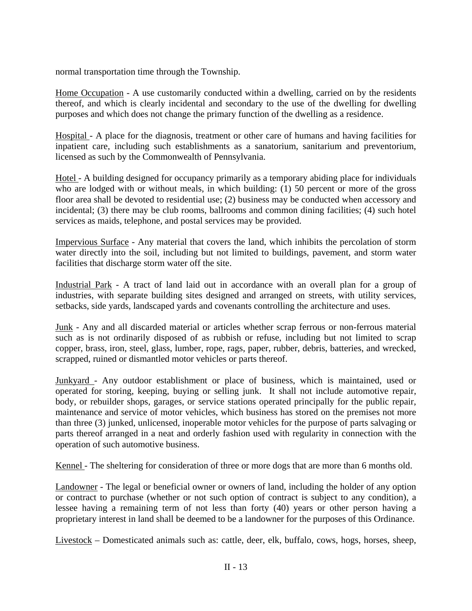normal transportation time through the Township.

Home Occupation - A use customarily conducted within a dwelling, carried on by the residents thereof, and which is clearly incidental and secondary to the use of the dwelling for dwelling purposes and which does not change the primary function of the dwelling as a residence.

Hospital - A place for the diagnosis, treatment or other care of humans and having facilities for inpatient care, including such establishments as a sanatorium, sanitarium and preventorium, licensed as such by the Commonwealth of Pennsylvania.

Hotel - A building designed for occupancy primarily as a temporary abiding place for individuals who are lodged with or without meals, in which building: (1) 50 percent or more of the gross floor area shall be devoted to residential use; (2) business may be conducted when accessory and incidental; (3) there may be club rooms, ballrooms and common dining facilities; (4) such hotel services as maids, telephone, and postal services may be provided.

Impervious Surface - Any material that covers the land, which inhibits the percolation of storm water directly into the soil, including but not limited to buildings, pavement, and storm water facilities that discharge storm water off the site.

Industrial Park - A tract of land laid out in accordance with an overall plan for a group of industries, with separate building sites designed and arranged on streets, with utility services, setbacks, side yards, landscaped yards and covenants controlling the architecture and uses.

Junk - Any and all discarded material or articles whether scrap ferrous or non-ferrous material such as is not ordinarily disposed of as rubbish or refuse, including but not limited to scrap copper, brass, iron, steel, glass, lumber, rope, rags, paper, rubber, debris, batteries, and wrecked, scrapped, ruined or dismantled motor vehicles or parts thereof.

Junkyard - Any outdoor establishment or place of business, which is maintained, used or operated for storing, keeping, buying or selling junk. It shall not include automotive repair, body, or rebuilder shops, garages, or service stations operated principally for the public repair, maintenance and service of motor vehicles, which business has stored on the premises not more than three (3) junked, unlicensed, inoperable motor vehicles for the purpose of parts salvaging or parts thereof arranged in a neat and orderly fashion used with regularity in connection with the operation of such automotive business.

Kennel - The sheltering for consideration of three or more dogs that are more than 6 months old.

Landowner - The legal or beneficial owner or owners of land, including the holder of any option or contract to purchase (whether or not such option of contract is subject to any condition), a lessee having a remaining term of not less than forty (40) years or other person having a proprietary interest in land shall be deemed to be a landowner for the purposes of this Ordinance.

 $Livestock$  – Domesticated animals such as: cattle, deer, elk, buffalo, cows, hogs, horses, sheep,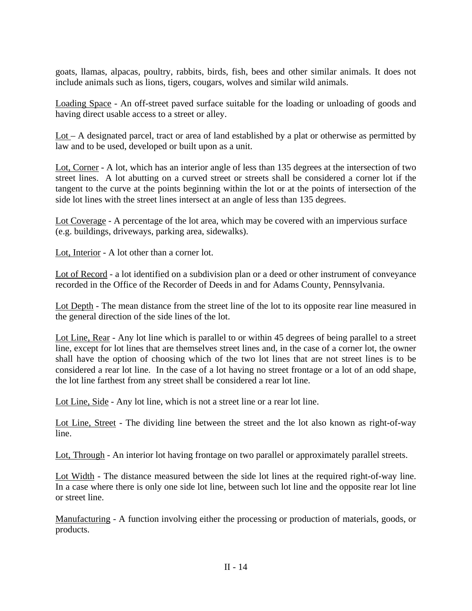goats, llamas, alpacas, poultry, rabbits, birds, fish, bees and other similar animals. It does not include animals such as lions, tigers, cougars, wolves and similar wild animals.

Loading Space - An off-street paved surface suitable for the loading or unloading of goods and having direct usable access to a street or alley.

Lot – A designated parcel, tract or area of land established by a plat or otherwise as permitted by law and to be used, developed or built upon as a unit.

Lot, Corner - A lot, which has an interior angle of less than 135 degrees at the intersection of two street lines. A lot abutting on a curved street or streets shall be considered a corner lot if the tangent to the curve at the points beginning within the lot or at the points of intersection of the side lot lines with the street lines intersect at an angle of less than 135 degrees.

Lot Coverage - A percentage of the lot area, which may be covered with an impervious surface (e.g. buildings, driveways, parking area, sidewalks).

Lot, Interior - A lot other than a corner lot.

Lot of Record - a lot identified on a subdivision plan or a deed or other instrument of conveyance recorded in the Office of the Recorder of Deeds in and for Adams County, Pennsylvania.

Lot Depth - The mean distance from the street line of the lot to its opposite rear line measured in the general direction of the side lines of the lot.

Lot Line, Rear - Any lot line which is parallel to or within 45 degrees of being parallel to a street line, except for lot lines that are themselves street lines and, in the case of a corner lot, the owner shall have the option of choosing which of the two lot lines that are not street lines is to be considered a rear lot line. In the case of a lot having no street frontage or a lot of an odd shape, the lot line farthest from any street shall be considered a rear lot line.

Lot Line, Side - Any lot line, which is not a street line or a rear lot line.

Lot Line, Street - The dividing line between the street and the lot also known as right-of-way line.

Lot, Through - An interior lot having frontage on two parallel or approximately parallel streets.

Lot Width - The distance measured between the side lot lines at the required right-of-way line. In a case where there is only one side lot line, between such lot line and the opposite rear lot line or street line.

Manufacturing - A function involving either the processing or production of materials, goods, or products.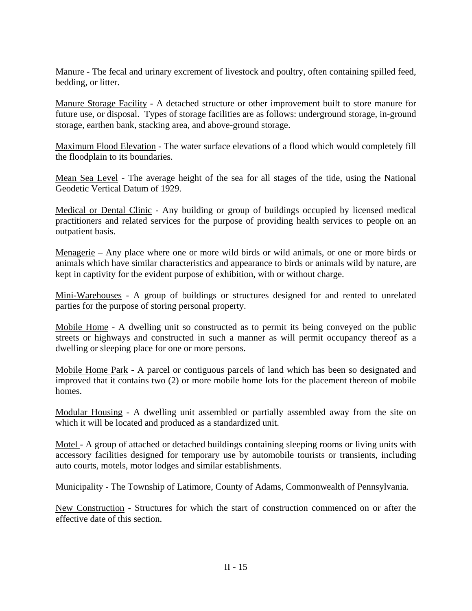Manure - The fecal and urinary excrement of livestock and poultry, often containing spilled feed, bedding, or litter.

Manure Storage Facility - A detached structure or other improvement built to store manure for future use, or disposal. Types of storage facilities are as follows: underground storage, in-ground storage, earthen bank, stacking area, and above-ground storage.

Maximum Flood Elevation - The water surface elevations of a flood which would completely fill the floodplain to its boundaries.

Mean Sea Level - The average height of the sea for all stages of the tide, using the National Geodetic Vertical Datum of 1929.

Medical or Dental Clinic - Any building or group of buildings occupied by licensed medical practitioners and related services for the purpose of providing health services to people on an outpatient basis.

Menagerie – Any place where one or more wild birds or wild animals, or one or more birds or animals which have similar characteristics and appearance to birds or animals wild by nature, are kept in captivity for the evident purpose of exhibition, with or without charge.

Mini-Warehouses - A group of buildings or structures designed for and rented to unrelated parties for the purpose of storing personal property.

Mobile Home - A dwelling unit so constructed as to permit its being conveyed on the public streets or highways and constructed in such a manner as will permit occupancy thereof as a dwelling or sleeping place for one or more persons.

Mobile Home Park - A parcel or contiguous parcels of land which has been so designated and improved that it contains two (2) or more mobile home lots for the placement thereon of mobile homes.

Modular Housing - A dwelling unit assembled or partially assembled away from the site on which it will be located and produced as a standardized unit.

Motel - A group of attached or detached buildings containing sleeping rooms or living units with accessory facilities designed for temporary use by automobile tourists or transients, including auto courts, motels, motor lodges and similar establishments.

Municipality - The Township of Latimore, County of Adams, Commonwealth of Pennsylvania.

New Construction - Structures for which the start of construction commenced on or after the effective date of this section.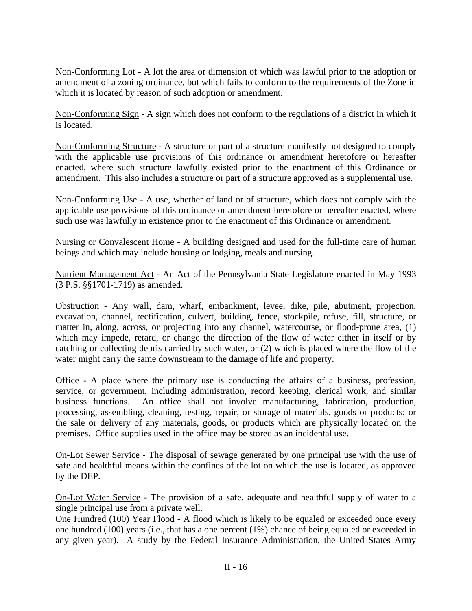Non-Conforming Lot - A lot the area or dimension of which was lawful prior to the adoption or amendment of a zoning ordinance, but which fails to conform to the requirements of the Zone in which it is located by reason of such adoption or amendment.

Non-Conforming Sign - A sign which does not conform to the regulations of a district in which it is located.

Non-Conforming Structure - A structure or part of a structure manifestly not designed to comply with the applicable use provisions of this ordinance or amendment heretofore or hereafter enacted, where such structure lawfully existed prior to the enactment of this Ordinance or amendment. This also includes a structure or part of a structure approved as a supplemental use.

Non-Conforming Use - A use, whether of land or of structure, which does not comply with the applicable use provisions of this ordinance or amendment heretofore or hereafter enacted, where such use was lawfully in existence prior to the enactment of this Ordinance or amendment.

Nursing or Convalescent Home - A building designed and used for the full-time care of human beings and which may include housing or lodging, meals and nursing.

Nutrient Management Act - An Act of the Pennsylvania State Legislature enacted in May 1993 (3 P.S. §§1701-1719) as amended.

Obstruction - Any wall, dam, wharf, embankment, levee, dike, pile, abutment, projection, excavation, channel, rectification, culvert, building, fence, stockpile, refuse, fill, structure, or matter in, along, across, or projecting into any channel, watercourse, or flood-prone area, (1) which may impede, retard, or change the direction of the flow of water either in itself or by catching or collecting debris carried by such water, or (2) which is placed where the flow of the water might carry the same downstream to the damage of life and property.

Office - A place where the primary use is conducting the affairs of a business, profession, service, or government, including administration, record keeping, clerical work, and similar business functions. An office shall not involve manufacturing, fabrication, production, processing, assembling, cleaning, testing, repair, or storage of materials, goods or products; or the sale or delivery of any materials, goods, or products which are physically located on the premises. Office supplies used in the office may be stored as an incidental use.

On-Lot Sewer Service - The disposal of sewage generated by one principal use with the use of safe and healthful means within the confines of the lot on which the use is located, as approved by the DEP.

On-Lot Water Service - The provision of a safe, adequate and healthful supply of water to a single principal use from a private well.

One Hundred (100) Year Flood - A flood which is likely to be equaled or exceeded once every one hundred (100) years (i.e., that has a one percent (1%) chance of being equaled or exceeded in any given year). A study by the Federal Insurance Administration, the United States Army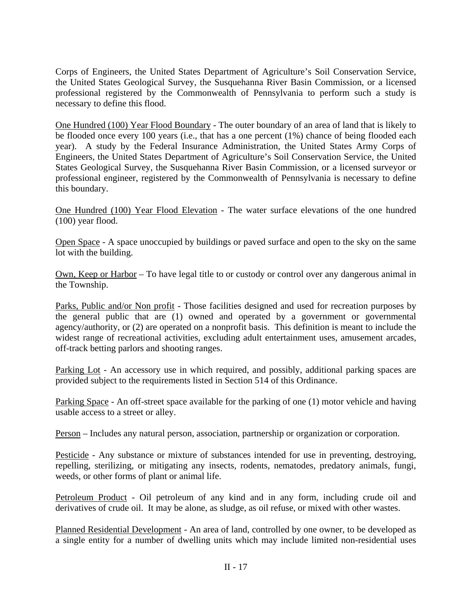Corps of Engineers, the United States Department of Agriculture's Soil Conservation Service, the United States Geological Survey, the Susquehanna River Basin Commission, or a licensed professional registered by the Commonwealth of Pennsylvania to perform such a study is necessary to define this flood.

One Hundred (100) Year Flood Boundary - The outer boundary of an area of land that is likely to be flooded once every 100 years (i.e., that has a one percent (1%) chance of being flooded each year). A study by the Federal Insurance Administration, the United States Army Corps of Engineers, the United States Department of Agriculture's Soil Conservation Service, the United States Geological Survey, the Susquehanna River Basin Commission, or a licensed surveyor or professional engineer, registered by the Commonwealth of Pennsylvania is necessary to define this boundary.

One Hundred (100) Year Flood Elevation - The water surface elevations of the one hundred (100) year flood.

Open Space - A space unoccupied by buildings or paved surface and open to the sky on the same lot with the building.

Own, Keep or Harbor – To have legal title to or custody or control over any dangerous animal in the Township.

Parks, Public and/or Non profit - Those facilities designed and used for recreation purposes by the general public that are (1) owned and operated by a government or governmental agency/authority, or (2) are operated on a nonprofit basis. This definition is meant to include the widest range of recreational activities, excluding adult entertainment uses, amusement arcades, off-track betting parlors and shooting ranges.

Parking Lot - An accessory use in which required, and possibly, additional parking spaces are provided subject to the requirements listed in Section 514 of this Ordinance.

Parking Space - An off-street space available for the parking of one (1) motor vehicle and having usable access to a street or alley.

Person – Includes any natural person, association, partnership or organization or corporation.

Pesticide - Any substance or mixture of substances intended for use in preventing, destroying, repelling, sterilizing, or mitigating any insects, rodents, nematodes, predatory animals, fungi, weeds, or other forms of plant or animal life.

Petroleum Product - Oil petroleum of any kind and in any form, including crude oil and derivatives of crude oil. It may be alone, as sludge, as oil refuse, or mixed with other wastes.

Planned Residential Development - An area of land, controlled by one owner, to be developed as a single entity for a number of dwelling units which may include limited non-residential uses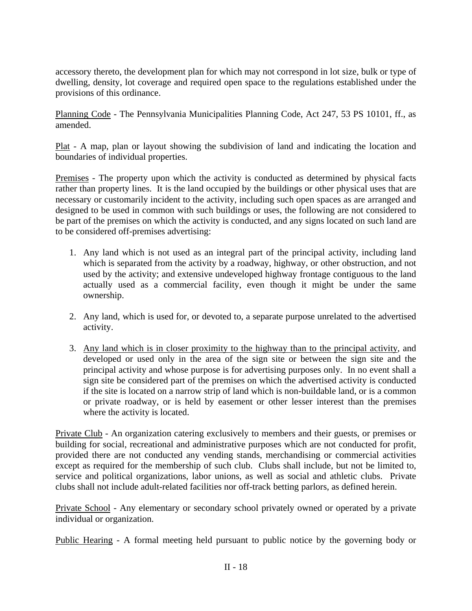accessory thereto, the development plan for which may not correspond in lot size, bulk or type of dwelling, density, lot coverage and required open space to the regulations established under the provisions of this ordinance.

Planning Code - The Pennsylvania Municipalities Planning Code, Act 247, 53 PS 10101, ff., as amended.

Plat - A map, plan or layout showing the subdivision of land and indicating the location and boundaries of individual properties.

Premises - The property upon which the activity is conducted as determined by physical facts rather than property lines. It is the land occupied by the buildings or other physical uses that are necessary or customarily incident to the activity, including such open spaces as are arranged and designed to be used in common with such buildings or uses, the following are not considered to be part of the premises on which the activity is conducted, and any signs located on such land are to be considered off-premises advertising:

- 1. Any land which is not used as an integral part of the principal activity, including land which is separated from the activity by a roadway, highway, or other obstruction, and not used by the activity; and extensive undeveloped highway frontage contiguous to the land actually used as a commercial facility, even though it might be under the same ownership.
- 2. Any land, which is used for, or devoted to, a separate purpose unrelated to the advertised activity.
- 3. Any land which is in closer proximity to the highway than to the principal activity, and developed or used only in the area of the sign site or between the sign site and the principal activity and whose purpose is for advertising purposes only. In no event shall a sign site be considered part of the premises on which the advertised activity is conducted if the site is located on a narrow strip of land which is non-buildable land, or is a common or private roadway, or is held by easement or other lesser interest than the premises where the activity is located.

Private Club - An organization catering exclusively to members and their guests, or premises or building for social, recreational and administrative purposes which are not conducted for profit, provided there are not conducted any vending stands, merchandising or commercial activities except as required for the membership of such club. Clubs shall include, but not be limited to, service and political organizations, labor unions, as well as social and athletic clubs. Private clubs shall not include adult-related facilities nor off-track betting parlors, as defined herein.

Private School - Any elementary or secondary school privately owned or operated by a private individual or organization.

Public Hearing - A formal meeting held pursuant to public notice by the governing body or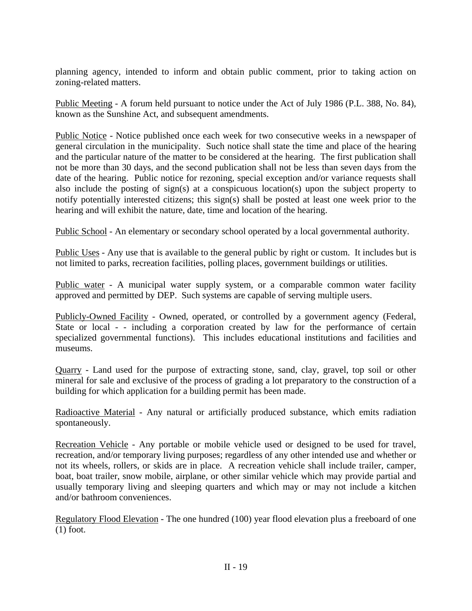planning agency, intended to inform and obtain public comment, prior to taking action on zoning-related matters.

Public Meeting - A forum held pursuant to notice under the Act of July 1986 (P.L. 388, No. 84), known as the Sunshine Act, and subsequent amendments.

Public Notice - Notice published once each week for two consecutive weeks in a newspaper of general circulation in the municipality. Such notice shall state the time and place of the hearing and the particular nature of the matter to be considered at the hearing. The first publication shall not be more than 30 days, and the second publication shall not be less than seven days from the date of the hearing. Public notice for rezoning, special exception and/or variance requests shall also include the posting of sign(s) at a conspicuous location(s) upon the subject property to notify potentially interested citizens; this sign(s) shall be posted at least one week prior to the hearing and will exhibit the nature, date, time and location of the hearing.

Public School - An elementary or secondary school operated by a local governmental authority.

Public Uses - Any use that is available to the general public by right or custom. It includes but is not limited to parks, recreation facilities, polling places, government buildings or utilities.

Public water - A municipal water supply system, or a comparable common water facility approved and permitted by DEP. Such systems are capable of serving multiple users.

Publicly-Owned Facility - Owned, operated, or controlled by a government agency (Federal, State or local - - including a corporation created by law for the performance of certain specialized governmental functions). This includes educational institutions and facilities and museums.

Quarry - Land used for the purpose of extracting stone, sand, clay, gravel, top soil or other mineral for sale and exclusive of the process of grading a lot preparatory to the construction of a building for which application for a building permit has been made.

Radioactive Material - Any natural or artificially produced substance, which emits radiation spontaneously.

Recreation Vehicle - Any portable or mobile vehicle used or designed to be used for travel, recreation, and/or temporary living purposes; regardless of any other intended use and whether or not its wheels, rollers, or skids are in place. A recreation vehicle shall include trailer, camper, boat, boat trailer, snow mobile, airplane, or other similar vehicle which may provide partial and usually temporary living and sleeping quarters and which may or may not include a kitchen and/or bathroom conveniences.

Regulatory Flood Elevation - The one hundred (100) year flood elevation plus a freeboard of one (1) foot.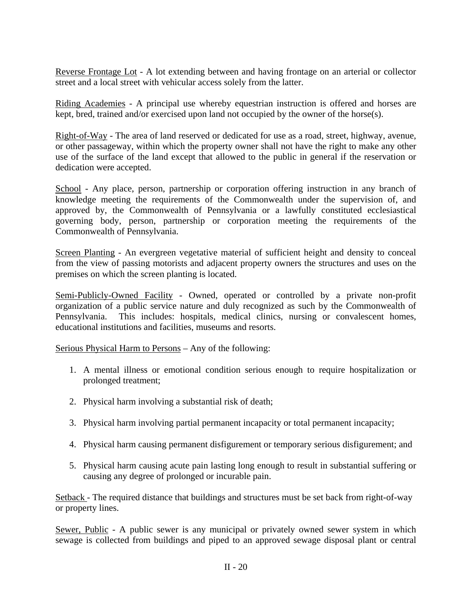Reverse Frontage Lot - A lot extending between and having frontage on an arterial or collector street and a local street with vehicular access solely from the latter.

Riding Academies - A principal use whereby equestrian instruction is offered and horses are kept, bred, trained and/or exercised upon land not occupied by the owner of the horse(s).

Right-of-Way - The area of land reserved or dedicated for use as a road, street, highway, avenue, or other passageway, within which the property owner shall not have the right to make any other use of the surface of the land except that allowed to the public in general if the reservation or dedication were accepted.

School - Any place, person, partnership or corporation offering instruction in any branch of knowledge meeting the requirements of the Commonwealth under the supervision of, and approved by, the Commonwealth of Pennsylvania or a lawfully constituted ecclesiastical governing body, person, partnership or corporation meeting the requirements of the Commonwealth of Pennsylvania.

Screen Planting - An evergreen vegetative material of sufficient height and density to conceal from the view of passing motorists and adjacent property owners the structures and uses on the premises on which the screen planting is located.

Semi-Publicly-Owned Facility - Owned, operated or controlled by a private non-profit organization of a public service nature and duly recognized as such by the Commonwealth of Pennsylvania. This includes: hospitals, medical clinics, nursing or convalescent homes, educational institutions and facilities, museums and resorts.

Serious Physical Harm to Persons – Any of the following:

- 1. A mental illness or emotional condition serious enough to require hospitalization or prolonged treatment;
- 2. Physical harm involving a substantial risk of death;
- 3. Physical harm involving partial permanent incapacity or total permanent incapacity;
- 4. Physical harm causing permanent disfigurement or temporary serious disfigurement; and
- 5. Physical harm causing acute pain lasting long enough to result in substantial suffering or causing any degree of prolonged or incurable pain.

Setback - The required distance that buildings and structures must be set back from right-of-way or property lines.

Sewer, Public - A public sewer is any municipal or privately owned sewer system in which sewage is collected from buildings and piped to an approved sewage disposal plant or central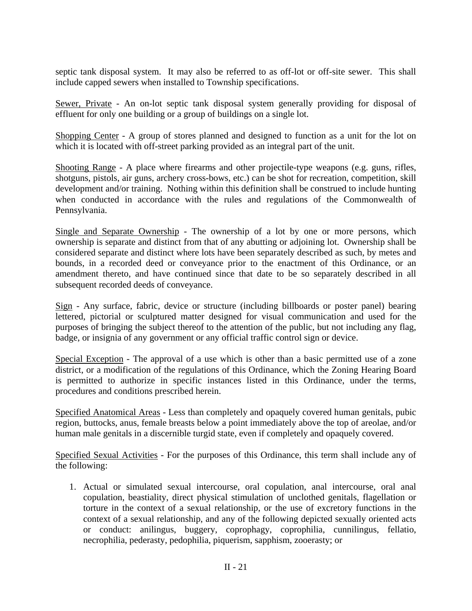septic tank disposal system. It may also be referred to as off-lot or off-site sewer. This shall include capped sewers when installed to Township specifications.

Sewer, Private - An on-lot septic tank disposal system generally providing for disposal of effluent for only one building or a group of buildings on a single lot.

Shopping Center - A group of stores planned and designed to function as a unit for the lot on which it is located with off-street parking provided as an integral part of the unit.

Shooting Range - A place where firearms and other projectile-type weapons (e.g. guns, rifles, shotguns, pistols, air guns, archery cross-bows, etc.) can be shot for recreation, competition, skill development and/or training. Nothing within this definition shall be construed to include hunting when conducted in accordance with the rules and regulations of the Commonwealth of Pennsylvania.

Single and Separate Ownership - The ownership of a lot by one or more persons, which ownership is separate and distinct from that of any abutting or adjoining lot. Ownership shall be considered separate and distinct where lots have been separately described as such, by metes and bounds, in a recorded deed or conveyance prior to the enactment of this Ordinance, or an amendment thereto, and have continued since that date to be so separately described in all subsequent recorded deeds of conveyance.

Sign - Any surface, fabric, device or structure (including billboards or poster panel) bearing lettered, pictorial or sculptured matter designed for visual communication and used for the purposes of bringing the subject thereof to the attention of the public, but not including any flag, badge, or insignia of any government or any official traffic control sign or device.

Special Exception - The approval of a use which is other than a basic permitted use of a zone district, or a modification of the regulations of this Ordinance, which the Zoning Hearing Board is permitted to authorize in specific instances listed in this Ordinance, under the terms, procedures and conditions prescribed herein.

Specified Anatomical Areas - Less than completely and opaquely covered human genitals, pubic region, buttocks, anus, female breasts below a point immediately above the top of areolae, and/or human male genitals in a discernible turgid state, even if completely and opaquely covered.

Specified Sexual Activities - For the purposes of this Ordinance, this term shall include any of the following:

 1. Actual or simulated sexual intercourse, oral copulation, anal intercourse, oral anal copulation, beastiality, direct physical stimulation of unclothed genitals, flagellation or torture in the context of a sexual relationship, or the use of excretory functions in the context of a sexual relationship, and any of the following depicted sexually oriented acts or conduct: anilingus, buggery, coprophagy, coprophilia, cunnilingus, fellatio, necrophilia, pederasty, pedophilia, piquerism, sapphism, zooerasty; or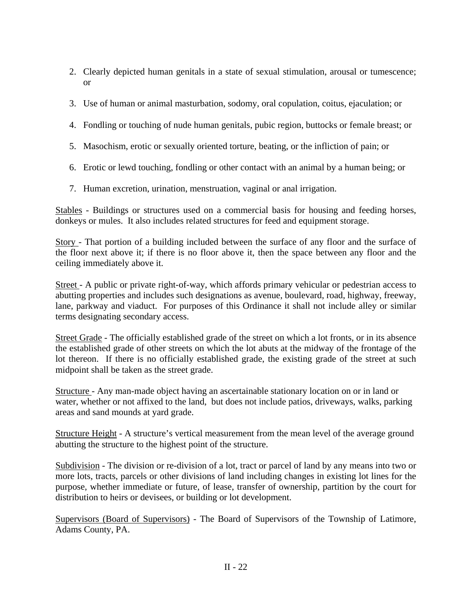- 2. Clearly depicted human genitals in a state of sexual stimulation, arousal or tumescence; or
- 3. Use of human or animal masturbation, sodomy, oral copulation, coitus, ejaculation; or
- 4. Fondling or touching of nude human genitals, pubic region, buttocks or female breast; or
- 5. Masochism, erotic or sexually oriented torture, beating, or the infliction of pain; or
- 6. Erotic or lewd touching, fondling or other contact with an animal by a human being; or
- 7. Human excretion, urination, menstruation, vaginal or anal irrigation.

Stables - Buildings or structures used on a commercial basis for housing and feeding horses, donkeys or mules. It also includes related structures for feed and equipment storage.

Story - That portion of a building included between the surface of any floor and the surface of the floor next above it; if there is no floor above it, then the space between any floor and the ceiling immediately above it.

Street - A public or private right-of-way, which affords primary vehicular or pedestrian access to abutting properties and includes such designations as avenue, boulevard, road, highway, freeway, lane, parkway and viaduct. For purposes of this Ordinance it shall not include alley or similar terms designating secondary access.

Street Grade - The officially established grade of the street on which a lot fronts, or in its absence the established grade of other streets on which the lot abuts at the midway of the frontage of the lot thereon. If there is no officially established grade, the existing grade of the street at such midpoint shall be taken as the street grade.

Structure - Any man-made object having an ascertainable stationary location on or in land or water, whether or not affixed to the land, but does not include patios, driveways, walks, parking areas and sand mounds at yard grade.

Structure Height - A structure's vertical measurement from the mean level of the average ground abutting the structure to the highest point of the structure.

Subdivision - The division or re-division of a lot, tract or parcel of land by any means into two or more lots, tracts, parcels or other divisions of land including changes in existing lot lines for the purpose, whether immediate or future, of lease, transfer of ownership, partition by the court for distribution to heirs or devisees, or building or lot development.

Supervisors (Board of Supervisors) - The Board of Supervisors of the Township of Latimore, Adams County, PA.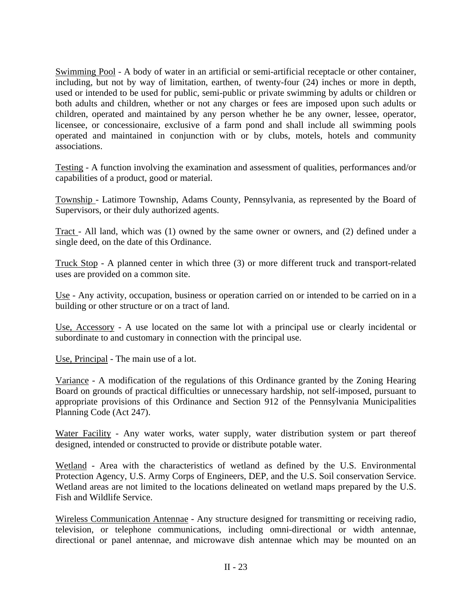Swimming Pool - A body of water in an artificial or semi-artificial receptacle or other container, including, but not by way of limitation, earthen, of twenty-four (24) inches or more in depth, used or intended to be used for public, semi-public or private swimming by adults or children or both adults and children, whether or not any charges or fees are imposed upon such adults or children, operated and maintained by any person whether he be any owner, lessee, operator, licensee, or concessionaire, exclusive of a farm pond and shall include all swimming pools operated and maintained in conjunction with or by clubs, motels, hotels and community associations.

Testing - A function involving the examination and assessment of qualities, performances and/or capabilities of a product, good or material.

Township - Latimore Township, Adams County, Pennsylvania, as represented by the Board of Supervisors, or their duly authorized agents.

Tract - All land, which was (1) owned by the same owner or owners, and (2) defined under a single deed, on the date of this Ordinance.

Truck Stop - A planned center in which three (3) or more different truck and transport-related uses are provided on a common site.

Use - Any activity, occupation, business or operation carried on or intended to be carried on in a building or other structure or on a tract of land.

Use, Accessory - A use located on the same lot with a principal use or clearly incidental or subordinate to and customary in connection with the principal use.

Use, Principal - The main use of a lot.

Variance - A modification of the regulations of this Ordinance granted by the Zoning Hearing Board on grounds of practical difficulties or unnecessary hardship, not self-imposed, pursuant to appropriate provisions of this Ordinance and Section 912 of the Pennsylvania Municipalities Planning Code (Act 247).

Water Facility - Any water works, water supply, water distribution system or part thereof designed, intended or constructed to provide or distribute potable water.

Wetland - Area with the characteristics of wetland as defined by the U.S. Environmental Protection Agency, U.S. Army Corps of Engineers, DEP, and the U.S. Soil conservation Service. Wetland areas are not limited to the locations delineated on wetland maps prepared by the U.S. Fish and Wildlife Service.

Wireless Communication Antennae - Any structure designed for transmitting or receiving radio, television, or telephone communications, including omni-directional or width antennae, directional or panel antennae, and microwave dish antennae which may be mounted on an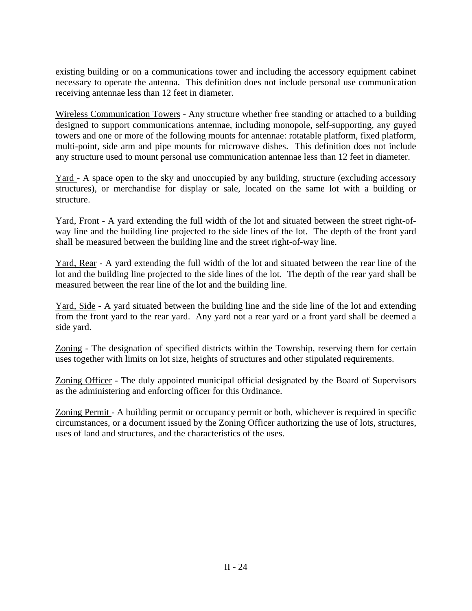existing building or on a communications tower and including the accessory equipment cabinet necessary to operate the antenna. This definition does not include personal use communication receiving antennae less than 12 feet in diameter.

Wireless Communication Towers - Any structure whether free standing or attached to a building designed to support communications antennae, including monopole, self-supporting, any guyed towers and one or more of the following mounts for antennae: rotatable platform, fixed platform, multi-point, side arm and pipe mounts for microwave dishes. This definition does not include any structure used to mount personal use communication antennae less than 12 feet in diameter.

Yard - A space open to the sky and unoccupied by any building, structure (excluding accessory structures), or merchandise for display or sale, located on the same lot with a building or structure.

Yard, Front - A yard extending the full width of the lot and situated between the street right-ofway line and the building line projected to the side lines of the lot. The depth of the front yard shall be measured between the building line and the street right-of-way line.

Yard, Rear - A yard extending the full width of the lot and situated between the rear line of the lot and the building line projected to the side lines of the lot. The depth of the rear yard shall be measured between the rear line of the lot and the building line.

Yard, Side - A yard situated between the building line and the side line of the lot and extending from the front yard to the rear yard. Any yard not a rear yard or a front yard shall be deemed a side yard.

Zoning - The designation of specified districts within the Township, reserving them for certain uses together with limits on lot size, heights of structures and other stipulated requirements.

Zoning Officer - The duly appointed municipal official designated by the Board of Supervisors as the administering and enforcing officer for this Ordinance.

Zoning Permit - A building permit or occupancy permit or both, whichever is required in specific circumstances, or a document issued by the Zoning Officer authorizing the use of lots, structures, uses of land and structures, and the characteristics of the uses.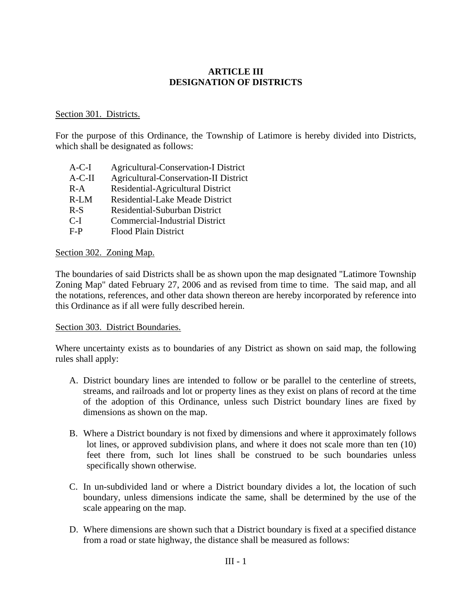## **ARTICLE III DESIGNATION OF DISTRICTS**

### Section 301. Districts.

For the purpose of this Ordinance, the Township of Latimore is hereby divided into Districts, which shall be designated as follows:

 A-C-I Agricultural-Conservation-I District A-C-II Agricultural-Conservation-II District R-A Residential-Agricultural District R-LM Residential-Lake Meade District R-S Residential-Suburban District C-I Commercial-Industrial District F-P Flood Plain District

#### Section 302. Zoning Map.

The boundaries of said Districts shall be as shown upon the map designated "Latimore Township Zoning Map" dated February 27, 2006 and as revised from time to time. The said map, and all the notations, references, and other data shown thereon are hereby incorporated by reference into this Ordinance as if all were fully described herein.

#### Section 303. District Boundaries.

Where uncertainty exists as to boundaries of any District as shown on said map, the following rules shall apply:

- A. District boundary lines are intended to follow or be parallel to the centerline of streets, streams, and railroads and lot or property lines as they exist on plans of record at the time of the adoption of this Ordinance, unless such District boundary lines are fixed by dimensions as shown on the map.
- B. Where a District boundary is not fixed by dimensions and where it approximately follows lot lines, or approved subdivision plans, and where it does not scale more than ten (10) feet there from, such lot lines shall be construed to be such boundaries unless specifically shown otherwise.
- C. In un-subdivided land or where a District boundary divides a lot, the location of such boundary, unless dimensions indicate the same, shall be determined by the use of the scale appearing on the map.
- D. Where dimensions are shown such that a District boundary is fixed at a specified distance from a road or state highway, the distance shall be measured as follows: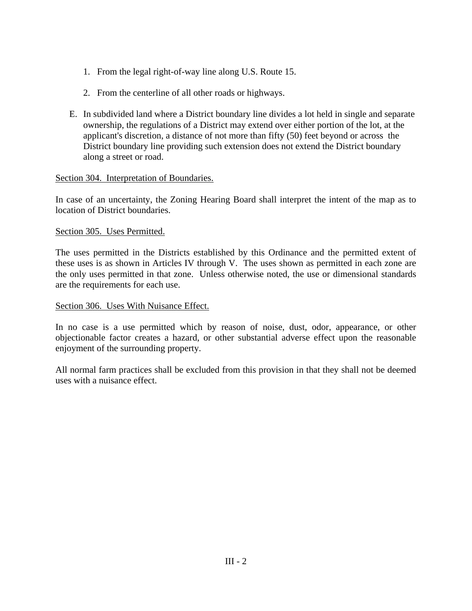- 1. From the legal right-of-way line along U.S. Route 15.
- 2. From the centerline of all other roads or highways.
- E. In subdivided land where a District boundary line divides a lot held in single and separate ownership, the regulations of a District may extend over either portion of the lot, at the applicant's discretion, a distance of not more than fifty (50) feet beyond or across the District boundary line providing such extension does not extend the District boundary along a street or road.

### Section 304. Interpretation of Boundaries.

In case of an uncertainty, the Zoning Hearing Board shall interpret the intent of the map as to location of District boundaries.

#### Section 305. Uses Permitted.

The uses permitted in the Districts established by this Ordinance and the permitted extent of these uses is as shown in Articles IV through V. The uses shown as permitted in each zone are the only uses permitted in that zone. Unless otherwise noted, the use or dimensional standards are the requirements for each use.

#### Section 306. Uses With Nuisance Effect.

In no case is a use permitted which by reason of noise, dust, odor, appearance, or other objectionable factor creates a hazard, or other substantial adverse effect upon the reasonable enjoyment of the surrounding property.

All normal farm practices shall be excluded from this provision in that they shall not be deemed uses with a nuisance effect.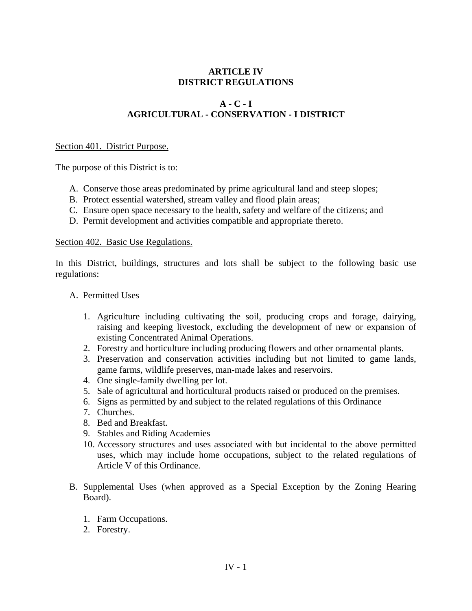# **ARTICLE IV DISTRICT REGULATIONS**

# **A - C - I AGRICULTURAL - CONSERVATION - I DISTRICT**

#### Section 401. District Purpose.

The purpose of this District is to:

- A. Conserve those areas predominated by prime agricultural land and steep slopes;
- B. Protect essential watershed, stream valley and flood plain areas;
- C. Ensure open space necessary to the health, safety and welfare of the citizens; and
- D. Permit development and activities compatible and appropriate thereto.

#### Section 402. Basic Use Regulations.

In this District, buildings, structures and lots shall be subject to the following basic use regulations:

- A. Permitted Uses
	- 1. Agriculture including cultivating the soil, producing crops and forage, dairying, raising and keeping livestock, excluding the development of new or expansion of existing Concentrated Animal Operations.
	- 2. Forestry and horticulture including producing flowers and other ornamental plants.
	- 3. Preservation and conservation activities including but not limited to game lands, game farms, wildlife preserves, man-made lakes and reservoirs.
	- 4. One single-family dwelling per lot.
	- 5. Sale of agricultural and horticultural products raised or produced on the premises.
	- 6. Signs as permitted by and subject to the related regulations of this Ordinance
	- 7. Churches.
	- 8. Bed and Breakfast.
	- 9. Stables and Riding Academies
	- 10. Accessory structures and uses associated with but incidental to the above permitted uses, which may include home occupations, subject to the related regulations of Article V of this Ordinance.
- B. Supplemental Uses (when approved as a Special Exception by the Zoning Hearing Board).
	- 1. Farm Occupations.
	- 2. Forestry.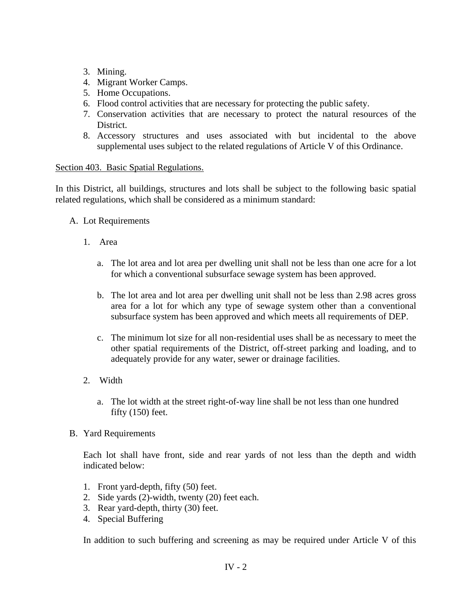- 3. Mining.
- 4. Migrant Worker Camps.
- 5. Home Occupations.
- 6. Flood control activities that are necessary for protecting the public safety.
- 7. Conservation activities that are necessary to protect the natural resources of the District.
- 8. Accessory structures and uses associated with but incidental to the above supplemental uses subject to the related regulations of Article V of this Ordinance.

## Section 403. Basic Spatial Regulations.

In this District, all buildings, structures and lots shall be subject to the following basic spatial related regulations, which shall be considered as a minimum standard:

- A. Lot Requirements
	- 1. Area
		- a. The lot area and lot area per dwelling unit shall not be less than one acre for a lot for which a conventional subsurface sewage system has been approved.
		- b. The lot area and lot area per dwelling unit shall not be less than 2.98 acres gross area for a lot for which any type of sewage system other than a conventional subsurface system has been approved and which meets all requirements of DEP.
		- c. The minimum lot size for all non-residential uses shall be as necessary to meet the other spatial requirements of the District, off-street parking and loading, and to adequately provide for any water, sewer or drainage facilities.
	- 2. Width
		- a. The lot width at the street right-of-way line shall be not less than one hundred fifty (150) feet.
- B. Yard Requirements

Each lot shall have front, side and rear yards of not less than the depth and width indicated below:

- 1. Front yard-depth, fifty (50) feet.
- 2. Side yards (2)-width, twenty (20) feet each.
- 3. Rear yard-depth, thirty (30) feet.
- 4. Special Buffering

In addition to such buffering and screening as may be required under Article V of this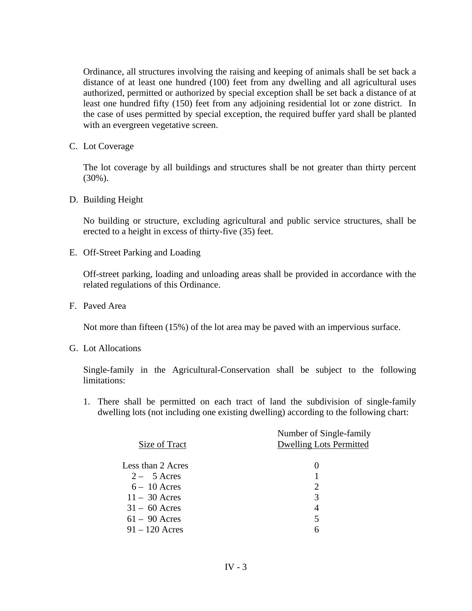Ordinance, all structures involving the raising and keeping of animals shall be set back a distance of at least one hundred (100) feet from any dwelling and all agricultural uses authorized, permitted or authorized by special exception shall be set back a distance of at least one hundred fifty (150) feet from any adjoining residential lot or zone district. In the case of uses permitted by special exception, the required buffer yard shall be planted with an evergreen vegetative screen.

C. Lot Coverage

The lot coverage by all buildings and structures shall be not greater than thirty percent (30%).

D. Building Height

No building or structure, excluding agricultural and public service structures, shall be erected to a height in excess of thirty-five (35) feet.

E. Off-Street Parking and Loading

Off-street parking, loading and unloading areas shall be provided in accordance with the related regulations of this Ordinance.

F. Paved Area

Not more than fifteen (15%) of the lot area may be paved with an impervious surface.

G. Lot Allocations

Single-family in the Agricultural-Conservation shall be subject to the following limitations:

1. There shall be permitted on each tract of land the subdivision of single-family dwelling lots (not including one existing dwelling) according to the following chart:

|                   | Number of Single-family        |
|-------------------|--------------------------------|
| Size of Tract     | <b>Dwelling Lots Permitted</b> |
|                   |                                |
| Less than 2 Acres |                                |
| $2 - 5$ Acres     |                                |
| $6-10$ Acres      | 2                              |
| $11 - 30$ Acres   | 3                              |
| $31 - 60$ Acres   | 4                              |
| $61 - 90$ Acres   | 5                              |
| $91 - 120$ Acres  | 6                              |
|                   |                                |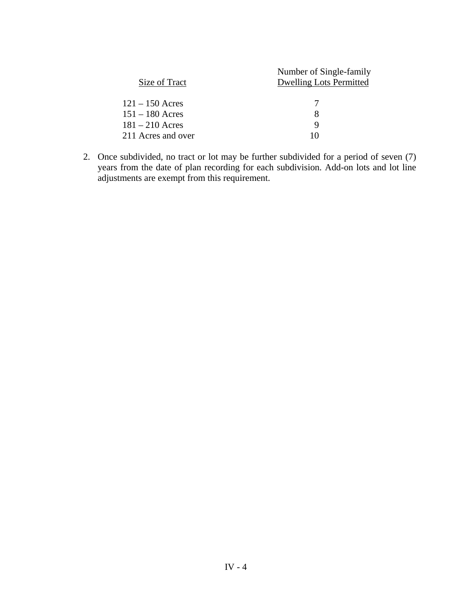|                    | Number of Single-family        |
|--------------------|--------------------------------|
| Size of Tract      | <b>Dwelling Lots Permitted</b> |
| $121 - 150$ Acres  |                                |
| $151 - 180$ Acres  | 8                              |
| $181 - 210$ Acres  | 9                              |
| 211 Acres and over | 10                             |

2. Once subdivided, no tract or lot may be further subdivided for a period of seven (7) years from the date of plan recording for each subdivision. Add-on lots and lot line adjustments are exempt from this requirement.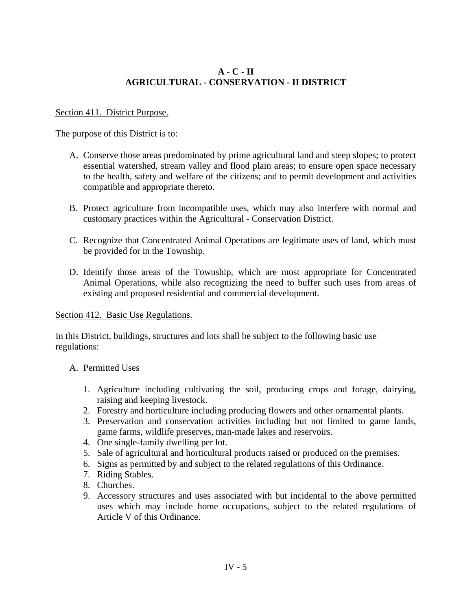# **A - C - II AGRICULTURAL - CONSERVATION - II DISTRICT**

## Section 411. District Purpose.

The purpose of this District is to:

- A. Conserve those areas predominated by prime agricultural land and steep slopes; to protect essential watershed, stream valley and flood plain areas; to ensure open space necessary to the health, safety and welfare of the citizens; and to permit development and activities compatible and appropriate thereto.
- B. Protect agriculture from incompatible uses, which may also interfere with normal and customary practices within the Agricultural - Conservation District.
- C. Recognize that Concentrated Animal Operations are legitimate uses of land, which must be provided for in the Township.
- D. Identify those areas of the Township, which are most appropriate for Concentrated Animal Operations, while also recognizing the need to buffer such uses from areas of existing and proposed residential and commercial development.

### Section 412. Basic Use Regulations.

In this District, buildings, structures and lots shall be subject to the following basic use regulations:

# A. Permitted Uses

- 1. Agriculture including cultivating the soil, producing crops and forage, dairying, raising and keeping livestock.
- 2. Forestry and horticulture including producing flowers and other ornamental plants.
- 3. Preservation and conservation activities including but not limited to game lands, game farms, wildlife preserves, man-made lakes and reservoirs.
- 4. One single-family dwelling per lot.
- 5. Sale of agricultural and horticultural products raised or produced on the premises.
- 6. Signs as permitted by and subject to the related regulations of this Ordinance.
- 7. Riding Stables.
- 8. Churches.
- 9. Accessory structures and uses associated with but incidental to the above permitted uses which may include home occupations, subject to the related regulations of Article V of this Ordinance.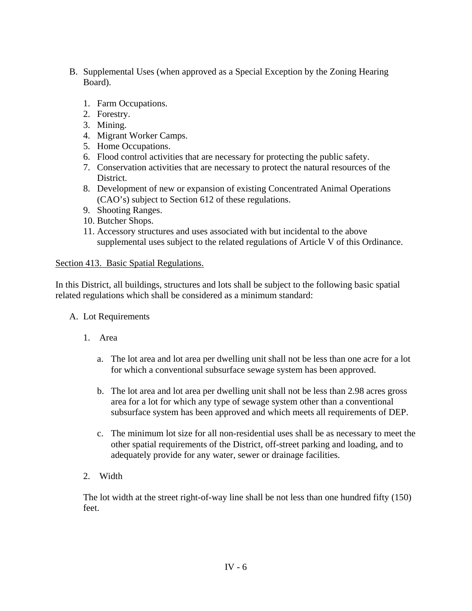- B. Supplemental Uses (when approved as a Special Exception by the Zoning Hearing Board).
	- 1. Farm Occupations.
	- 2. Forestry.
	- 3. Mining.
	- 4. Migrant Worker Camps.
	- 5. Home Occupations.
	- 6. Flood control activities that are necessary for protecting the public safety.
	- 7. Conservation activities that are necessary to protect the natural resources of the District.
	- 8. Development of new or expansion of existing Concentrated Animal Operations (CAO's) subject to Section 612 of these regulations.
	- 9. Shooting Ranges.
	- 10. Butcher Shops.
	- 11. Accessory structures and uses associated with but incidental to the above supplemental uses subject to the related regulations of Article V of this Ordinance.

# Section 413. Basic Spatial Regulations.

In this District, all buildings, structures and lots shall be subject to the following basic spatial related regulations which shall be considered as a minimum standard:

- A. Lot Requirements
	- 1. Area
		- a. The lot area and lot area per dwelling unit shall not be less than one acre for a lot for which a conventional subsurface sewage system has been approved.
		- b. The lot area and lot area per dwelling unit shall not be less than 2.98 acres gross area for a lot for which any type of sewage system other than a conventional subsurface system has been approved and which meets all requirements of DEP.
		- c. The minimum lot size for all non-residential uses shall be as necessary to meet the other spatial requirements of the District, off-street parking and loading, and to adequately provide for any water, sewer or drainage facilities.
	- 2. Width

The lot width at the street right-of-way line shall be not less than one hundred fifty (150) feet.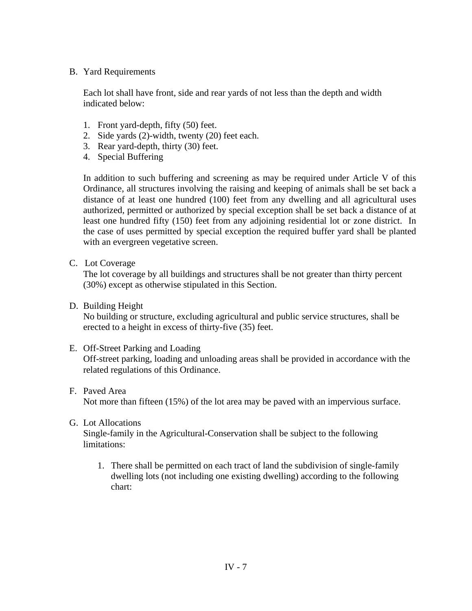## B. Yard Requirements

Each lot shall have front, side and rear yards of not less than the depth and width indicated below:

- 1. Front yard-depth, fifty (50) feet.
- 2. Side yards (2)-width, twenty (20) feet each.
- 3. Rear yard-depth, thirty (30) feet.
- 4. Special Buffering

In addition to such buffering and screening as may be required under Article V of this Ordinance, all structures involving the raising and keeping of animals shall be set back a distance of at least one hundred (100) feet from any dwelling and all agricultural uses authorized, permitted or authorized by special exception shall be set back a distance of at least one hundred fifty (150) feet from any adjoining residential lot or zone district. In the case of uses permitted by special exception the required buffer yard shall be planted with an evergreen vegetative screen.

C. Lot Coverage

The lot coverage by all buildings and structures shall be not greater than thirty percent (30%) except as otherwise stipulated in this Section.

D. Building Height

No building or structure, excluding agricultural and public service structures, shall be erected to a height in excess of thirty-five (35) feet.

E. Off-Street Parking and Loading

Off-street parking, loading and unloading areas shall be provided in accordance with the related regulations of this Ordinance.

F. Paved Area

Not more than fifteen (15%) of the lot area may be paved with an impervious surface.

G. Lot Allocations

Single-family in the Agricultural-Conservation shall be subject to the following limitations:

1. There shall be permitted on each tract of land the subdivision of single-family dwelling lots (not including one existing dwelling) according to the following chart: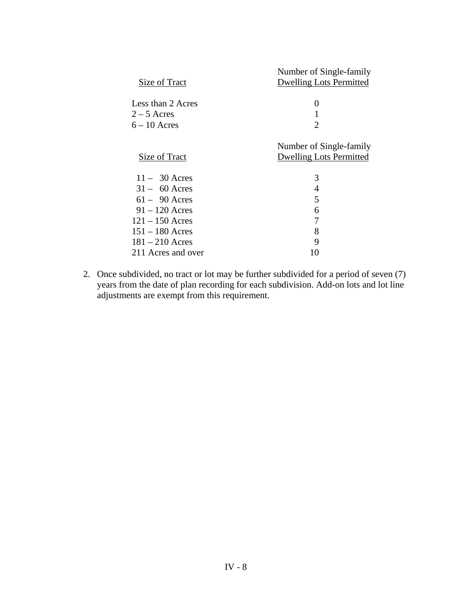| Size of Tract      | Number of Single-family<br><b>Dwelling Lots Permitted</b> |
|--------------------|-----------------------------------------------------------|
|                    |                                                           |
| Less than 2 Acres  | $\theta$                                                  |
| $2 - 5$ Acres      |                                                           |
| $6 - 10$ Acres     | $\mathcal{D}_{\mathcal{L}}$                               |
|                    |                                                           |
|                    | Number of Single-family                                   |
| Size of Tract      | <b>Dwelling Lots Permitted</b>                            |
|                    |                                                           |
| $11 - 30$ Acres    | 3                                                         |
| $31 - 60$ Acres    | 4                                                         |
| $61 - 90$ Acres    | 5                                                         |
| $91 - 120$ Acres   | 6                                                         |
| $121 - 150$ Acres  | 7                                                         |
| $151 - 180$ Acres  | 8                                                         |
| $181 - 210$ Acres  | 9                                                         |
| 211 Acres and over | 10                                                        |

 2. Once subdivided, no tract or lot may be further subdivided for a period of seven (7) years from the date of plan recording for each subdivision. Add-on lots and lot line adjustments are exempt from this requirement.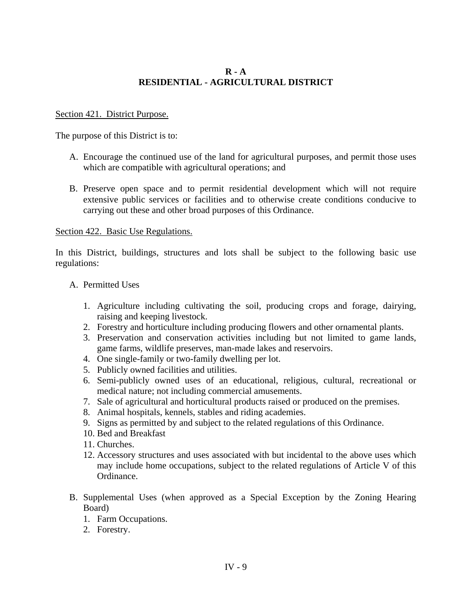## **R - A RESIDENTIAL - AGRICULTURAL DISTRICT**

#### Section 421. District Purpose.

The purpose of this District is to:

- A. Encourage the continued use of the land for agricultural purposes, and permit those uses which are compatible with agricultural operations; and
- B. Preserve open space and to permit residential development which will not require extensive public services or facilities and to otherwise create conditions conducive to carrying out these and other broad purposes of this Ordinance.

#### Section 422. Basic Use Regulations.

In this District, buildings, structures and lots shall be subject to the following basic use regulations:

#### A. Permitted Uses

- 1. Agriculture including cultivating the soil, producing crops and forage, dairying, raising and keeping livestock.
- 2. Forestry and horticulture including producing flowers and other ornamental plants.
- 3. Preservation and conservation activities including but not limited to game lands, game farms, wildlife preserves, man-made lakes and reservoirs.
- 4. One single-family or two-family dwelling per lot.
- 5. Publicly owned facilities and utilities.
- 6. Semi-publicly owned uses of an educational, religious, cultural, recreational or medical nature; not including commercial amusements.
- 7. Sale of agricultural and horticultural products raised or produced on the premises.
- 8. Animal hospitals, kennels, stables and riding academies.
- 9. Signs as permitted by and subject to the related regulations of this Ordinance.
- 10. Bed and Breakfast
- 11. Churches.
- 12. Accessory structures and uses associated with but incidental to the above uses which may include home occupations, subject to the related regulations of Article V of this Ordinance.
- B. Supplemental Uses (when approved as a Special Exception by the Zoning Hearing Board)
	- 1. Farm Occupations.
	- 2. Forestry.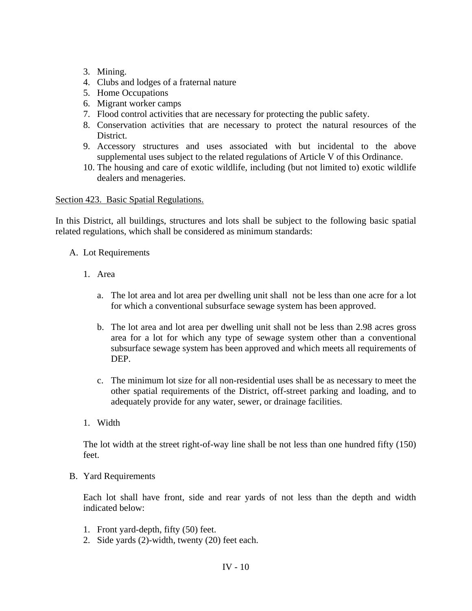- 3. Mining.
- 4. Clubs and lodges of a fraternal nature
- 5. Home Occupations
- 6. Migrant worker camps
- 7. Flood control activities that are necessary for protecting the public safety.
- 8. Conservation activities that are necessary to protect the natural resources of the District.
- 9. Accessory structures and uses associated with but incidental to the above supplemental uses subject to the related regulations of Article V of this Ordinance.
- 10. The housing and care of exotic wildlife, including (but not limited to) exotic wildlife dealers and menageries.

Section 423. Basic Spatial Regulations.

In this District, all buildings, structures and lots shall be subject to the following basic spatial related regulations, which shall be considered as minimum standards:

- A. Lot Requirements
	- 1. Area
		- a. The lot area and lot area per dwelling unit shall not be less than one acre for a lot for which a conventional subsurface sewage system has been approved.
		- b. The lot area and lot area per dwelling unit shall not be less than 2.98 acres gross area for a lot for which any type of sewage system other than a conventional subsurface sewage system has been approved and which meets all requirements of DEP.
		- c. The minimum lot size for all non-residential uses shall be as necessary to meet the other spatial requirements of the District, off-street parking and loading, and to adequately provide for any water, sewer, or drainage facilities.
	- 1. Width

The lot width at the street right-of-way line shall be not less than one hundred fifty (150) feet.

B. Yard Requirements

Each lot shall have front, side and rear yards of not less than the depth and width indicated below:

- 1. Front yard-depth, fifty (50) feet.
- 2. Side yards (2)-width, twenty (20) feet each.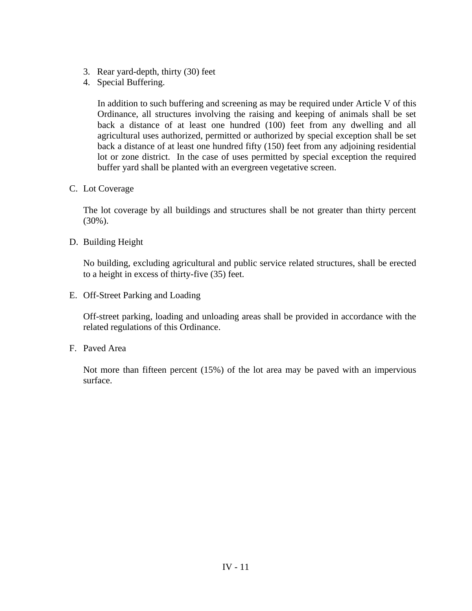- 3. Rear yard-depth, thirty (30) feet
- 4. Special Buffering.

In addition to such buffering and screening as may be required under Article V of this Ordinance, all structures involving the raising and keeping of animals shall be set back a distance of at least one hundred (100) feet from any dwelling and all agricultural uses authorized, permitted or authorized by special exception shall be set back a distance of at least one hundred fifty (150) feet from any adjoining residential lot or zone district. In the case of uses permitted by special exception the required buffer yard shall be planted with an evergreen vegetative screen.

C. Lot Coverage

The lot coverage by all buildings and structures shall be not greater than thirty percent (30%).

D. Building Height

No building, excluding agricultural and public service related structures, shall be erected to a height in excess of thirty-five (35) feet.

E. Off-Street Parking and Loading

Off-street parking, loading and unloading areas shall be provided in accordance with the related regulations of this Ordinance.

F. Paved Area

Not more than fifteen percent (15%) of the lot area may be paved with an impervious surface.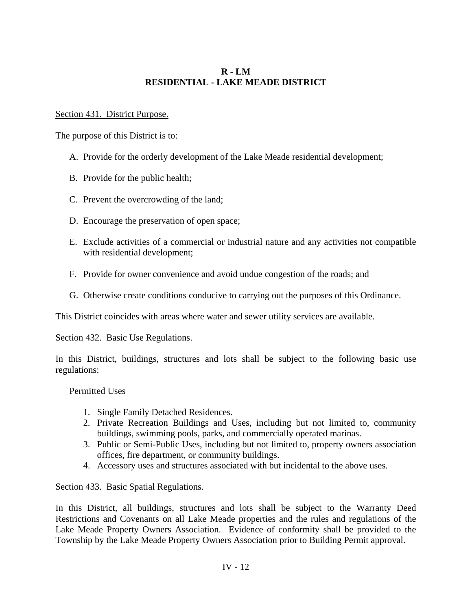# **R - LM RESIDENTIAL - LAKE MEADE DISTRICT**

## Section 431. District Purpose.

The purpose of this District is to:

- A. Provide for the orderly development of the Lake Meade residential development;
- B. Provide for the public health;
- C. Prevent the overcrowding of the land;
- D. Encourage the preservation of open space;
- E. Exclude activities of a commercial or industrial nature and any activities not compatible with residential development;
- F. Provide for owner convenience and avoid undue congestion of the roads; and
- G. Otherwise create conditions conducive to carrying out the purposes of this Ordinance.

This District coincides with areas where water and sewer utility services are available.

### Section 432. Basic Use Regulations.

In this District, buildings, structures and lots shall be subject to the following basic use regulations:

# Permitted Uses

- 1. Single Family Detached Residences.
- 2. Private Recreation Buildings and Uses, including but not limited to, community buildings, swimming pools, parks, and commercially operated marinas.
- 3. Public or Semi-Public Uses, including but not limited to, property owners association offices, fire department, or community buildings.
- 4. Accessory uses and structures associated with but incidental to the above uses.

# Section 433. Basic Spatial Regulations.

In this District, all buildings, structures and lots shall be subject to the Warranty Deed Restrictions and Covenants on all Lake Meade properties and the rules and regulations of the Lake Meade Property Owners Association. Evidence of conformity shall be provided to the Township by the Lake Meade Property Owners Association prior to Building Permit approval.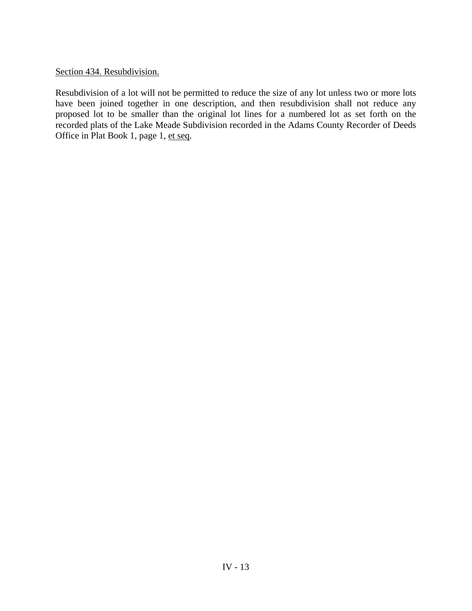Section 434. Resubdivision.

Resubdivision of a lot will not be permitted to reduce the size of any lot unless two or more lots have been joined together in one description, and then resubdivision shall not reduce any proposed lot to be smaller than the original lot lines for a numbered lot as set forth on the recorded plats of the Lake Meade Subdivision recorded in the Adams County Recorder of Deeds Office in Plat Book 1, page 1, et seq.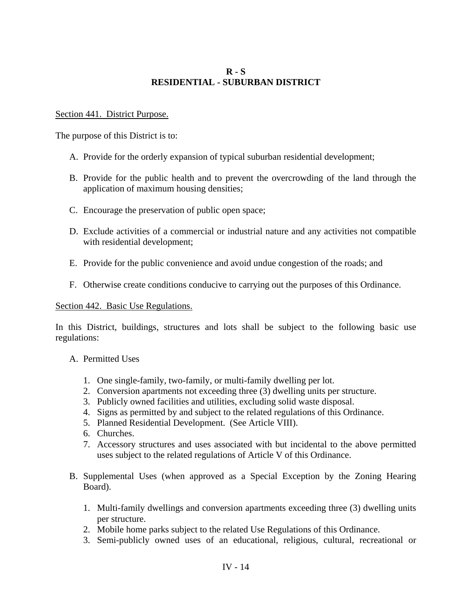# **R - S RESIDENTIAL - SUBURBAN DISTRICT**

#### Section 441. District Purpose.

The purpose of this District is to:

- A. Provide for the orderly expansion of typical suburban residential development;
- B. Provide for the public health and to prevent the overcrowding of the land through the application of maximum housing densities;
- C. Encourage the preservation of public open space;
- D. Exclude activities of a commercial or industrial nature and any activities not compatible with residential development;
- E. Provide for the public convenience and avoid undue congestion of the roads; and
- F. Otherwise create conditions conducive to carrying out the purposes of this Ordinance.

#### Section 442. Basic Use Regulations.

In this District, buildings, structures and lots shall be subject to the following basic use regulations:

- A. Permitted Uses
	- 1. One single-family, two-family, or multi-family dwelling per lot.
	- 2. Conversion apartments not exceeding three (3) dwelling units per structure.
	- 3. Publicly owned facilities and utilities, excluding solid waste disposal.
	- 4. Signs as permitted by and subject to the related regulations of this Ordinance.
	- 5. Planned Residential Development. (See Article VIII).
	- 6. Churches.
	- 7. Accessory structures and uses associated with but incidental to the above permitted uses subject to the related regulations of Article V of this Ordinance.
- B. Supplemental Uses (when approved as a Special Exception by the Zoning Hearing Board).
	- 1. Multi-family dwellings and conversion apartments exceeding three (3) dwelling units per structure.
	- 2. Mobile home parks subject to the related Use Regulations of this Ordinance.
	- 3. Semi-publicly owned uses of an educational, religious, cultural, recreational or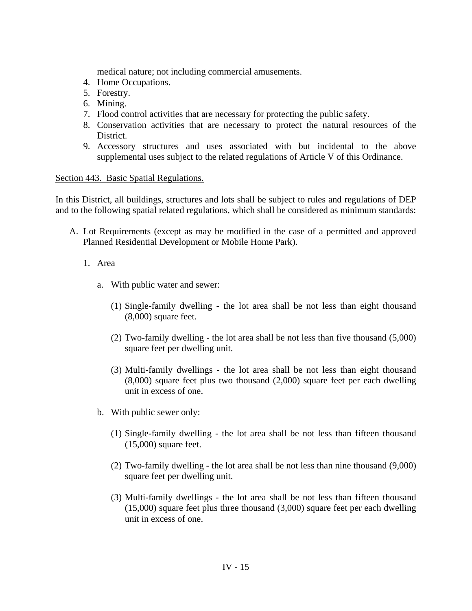medical nature; not including commercial amusements.

- 4. Home Occupations.
- 5. Forestry.
- 6. Mining.
- 7. Flood control activities that are necessary for protecting the public safety.
- 8. Conservation activities that are necessary to protect the natural resources of the District.
- 9. Accessory structures and uses associated with but incidental to the above supplemental uses subject to the related regulations of Article V of this Ordinance.

#### Section 443. Basic Spatial Regulations.

In this District, all buildings, structures and lots shall be subject to rules and regulations of DEP and to the following spatial related regulations, which shall be considered as minimum standards:

- A. Lot Requirements (except as may be modified in the case of a permitted and approved Planned Residential Development or Mobile Home Park).
	- 1. Area
		- a. With public water and sewer:
			- (1) Single-family dwelling the lot area shall be not less than eight thousand (8,000) square feet.
			- (2) Two-family dwelling the lot area shall be not less than five thousand (5,000) square feet per dwelling unit.
			- (3) Multi-family dwellings the lot area shall be not less than eight thousand (8,000) square feet plus two thousand (2,000) square feet per each dwelling unit in excess of one.
		- b. With public sewer only:
			- (1) Single-family dwelling the lot area shall be not less than fifteen thousand (15,000) square feet.
			- (2) Two-family dwelling the lot area shall be not less than nine thousand (9,000) square feet per dwelling unit.
			- (3) Multi-family dwellings the lot area shall be not less than fifteen thousand (15,000) square feet plus three thousand (3,000) square feet per each dwelling unit in excess of one.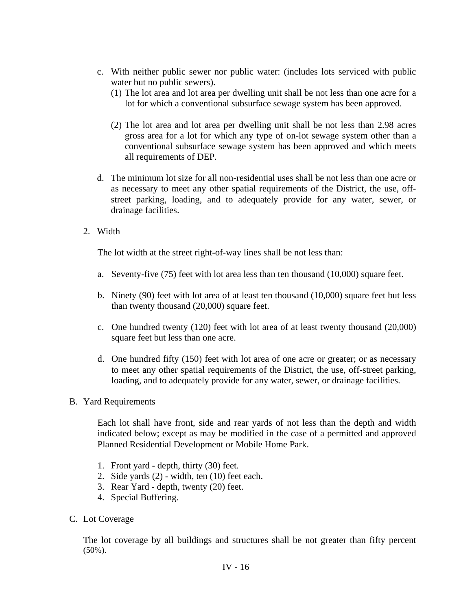- c. With neither public sewer nor public water: (includes lots serviced with public water but no public sewers).
	- (1) The lot area and lot area per dwelling unit shall be not less than one acre for a lot for which a conventional subsurface sewage system has been approved.
	- (2) The lot area and lot area per dwelling unit shall be not less than 2.98 acres gross area for a lot for which any type of on-lot sewage system other than a conventional subsurface sewage system has been approved and which meets all requirements of DEP.
- d. The minimum lot size for all non-residential uses shall be not less than one acre or as necessary to meet any other spatial requirements of the District, the use, offstreet parking, loading, and to adequately provide for any water, sewer, or drainage facilities.
- 2. Width

The lot width at the street right-of-way lines shall be not less than:

- a. Seventy-five (75) feet with lot area less than ten thousand (10,000) square feet.
- b. Ninety (90) feet with lot area of at least ten thousand (10,000) square feet but less than twenty thousand (20,000) square feet.
- c. One hundred twenty (120) feet with lot area of at least twenty thousand (20,000) square feet but less than one acre.
- d. One hundred fifty (150) feet with lot area of one acre or greater; or as necessary to meet any other spatial requirements of the District, the use, off-street parking, loading, and to adequately provide for any water, sewer, or drainage facilities.
- B. Yard Requirements

Each lot shall have front, side and rear yards of not less than the depth and width indicated below; except as may be modified in the case of a permitted and approved Planned Residential Development or Mobile Home Park.

- 1. Front yard depth, thirty (30) feet.
- 2. Side yards (2) width, ten (10) feet each.
- 3. Rear Yard depth, twenty (20) feet.
- 4. Special Buffering.
- C. Lot Coverage

The lot coverage by all buildings and structures shall be not greater than fifty percent  $(50\%)$ .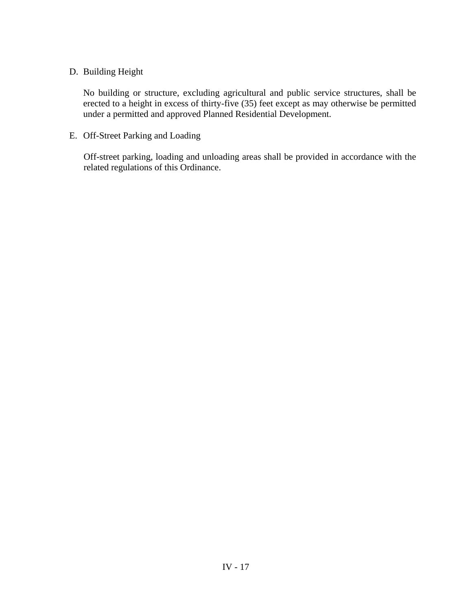# D. Building Height

No building or structure, excluding agricultural and public service structures, shall be erected to a height in excess of thirty-five (35) feet except as may otherwise be permitted under a permitted and approved Planned Residential Development.

E. Off-Street Parking and Loading

Off-street parking, loading and unloading areas shall be provided in accordance with the related regulations of this Ordinance.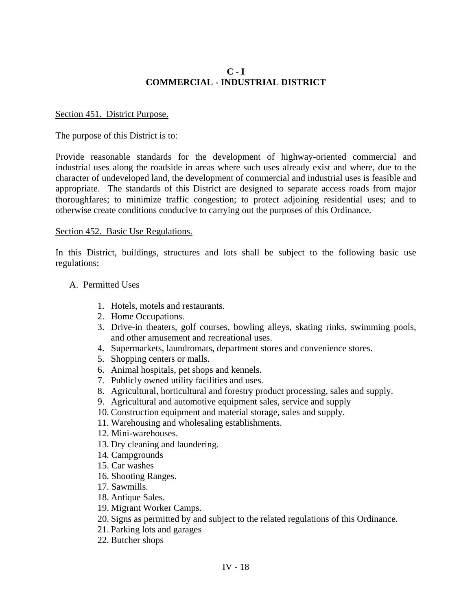# **C - I COMMERCIAL - INDUSTRIAL DISTRICT**

#### Section 451. District Purpose.

The purpose of this District is to:

Provide reasonable standards for the development of highway-oriented commercial and industrial uses along the roadside in areas where such uses already exist and where, due to the character of undeveloped land, the development of commercial and industrial uses is feasible and appropriate. The standards of this District are designed to separate access roads from major thoroughfares; to minimize traffic congestion; to protect adjoining residential uses; and to otherwise create conditions conducive to carrying out the purposes of this Ordinance.

#### Section 452. Basic Use Regulations.

In this District, buildings, structures and lots shall be subject to the following basic use regulations:

#### A. Permitted Uses

- 1. Hotels, motels and restaurants.
- 2. Home Occupations.
- 3. Drive-in theaters, golf courses, bowling alleys, skating rinks, swimming pools, and other amusement and recreational uses.
- 4. Supermarkets, laundromats, department stores and convenience stores.
- 5. Shopping centers or malls.
- 6. Animal hospitals, pet shops and kennels.
- 7. Publicly owned utility facilities and uses.
- 8. Agricultural, horticultural and forestry product processing, sales and supply.
- 9. Agricultural and automotive equipment sales, service and supply
- 10. Construction equipment and material storage, sales and supply.
- 11. Warehousing and wholesaling establishments.
- 12. Mini-warehouses.
- 13. Dry cleaning and laundering.
- 14. Campgrounds
- 15. Car washes
- 16. Shooting Ranges.
- 17. Sawmills.
- 18. Antique Sales.
- 19. Migrant Worker Camps.
- 20. Signs as permitted by and subject to the related regulations of this Ordinance.
- 21. Parking lots and garages
- 22. Butcher shops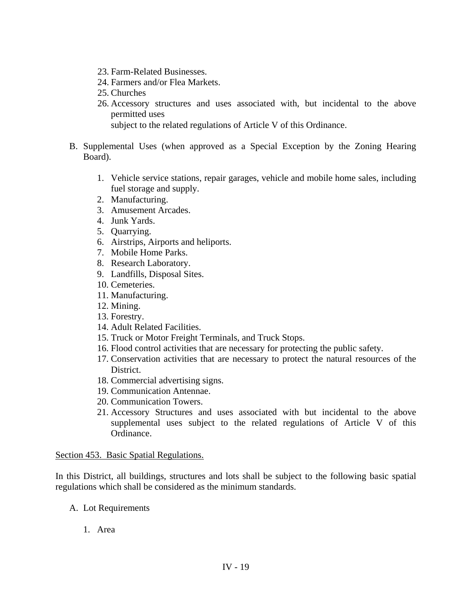- 23. Farm-Related Businesses.
- 24. Farmers and/or Flea Markets.
- 25. Churches
- 26. Accessory structures and uses associated with, but incidental to the above permitted uses

subject to the related regulations of Article V of this Ordinance.

- B. Supplemental Uses (when approved as a Special Exception by the Zoning Hearing Board).
	- 1. Vehicle service stations, repair garages, vehicle and mobile home sales, including fuel storage and supply.
	- 2. Manufacturing.
	- 3. Amusement Arcades.
	- 4. Junk Yards.
	- 5. Quarrying.
	- 6. Airstrips, Airports and heliports.
	- 7. Mobile Home Parks.
	- 8. Research Laboratory.
	- 9. Landfills, Disposal Sites.
	- 10. Cemeteries.
	- 11. Manufacturing.
	- 12. Mining.
	- 13. Forestry.
	- 14. Adult Related Facilities.
	- 15. Truck or Motor Freight Terminals, and Truck Stops.
	- 16. Flood control activities that are necessary for protecting the public safety.
	- 17. Conservation activities that are necessary to protect the natural resources of the District.
	- 18. Commercial advertising signs.
	- 19. Communication Antennae.
	- 20. Communication Towers.
	- 21. Accessory Structures and uses associated with but incidental to the above supplemental uses subject to the related regulations of Article V of this Ordinance.

#### Section 453. Basic Spatial Regulations.

In this District, all buildings, structures and lots shall be subject to the following basic spatial regulations which shall be considered as the minimum standards.

- A. Lot Requirements
	- 1. Area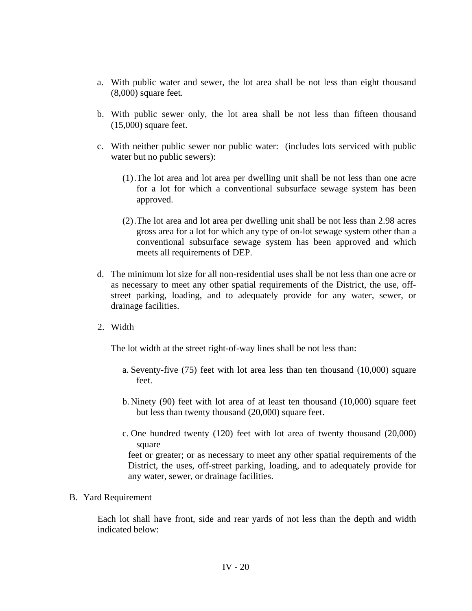- a. With public water and sewer, the lot area shall be not less than eight thousand (8,000) square feet.
- b. With public sewer only, the lot area shall be not less than fifteen thousand (15,000) square feet.
- c. With neither public sewer nor public water: (includes lots serviced with public water but no public sewers):
	- (1).The lot area and lot area per dwelling unit shall be not less than one acre for a lot for which a conventional subsurface sewage system has been approved.
	- (2).The lot area and lot area per dwelling unit shall be not less than 2.98 acres gross area for a lot for which any type of on-lot sewage system other than a conventional subsurface sewage system has been approved and which meets all requirements of DEP.
- d. The minimum lot size for all non-residential uses shall be not less than one acre or as necessary to meet any other spatial requirements of the District, the use, offstreet parking, loading, and to adequately provide for any water, sewer, or drainage facilities.
- 2. Width

The lot width at the street right-of-way lines shall be not less than:

- a. Seventy-five (75) feet with lot area less than ten thousand (10,000) square feet.
- b. Ninety (90) feet with lot area of at least ten thousand (10,000) square feet but less than twenty thousand (20,000) square feet.
- c. One hundred twenty (120) feet with lot area of twenty thousand (20,000) square

feet or greater; or as necessary to meet any other spatial requirements of the District, the uses, off-street parking, loading, and to adequately provide for any water, sewer, or drainage facilities.

### B. Yard Requirement

Each lot shall have front, side and rear yards of not less than the depth and width indicated below: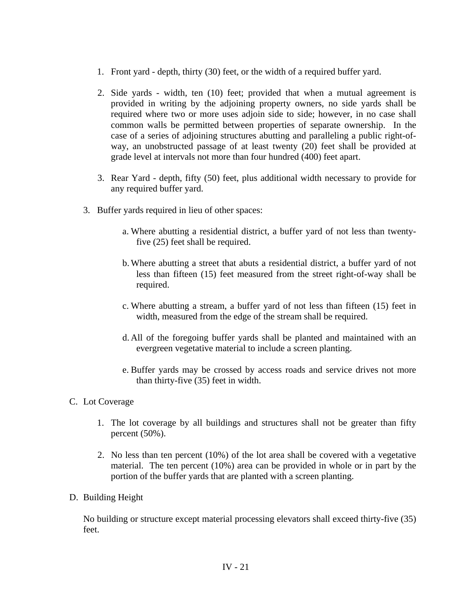- 1. Front yard depth, thirty (30) feet, or the width of a required buffer yard.
- 2. Side yards width, ten (10) feet; provided that when a mutual agreement is provided in writing by the adjoining property owners, no side yards shall be required where two or more uses adjoin side to side; however, in no case shall common walls be permitted between properties of separate ownership. In the case of a series of adjoining structures abutting and paralleling a public right-ofway, an unobstructed passage of at least twenty (20) feet shall be provided at grade level at intervals not more than four hundred (400) feet apart.
- 3. Rear Yard depth, fifty (50) feet, plus additional width necessary to provide for any required buffer yard.
- 3. Buffer yards required in lieu of other spaces:
	- a. Where abutting a residential district, a buffer yard of not less than twentyfive (25) feet shall be required.
	- b. Where abutting a street that abuts a residential district, a buffer yard of not less than fifteen (15) feet measured from the street right-of-way shall be required.
	- c. Where abutting a stream, a buffer yard of not less than fifteen (15) feet in width, measured from the edge of the stream shall be required.
	- d. All of the foregoing buffer yards shall be planted and maintained with an evergreen vegetative material to include a screen planting.
	- e. Buffer yards may be crossed by access roads and service drives not more than thirty-five (35) feet in width.

# C. Lot Coverage

- 1. The lot coverage by all buildings and structures shall not be greater than fifty percent (50%).
- 2. No less than ten percent (10%) of the lot area shall be covered with a vegetative material. The ten percent (10%) area can be provided in whole or in part by the portion of the buffer yards that are planted with a screen planting.
- D. Building Height

No building or structure except material processing elevators shall exceed thirty-five (35) feet.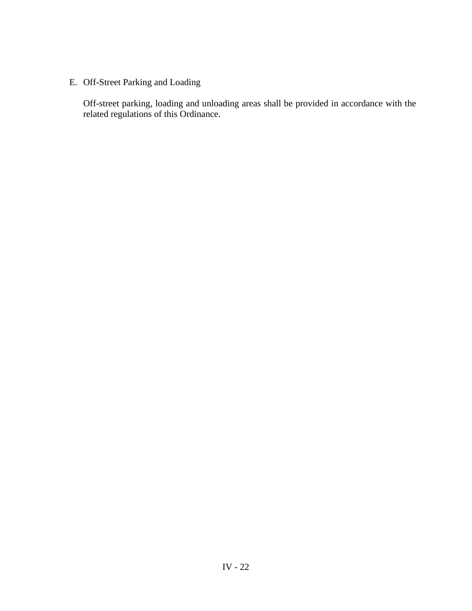E. Off-Street Parking and Loading

Off-street parking, loading and unloading areas shall be provided in accordance with the related regulations of this Ordinance.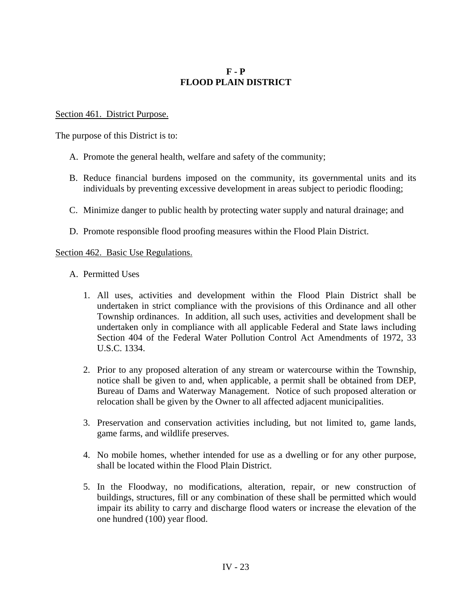# **F - P FLOOD PLAIN DISTRICT**

### Section 461. District Purpose.

The purpose of this District is to:

- A. Promote the general health, welfare and safety of the community;
- B. Reduce financial burdens imposed on the community, its governmental units and its individuals by preventing excessive development in areas subject to periodic flooding;
- C. Minimize danger to public health by protecting water supply and natural drainage; and
- D. Promote responsible flood proofing measures within the Flood Plain District.

## Section 462. Basic Use Regulations.

- A. Permitted Uses
	- 1. All uses, activities and development within the Flood Plain District shall be undertaken in strict compliance with the provisions of this Ordinance and all other Township ordinances. In addition, all such uses, activities and development shall be undertaken only in compliance with all applicable Federal and State laws including Section 404 of the Federal Water Pollution Control Act Amendments of 1972, 33 U.S.C. 1334.
	- 2. Prior to any proposed alteration of any stream or watercourse within the Township, notice shall be given to and, when applicable, a permit shall be obtained from DEP, Bureau of Dams and Waterway Management. Notice of such proposed alteration or relocation shall be given by the Owner to all affected adjacent municipalities.
	- 3. Preservation and conservation activities including, but not limited to, game lands, game farms, and wildlife preserves.
	- 4. No mobile homes, whether intended for use as a dwelling or for any other purpose, shall be located within the Flood Plain District.
	- 5. In the Floodway, no modifications, alteration, repair, or new construction of buildings, structures, fill or any combination of these shall be permitted which would impair its ability to carry and discharge flood waters or increase the elevation of the one hundred (100) year flood.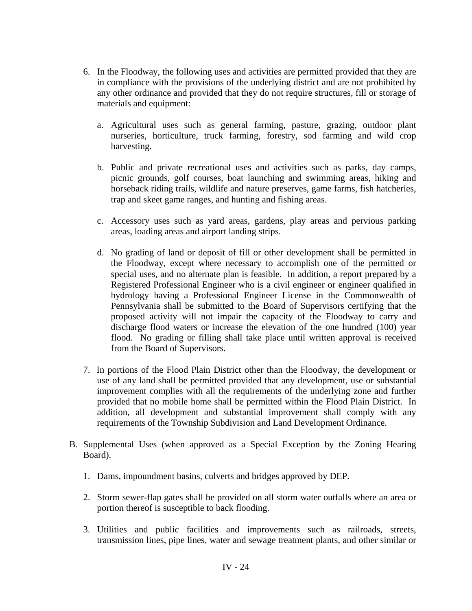- 6. In the Floodway, the following uses and activities are permitted provided that they are in compliance with the provisions of the underlying district and are not prohibited by any other ordinance and provided that they do not require structures, fill or storage of materials and equipment:
	- a. Agricultural uses such as general farming, pasture, grazing, outdoor plant nurseries, horticulture, truck farming, forestry, sod farming and wild crop harvesting.
	- b. Public and private recreational uses and activities such as parks, day camps, picnic grounds, golf courses, boat launching and swimming areas, hiking and horseback riding trails, wildlife and nature preserves, game farms, fish hatcheries, trap and skeet game ranges, and hunting and fishing areas.
	- c. Accessory uses such as yard areas, gardens, play areas and pervious parking areas, loading areas and airport landing strips.
	- d. No grading of land or deposit of fill or other development shall be permitted in the Floodway, except where necessary to accomplish one of the permitted or special uses, and no alternate plan is feasible. In addition, a report prepared by a Registered Professional Engineer who is a civil engineer or engineer qualified in hydrology having a Professional Engineer License in the Commonwealth of Pennsylvania shall be submitted to the Board of Supervisors certifying that the proposed activity will not impair the capacity of the Floodway to carry and discharge flood waters or increase the elevation of the one hundred (100) year flood. No grading or filling shall take place until written approval is received from the Board of Supervisors.
- 7. In portions of the Flood Plain District other than the Floodway, the development or use of any land shall be permitted provided that any development, use or substantial improvement complies with all the requirements of the underlying zone and further provided that no mobile home shall be permitted within the Flood Plain District. In addition, all development and substantial improvement shall comply with any requirements of the Township Subdivision and Land Development Ordinance.
- B. Supplemental Uses (when approved as a Special Exception by the Zoning Hearing Board).
	- 1. Dams, impoundment basins, culverts and bridges approved by DEP.
	- 2. Storm sewer-flap gates shall be provided on all storm water outfalls where an area or portion thereof is susceptible to back flooding.
	- 3. Utilities and public facilities and improvements such as railroads, streets, transmission lines, pipe lines, water and sewage treatment plants, and other similar or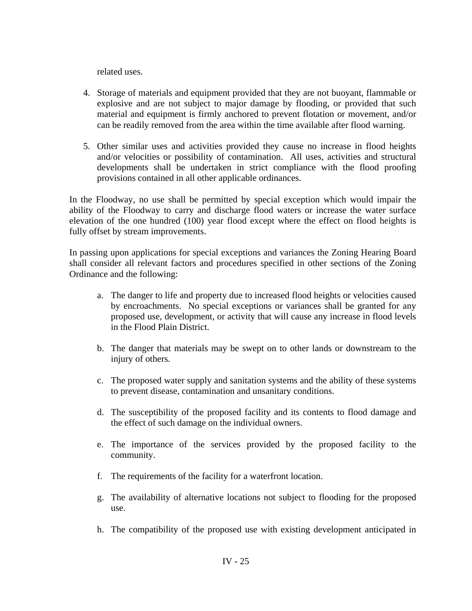related uses.

- 4. Storage of materials and equipment provided that they are not buoyant, flammable or explosive and are not subject to major damage by flooding, or provided that such material and equipment is firmly anchored to prevent flotation or movement, and/or can be readily removed from the area within the time available after flood warning.
- 5. Other similar uses and activities provided they cause no increase in flood heights and/or velocities or possibility of contamination. All uses, activities and structural developments shall be undertaken in strict compliance with the flood proofing provisions contained in all other applicable ordinances.

In the Floodway, no use shall be permitted by special exception which would impair the ability of the Floodway to carry and discharge flood waters or increase the water surface elevation of the one hundred (100) year flood except where the effect on flood heights is fully offset by stream improvements.

In passing upon applications for special exceptions and variances the Zoning Hearing Board shall consider all relevant factors and procedures specified in other sections of the Zoning Ordinance and the following:

- a. The danger to life and property due to increased flood heights or velocities caused by encroachments. No special exceptions or variances shall be granted for any proposed use, development, or activity that will cause any increase in flood levels in the Flood Plain District.
- b. The danger that materials may be swept on to other lands or downstream to the injury of others.
- c. The proposed water supply and sanitation systems and the ability of these systems to prevent disease, contamination and unsanitary conditions.
- d. The susceptibility of the proposed facility and its contents to flood damage and the effect of such damage on the individual owners.
- e. The importance of the services provided by the proposed facility to the community.
- f. The requirements of the facility for a waterfront location.
- g. The availability of alternative locations not subject to flooding for the proposed use.
- h. The compatibility of the proposed use with existing development anticipated in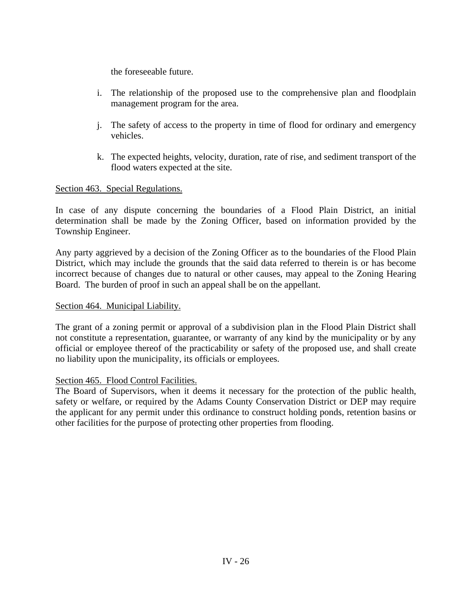the foreseeable future.

- i. The relationship of the proposed use to the comprehensive plan and floodplain management program for the area.
- j. The safety of access to the property in time of flood for ordinary and emergency vehicles.
- k. The expected heights, velocity, duration, rate of rise, and sediment transport of the flood waters expected at the site.

# Section 463. Special Regulations.

In case of any dispute concerning the boundaries of a Flood Plain District, an initial determination shall be made by the Zoning Officer, based on information provided by the Township Engineer.

Any party aggrieved by a decision of the Zoning Officer as to the boundaries of the Flood Plain District, which may include the grounds that the said data referred to therein is or has become incorrect because of changes due to natural or other causes, may appeal to the Zoning Hearing Board. The burden of proof in such an appeal shall be on the appellant.

### Section 464. Municipal Liability.

The grant of a zoning permit or approval of a subdivision plan in the Flood Plain District shall not constitute a representation, guarantee, or warranty of any kind by the municipality or by any official or employee thereof of the practicability or safety of the proposed use, and shall create no liability upon the municipality, its officials or employees.

### Section 465. Flood Control Facilities.

The Board of Supervisors, when it deems it necessary for the protection of the public health, safety or welfare, or required by the Adams County Conservation District or DEP may require the applicant for any permit under this ordinance to construct holding ponds, retention basins or other facilities for the purpose of protecting other properties from flooding.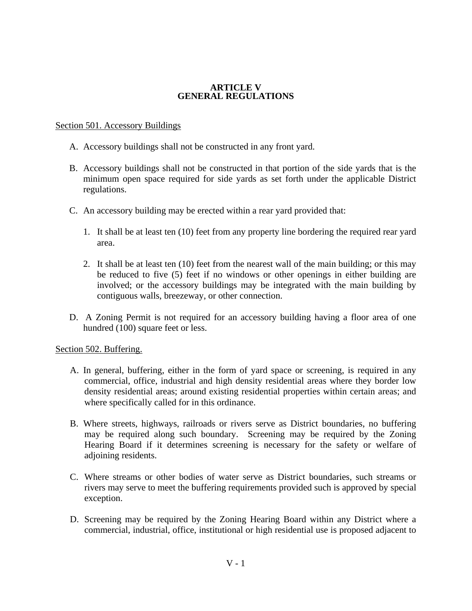### **ARTICLE V GENERAL REGULATIONS**

## Section 501. Accessory Buildings

- A. Accessory buildings shall not be constructed in any front yard.
- B. Accessory buildings shall not be constructed in that portion of the side yards that is the minimum open space required for side yards as set forth under the applicable District regulations.
- C. An accessory building may be erected within a rear yard provided that:
	- 1. It shall be at least ten (10) feet from any property line bordering the required rear yard area.
	- 2. It shall be at least ten (10) feet from the nearest wall of the main building; or this may be reduced to five (5) feet if no windows or other openings in either building are involved; or the accessory buildings may be integrated with the main building by contiguous walls, breezeway, or other connection.
- D. A Zoning Permit is not required for an accessory building having a floor area of one hundred (100) square feet or less.

### Section 502. Buffering.

- A. In general, buffering, either in the form of yard space or screening, is required in any commercial, office, industrial and high density residential areas where they border low density residential areas; around existing residential properties within certain areas; and where specifically called for in this ordinance.
- B. Where streets, highways, railroads or rivers serve as District boundaries, no buffering may be required along such boundary. Screening may be required by the Zoning Hearing Board if it determines screening is necessary for the safety or welfare of adjoining residents.
- C. Where streams or other bodies of water serve as District boundaries, such streams or rivers may serve to meet the buffering requirements provided such is approved by special exception.
- D. Screening may be required by the Zoning Hearing Board within any District where a commercial, industrial, office, institutional or high residential use is proposed adjacent to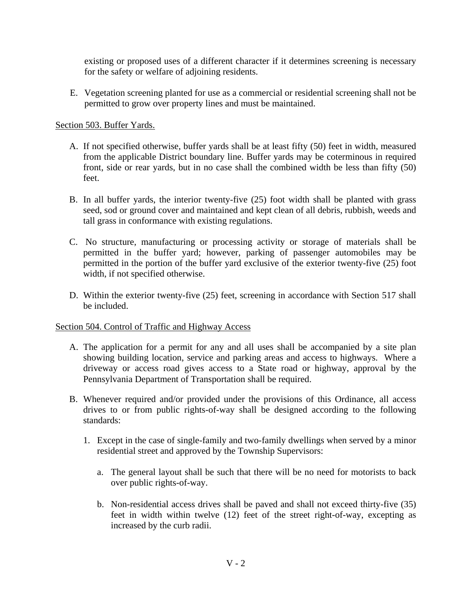existing or proposed uses of a different character if it determines screening is necessary for the safety or welfare of adjoining residents.

E. Vegetation screening planted for use as a commercial or residential screening shall not be permitted to grow over property lines and must be maintained.

## Section 503. Buffer Yards.

- A. If not specified otherwise, buffer yards shall be at least fifty (50) feet in width, measured from the applicable District boundary line. Buffer yards may be coterminous in required front, side or rear yards, but in no case shall the combined width be less than fifty (50) feet.
- B. In all buffer yards, the interior twenty-five (25) foot width shall be planted with grass seed, sod or ground cover and maintained and kept clean of all debris, rubbish, weeds and tall grass in conformance with existing regulations.
- C. No structure, manufacturing or processing activity or storage of materials shall be permitted in the buffer yard; however, parking of passenger automobiles may be permitted in the portion of the buffer yard exclusive of the exterior twenty-five (25) foot width, if not specified otherwise.
- D. Within the exterior twenty-five (25) feet, screening in accordance with Section 517 shall be included.

### Section 504. Control of Traffic and Highway Access

- A. The application for a permit for any and all uses shall be accompanied by a site plan showing building location, service and parking areas and access to highways. Where a driveway or access road gives access to a State road or highway, approval by the Pennsylvania Department of Transportation shall be required.
- B. Whenever required and/or provided under the provisions of this Ordinance, all access drives to or from public rights-of-way shall be designed according to the following standards:
	- 1. Except in the case of single-family and two-family dwellings when served by a minor residential street and approved by the Township Supervisors:
		- a. The general layout shall be such that there will be no need for motorists to back over public rights-of-way.
		- b. Non-residential access drives shall be paved and shall not exceed thirty-five (35) feet in width within twelve (12) feet of the street right-of-way, excepting as increased by the curb radii.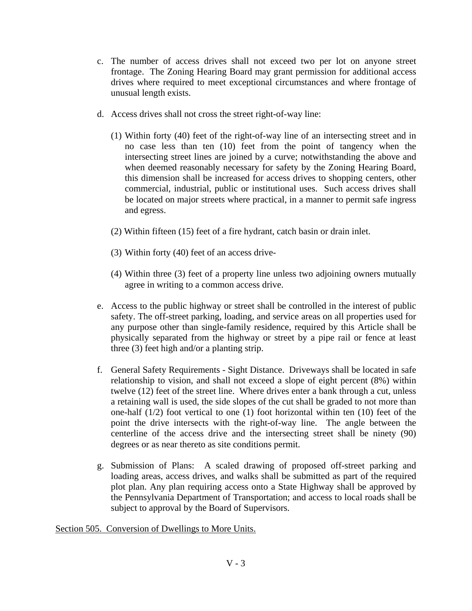- c. The number of access drives shall not exceed two per lot on anyone street frontage. The Zoning Hearing Board may grant permission for additional access drives where required to meet exceptional circumstances and where frontage of unusual length exists.
- d. Access drives shall not cross the street right-of-way line:
	- (1) Within forty (40) feet of the right-of-way line of an intersecting street and in no case less than ten (10) feet from the point of tangency when the intersecting street lines are joined by a curve; notwithstanding the above and when deemed reasonably necessary for safety by the Zoning Hearing Board, this dimension shall be increased for access drives to shopping centers, other commercial, industrial, public or institutional uses. Such access drives shall be located on major streets where practical, in a manner to permit safe ingress and egress.
	- (2) Within fifteen (15) feet of a fire hydrant, catch basin or drain inlet.
	- (3) Within forty (40) feet of an access drive-
	- (4) Within three (3) feet of a property line unless two adjoining owners mutually agree in writing to a common access drive.
- e. Access to the public highway or street shall be controlled in the interest of public safety. The off-street parking, loading, and service areas on all properties used for any purpose other than single-family residence, required by this Article shall be physically separated from the highway or street by a pipe rail or fence at least three (3) feet high and/or a planting strip.
- f. General Safety Requirements Sight Distance. Driveways shall be located in safe relationship to vision, and shall not exceed a slope of eight percent (8%) within twelve (12) feet of the street line. Where drives enter a bank through a cut, unless a retaining wall is used, the side slopes of the cut shall be graded to not more than one-half (1/2) foot vertical to one (1) foot horizontal within ten (10) feet of the point the drive intersects with the right-of-way line. The angle between the centerline of the access drive and the intersecting street shall be ninety (90) degrees or as near thereto as site conditions permit.
- g. Submission of Plans: A scaled drawing of proposed off-street parking and loading areas, access drives, and walks shall be submitted as part of the required plot plan. Any plan requiring access onto a State Highway shall be approved by the Pennsylvania Department of Transportation; and access to local roads shall be subject to approval by the Board of Supervisors.

Section 505. Conversion of Dwellings to More Units.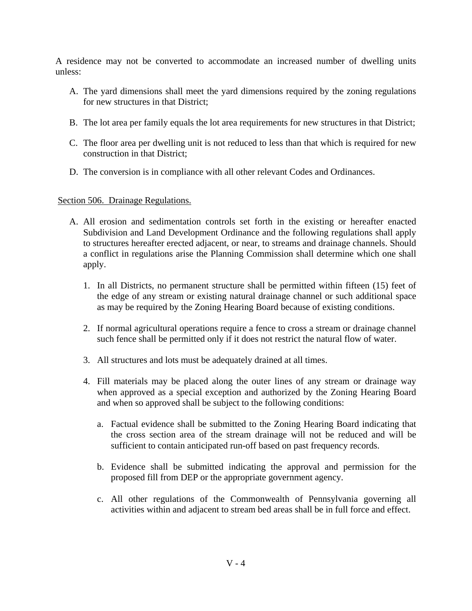A residence may not be converted to accommodate an increased number of dwelling units unless:

- A. The yard dimensions shall meet the yard dimensions required by the zoning regulations for new structures in that District;
- B. The lot area per family equals the lot area requirements for new structures in that District;
- C. The floor area per dwelling unit is not reduced to less than that which is required for new construction in that District;
- D. The conversion is in compliance with all other relevant Codes and Ordinances.

### Section 506. Drainage Regulations.

- A. All erosion and sedimentation controls set forth in the existing or hereafter enacted Subdivision and Land Development Ordinance and the following regulations shall apply to structures hereafter erected adjacent, or near, to streams and drainage channels. Should a conflict in regulations arise the Planning Commission shall determine which one shall apply.
	- 1. In all Districts, no permanent structure shall be permitted within fifteen (15) feet of the edge of any stream or existing natural drainage channel or such additional space as may be required by the Zoning Hearing Board because of existing conditions.
	- 2. If normal agricultural operations require a fence to cross a stream or drainage channel such fence shall be permitted only if it does not restrict the natural flow of water.
	- 3. All structures and lots must be adequately drained at all times.
	- 4. Fill materials may be placed along the outer lines of any stream or drainage way when approved as a special exception and authorized by the Zoning Hearing Board and when so approved shall be subject to the following conditions:
		- a. Factual evidence shall be submitted to the Zoning Hearing Board indicating that the cross section area of the stream drainage will not be reduced and will be sufficient to contain anticipated run-off based on past frequency records.
		- b. Evidence shall be submitted indicating the approval and permission for the proposed fill from DEP or the appropriate government agency.
		- c. All other regulations of the Commonwealth of Pennsylvania governing all activities within and adjacent to stream bed areas shall be in full force and effect.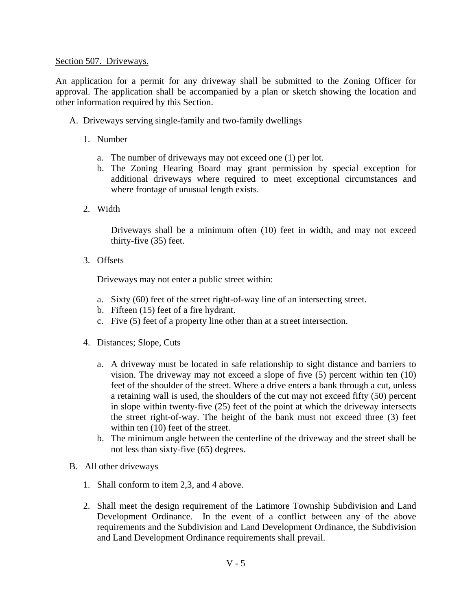## Section 507. Driveways.

An application for a permit for any driveway shall be submitted to the Zoning Officer for approval. The application shall be accompanied by a plan or sketch showing the location and other information required by this Section.

- A. Driveways serving single-family and two-family dwellings
	- 1. Number
		- a. The number of driveways may not exceed one (1) per lot.
		- b. The Zoning Hearing Board may grant permission by special exception for additional driveways where required to meet exceptional circumstances and where frontage of unusual length exists.
	- 2. Width

Driveways shall be a minimum often (10) feet in width, and may not exceed thirty-five (35) feet.

3. Offsets

Driveways may not enter a public street within:

- a. Sixty (60) feet of the street right-of-way line of an intersecting street.
- b. Fifteen (15) feet of a fire hydrant.
- c. Five (5) feet of a property line other than at a street intersection.
- 4. Distances; Slope, Cuts
	- a. A driveway must be located in safe relationship to sight distance and barriers to vision. The driveway may not exceed a slope of five (5) percent within ten (10) feet of the shoulder of the street. Where a drive enters a bank through a cut, unless a retaining wall is used, the shoulders of the cut may not exceed fifty (50) percent in slope within twenty-five (25) feet of the point at which the driveway intersects the street right-of-way. The height of the bank must not exceed three (3) feet within ten (10) feet of the street.
	- b. The minimum angle between the centerline of the driveway and the street shall be not less than sixty-five (65) degrees.
- B. All other driveways
	- 1. Shall conform to item 2,3, and 4 above.
	- 2. Shall meet the design requirement of the Latimore Township Subdivision and Land Development Ordinance. In the event of a conflict between any of the above requirements and the Subdivision and Land Development Ordinance, the Subdivision and Land Development Ordinance requirements shall prevail.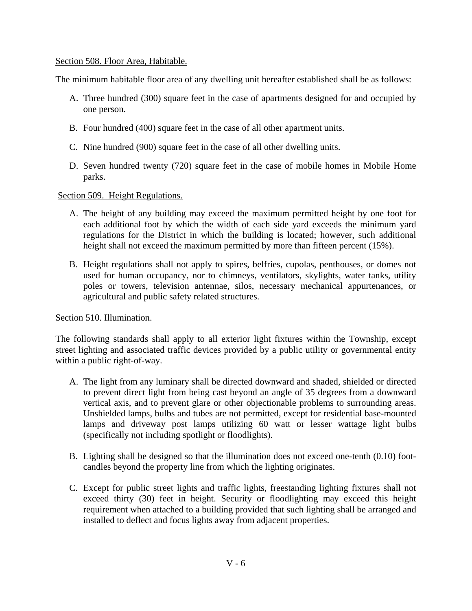## Section 508. Floor Area, Habitable.

The minimum habitable floor area of any dwelling unit hereafter established shall be as follows:

- A. Three hundred (300) square feet in the case of apartments designed for and occupied by one person.
- B. Four hundred (400) square feet in the case of all other apartment units.
- C. Nine hundred (900) square feet in the case of all other dwelling units.
- D. Seven hundred twenty (720) square feet in the case of mobile homes in Mobile Home parks.

Section 509. Height Regulations.

- A. The height of any building may exceed the maximum permitted height by one foot for each additional foot by which the width of each side yard exceeds the minimum yard regulations for the District in which the building is located; however, such additional height shall not exceed the maximum permitted by more than fifteen percent (15%).
- B. Height regulations shall not apply to spires, belfries, cupolas, penthouses, or domes not used for human occupancy, nor to chimneys, ventilators, skylights, water tanks, utility poles or towers, television antennae, silos, necessary mechanical appurtenances, or agricultural and public safety related structures.

### Section 510. Illumination.

The following standards shall apply to all exterior light fixtures within the Township, except street lighting and associated traffic devices provided by a public utility or governmental entity within a public right-of-way.

- A. The light from any luminary shall be directed downward and shaded, shielded or directed to prevent direct light from being cast beyond an angle of 35 degrees from a downward vertical axis, and to prevent glare or other objectionable problems to surrounding areas. Unshielded lamps, bulbs and tubes are not permitted, except for residential base-mounted lamps and driveway post lamps utilizing 60 watt or lesser wattage light bulbs (specifically not including spotlight or floodlights).
- B. Lighting shall be designed so that the illumination does not exceed one-tenth (0.10) footcandles beyond the property line from which the lighting originates.
- C. Except for public street lights and traffic lights, freestanding lighting fixtures shall not exceed thirty (30) feet in height. Security or floodlighting may exceed this height requirement when attached to a building provided that such lighting shall be arranged and installed to deflect and focus lights away from adjacent properties.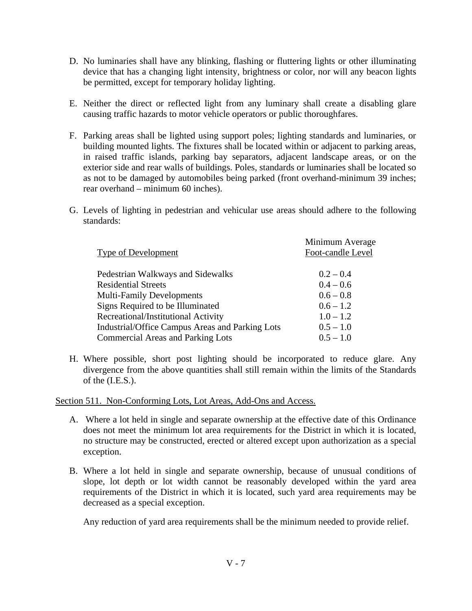- D. No luminaries shall have any blinking, flashing or fluttering lights or other illuminating device that has a changing light intensity, brightness or color, nor will any beacon lights be permitted, except for temporary holiday lighting.
- E. Neither the direct or reflected light from any luminary shall create a disabling glare causing traffic hazards to motor vehicle operators or public thoroughfares.
- F. Parking areas shall be lighted using support poles; lighting standards and luminaries, or building mounted lights. The fixtures shall be located within or adjacent to parking areas, in raised traffic islands, parking bay separators, adjacent landscape areas, or on the exterior side and rear walls of buildings. Poles, standards or luminaries shall be located so as not to be damaged by automobiles being parked (front overhand-minimum 39 inches; rear overhand – minimum 60 inches).
- G. Levels of lighting in pedestrian and vehicular use areas should adhere to the following standards:

| Minimum Average   |
|-------------------|
| Foot-candle Level |
|                   |
| $0.2 - 0.4$       |
| $0.4 - 0.6$       |
| $0.6 - 0.8$       |
| $0.6 - 1.2$       |
| $1.0 - 1.2$       |
| $0.5 - 1.0$       |
| $0.5 - 1.0$       |
|                   |

H. Where possible, short post lighting should be incorporated to reduce glare. Any divergence from the above quantities shall still remain within the limits of the Standards of the (I.E.S.).

Section 511. Non-Conforming Lots, Lot Areas, Add-Ons and Access.

- A. Where a lot held in single and separate ownership at the effective date of this Ordinance does not meet the minimum lot area requirements for the District in which it is located, no structure may be constructed, erected or altered except upon authorization as a special exception.
- B. Where a lot held in single and separate ownership, because of unusual conditions of slope, lot depth or lot width cannot be reasonably developed within the yard area requirements of the District in which it is located, such yard area requirements may be decreased as a special exception.

Any reduction of yard area requirements shall be the minimum needed to provide relief.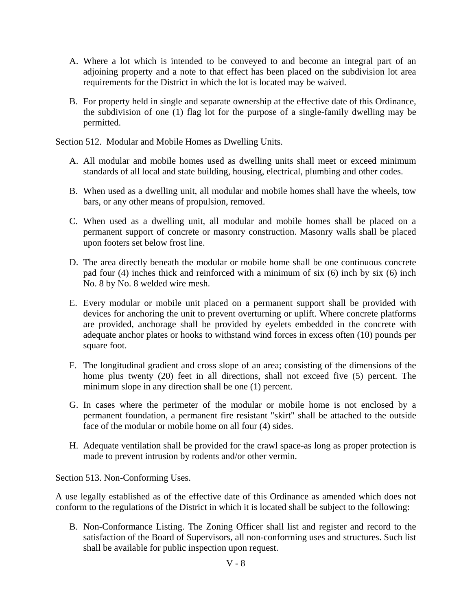- A. Where a lot which is intended to be conveyed to and become an integral part of an adjoining property and a note to that effect has been placed on the subdivision lot area requirements for the District in which the lot is located may be waived.
- B. For property held in single and separate ownership at the effective date of this Ordinance, the subdivision of one (1) flag lot for the purpose of a single-family dwelling may be permitted.

Section 512. Modular and Mobile Homes as Dwelling Units.

- A. All modular and mobile homes used as dwelling units shall meet or exceed minimum standards of all local and state building, housing, electrical, plumbing and other codes.
- B. When used as a dwelling unit, all modular and mobile homes shall have the wheels, tow bars, or any other means of propulsion, removed.
- C. When used as a dwelling unit, all modular and mobile homes shall be placed on a permanent support of concrete or masonry construction. Masonry walls shall be placed upon footers set below frost line.
- D. The area directly beneath the modular or mobile home shall be one continuous concrete pad four (4) inches thick and reinforced with a minimum of six (6) inch by six (6) inch No. 8 by No. 8 welded wire mesh.
- E. Every modular or mobile unit placed on a permanent support shall be provided with devices for anchoring the unit to prevent overturning or uplift. Where concrete platforms are provided, anchorage shall be provided by eyelets embedded in the concrete with adequate anchor plates or hooks to withstand wind forces in excess often (10) pounds per square foot.
- F. The longitudinal gradient and cross slope of an area; consisting of the dimensions of the home plus twenty (20) feet in all directions, shall not exceed five (5) percent. The minimum slope in any direction shall be one (1) percent.
- G. In cases where the perimeter of the modular or mobile home is not enclosed by a permanent foundation, a permanent fire resistant "skirt" shall be attached to the outside face of the modular or mobile home on all four (4) sides.
- H. Adequate ventilation shall be provided for the crawl space-as long as proper protection is made to prevent intrusion by rodents and/or other vermin.

Section 513. Non-Conforming Uses.

A use legally established as of the effective date of this Ordinance as amended which does not conform to the regulations of the District in which it is located shall be subject to the following:

B. Non-Conformance Listing. The Zoning Officer shall list and register and record to the satisfaction of the Board of Supervisors, all non-conforming uses and structures. Such list shall be available for public inspection upon request.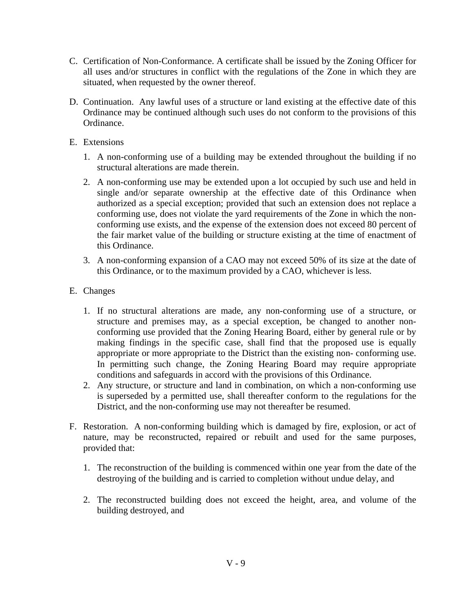- C. Certification of Non-Conformance. A certificate shall be issued by the Zoning Officer for all uses and/or structures in conflict with the regulations of the Zone in which they are situated, when requested by the owner thereof.
- D. Continuation. Any lawful uses of a structure or land existing at the effective date of this Ordinance may be continued although such uses do not conform to the provisions of this Ordinance.
- E. Extensions
	- 1. A non-conforming use of a building may be extended throughout the building if no structural alterations are made therein.
	- 2. A non-conforming use may be extended upon a lot occupied by such use and held in single and/or separate ownership at the effective date of this Ordinance when authorized as a special exception; provided that such an extension does not replace a conforming use, does not violate the yard requirements of the Zone in which the nonconforming use exists, and the expense of the extension does not exceed 80 percent of the fair market value of the building or structure existing at the time of enactment of this Ordinance.
	- 3. A non-conforming expansion of a CAO may not exceed 50% of its size at the date of this Ordinance, or to the maximum provided by a CAO, whichever is less.
- E. Changes
	- 1. If no structural alterations are made, any non-conforming use of a structure, or structure and premises may, as a special exception, be changed to another nonconforming use provided that the Zoning Hearing Board, either by general rule or by making findings in the specific case, shall find that the proposed use is equally appropriate or more appropriate to the District than the existing non- conforming use. In permitting such change, the Zoning Hearing Board may require appropriate conditions and safeguards in accord with the provisions of this Ordinance.
	- 2. Any structure, or structure and land in combination, on which a non-conforming use is superseded by a permitted use, shall thereafter conform to the regulations for the District, and the non-conforming use may not thereafter be resumed.
- F. Restoration. A non-conforming building which is damaged by fire, explosion, or act of nature, may be reconstructed, repaired or rebuilt and used for the same purposes, provided that:
	- 1. The reconstruction of the building is commenced within one year from the date of the destroying of the building and is carried to completion without undue delay, and
	- 2. The reconstructed building does not exceed the height, area, and volume of the building destroyed, and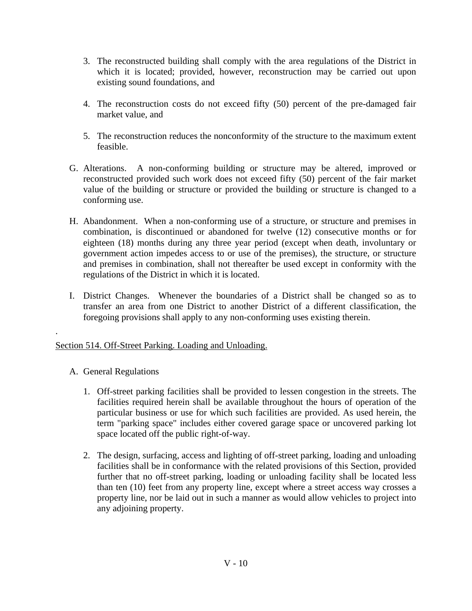- 3. The reconstructed building shall comply with the area regulations of the District in which it is located; provided, however, reconstruction may be carried out upon existing sound foundations, and
- 4. The reconstruction costs do not exceed fifty (50) percent of the pre-damaged fair market value, and
- 5. The reconstruction reduces the nonconformity of the structure to the maximum extent feasible.
- G. Alterations. A non-conforming building or structure may be altered, improved or reconstructed provided such work does not exceed fifty (50) percent of the fair market value of the building or structure or provided the building or structure is changed to a conforming use.
- H. Abandonment. When a non-conforming use of a structure, or structure and premises in combination, is discontinued or abandoned for twelve (12) consecutive months or for eighteen (18) months during any three year period (except when death, involuntary or government action impedes access to or use of the premises), the structure, or structure and premises in combination, shall not thereafter be used except in conformity with the regulations of the District in which it is located.
- I. District Changes. Whenever the boundaries of a District shall be changed so as to transfer an area from one District to another District of a different classification, the foregoing provisions shall apply to any non-conforming uses existing therein.

# Section 514. Off-Street Parking. Loading and Unloading.

A. General Regulations

.

- 1. Off-street parking facilities shall be provided to lessen congestion in the streets. The facilities required herein shall be available throughout the hours of operation of the particular business or use for which such facilities are provided. As used herein, the term "parking space" includes either covered garage space or uncovered parking lot space located off the public right-of-way.
- 2. The design, surfacing, access and lighting of off-street parking, loading and unloading facilities shall be in conformance with the related provisions of this Section, provided further that no off-street parking, loading or unloading facility shall be located less than ten (10) feet from any property line, except where a street access way crosses a property line, nor be laid out in such a manner as would allow vehicles to project into any adjoining property.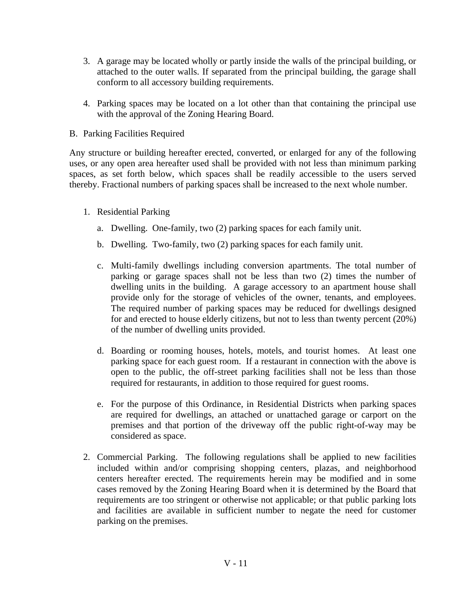- 3. A garage may be located wholly or partly inside the walls of the principal building, or attached to the outer walls. If separated from the principal building, the garage shall conform to all accessory building requirements.
- 4. Parking spaces may be located on a lot other than that containing the principal use with the approval of the Zoning Hearing Board.
- B. Parking Facilities Required

Any structure or building hereafter erected, converted, or enlarged for any of the following uses, or any open area hereafter used shall be provided with not less than minimum parking spaces, as set forth below, which spaces shall be readily accessible to the users served thereby. Fractional numbers of parking spaces shall be increased to the next whole number.

- 1. Residential Parking
	- a. Dwelling. One-family, two (2) parking spaces for each family unit.
	- b. Dwelling. Two-family, two (2) parking spaces for each family unit.
	- c. Multi-family dwellings including conversion apartments. The total number of parking or garage spaces shall not be less than two (2) times the number of dwelling units in the building. A garage accessory to an apartment house shall provide only for the storage of vehicles of the owner, tenants, and employees. The required number of parking spaces may be reduced for dwellings designed for and erected to house elderly citizens, but not to less than twenty percent (20%) of the number of dwelling units provided.
	- d. Boarding or rooming houses, hotels, motels, and tourist homes. At least one parking space for each guest room. If a restaurant in connection with the above is open to the public, the off-street parking facilities shall not be less than those required for restaurants, in addition to those required for guest rooms.
	- e. For the purpose of this Ordinance, in Residential Districts when parking spaces are required for dwellings, an attached or unattached garage or carport on the premises and that portion of the driveway off the public right-of-way may be considered as space.
- 2. Commercial Parking. The following regulations shall be applied to new facilities included within and/or comprising shopping centers, plazas, and neighborhood centers hereafter erected. The requirements herein may be modified and in some cases removed by the Zoning Hearing Board when it is determined by the Board that requirements are too stringent or otherwise not applicable; or that public parking lots and facilities are available in sufficient number to negate the need for customer parking on the premises.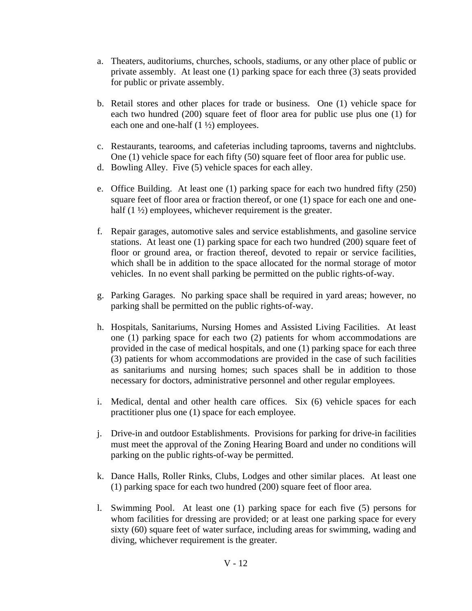- a. Theaters, auditoriums, churches, schools, stadiums, or any other place of public or private assembly. At least one (1) parking space for each three (3) seats provided for public or private assembly.
- b. Retail stores and other places for trade or business. One (1) vehicle space for each two hundred (200) square feet of floor area for public use plus one (1) for each one and one-half (1 ½) employees.
- c. Restaurants, tearooms, and cafeterias including taprooms, taverns and nightclubs. One (1) vehicle space for each fifty (50) square feet of floor area for public use.
- d. Bowling Alley. Five (5) vehicle spaces for each alley.
- e. Office Building. At least one (1) parking space for each two hundred fifty (250) square feet of floor area or fraction thereof, or one (1) space for each one and onehalf (1  $\frac{1}{2}$ ) employees, whichever requirement is the greater.
- f. Repair garages, automotive sales and service establishments, and gasoline service stations. At least one (1) parking space for each two hundred (200) square feet of floor or ground area, or fraction thereof, devoted to repair or service facilities, which shall be in addition to the space allocated for the normal storage of motor vehicles. In no event shall parking be permitted on the public rights-of-way.
- g. Parking Garages. No parking space shall be required in yard areas; however, no parking shall be permitted on the public rights-of-way.
- h. Hospitals, Sanitariums, Nursing Homes and Assisted Living Facilities. At least one (1) parking space for each two (2) patients for whom accommodations are provided in the case of medical hospitals, and one (1) parking space for each three (3) patients for whom accommodations are provided in the case of such facilities as sanitariums and nursing homes; such spaces shall be in addition to those necessary for doctors, administrative personnel and other regular employees.
- i. Medical, dental and other health care offices. Six (6) vehicle spaces for each practitioner plus one (1) space for each employee.
- j. Drive-in and outdoor Establishments. Provisions for parking for drive-in facilities must meet the approval of the Zoning Hearing Board and under no conditions will parking on the public rights-of-way be permitted.
- k. Dance Halls, Roller Rinks, Clubs, Lodges and other similar places. At least one (1) parking space for each two hundred (200) square feet of floor area.
- l. Swimming Pool. At least one (1) parking space for each five (5) persons for whom facilities for dressing are provided; or at least one parking space for every sixty (60) square feet of water surface, including areas for swimming, wading and diving, whichever requirement is the greater.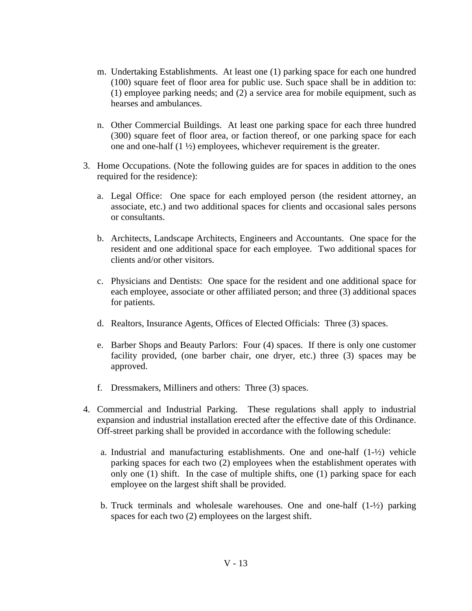- m. Undertaking Establishments. At least one (1) parking space for each one hundred (100) square feet of floor area for public use. Such space shall be in addition to: (1) employee parking needs; and (2) a service area for mobile equipment, such as hearses and ambulances.
- n. Other Commercial Buildings. At least one parking space for each three hundred (300) square feet of floor area, or faction thereof, or one parking space for each one and one-half (1 ½) employees, whichever requirement is the greater.
- 3. Home Occupations. (Note the following guides are for spaces in addition to the ones required for the residence):
	- a. Legal Office: One space for each employed person (the resident attorney, an associate, etc.) and two additional spaces for clients and occasional sales persons or consultants.
	- b. Architects, Landscape Architects, Engineers and Accountants. One space for the resident and one additional space for each employee. Two additional spaces for clients and/or other visitors.
	- c. Physicians and Dentists: One space for the resident and one additional space for each employee, associate or other affiliated person; and three (3) additional spaces for patients.
	- d. Realtors, Insurance Agents, Offices of Elected Officials: Three (3) spaces.
	- e. Barber Shops and Beauty Parlors: Four (4) spaces. If there is only one customer facility provided, (one barber chair, one dryer, etc.) three (3) spaces may be approved.
	- f. Dressmakers, Milliners and others: Three (3) spaces.
- 4. Commercial and Industrial Parking. These regulations shall apply to industrial expansion and industrial installation erected after the effective date of this Ordinance. Off-street parking shall be provided in accordance with the following schedule:
	- a. Industrial and manufacturing establishments. One and one-half  $(1-\frac{1}{2})$  vehicle parking spaces for each two (2) employees when the establishment operates with only one (1) shift. In the case of multiple shifts, one (1) parking space for each employee on the largest shift shall be provided.
	- b. Truck terminals and wholesale warehouses. One and one-half  $(1-\frac{1}{2})$  parking spaces for each two (2) employees on the largest shift.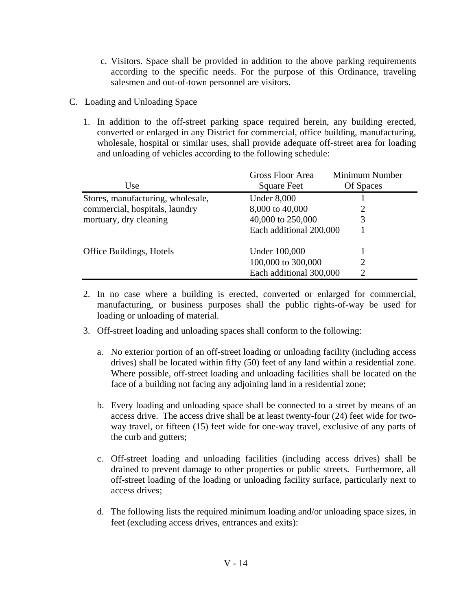- c. Visitors. Space shall be provided in addition to the above parking requirements according to the specific needs. For the purpose of this Ordinance, traveling salesmen and out-of-town personnel are visitors.
- C. Loading and Unloading Space
	- 1. In addition to the off-street parking space required herein, any building erected, converted or enlarged in any District for commercial, office building, manufacturing, wholesale, hospital or similar uses, shall provide adequate off-street area for loading and unloading of vehicles according to the following schedule:

|                                   | <b>Gross Floor Area</b> | Minimum Number |
|-----------------------------------|-------------------------|----------------|
| Use                               | <b>Square Feet</b>      | Of Spaces      |
| Stores, manufacturing, wholesale, | <b>Under 8,000</b>      |                |
| commercial, hospitals, laundry    | 8,000 to 40,000         |                |
| mortuary, dry cleaning            | 40,000 to 250,000       | 3              |
|                                   | Each additional 200,000 |                |
| <b>Office Buildings, Hotels</b>   | Under 100,000           |                |
|                                   | 100,000 to 300,000      | 2              |
|                                   | Each additional 300,000 | ာ              |

- 2. In no case where a building is erected, converted or enlarged for commercial, manufacturing, or business purposes shall the public rights-of-way be used for loading or unloading of material.
- 3. Off-street loading and unloading spaces shall conform to the following:
	- a. No exterior portion of an off-street loading or unloading facility (including access drives) shall be located within fifty (50) feet of any land within a residential zone. Where possible, off-street loading and unloading facilities shall be located on the face of a building not facing any adjoining land in a residential zone;
	- b. Every loading and unloading space shall be connected to a street by means of an access drive. The access drive shall be at least twenty-four (24) feet wide for twoway travel, or fifteen (15) feet wide for one-way travel, exclusive of any parts of the curb and gutters;
	- c. Off-street loading and unloading facilities (including access drives) shall be drained to prevent damage to other properties or public streets. Furthermore, all off-street loading of the loading or unloading facility surface, particularly next to access drives;
	- d. The following lists the required minimum loading and/or unloading space sizes, in feet (excluding access drives, entrances and exits):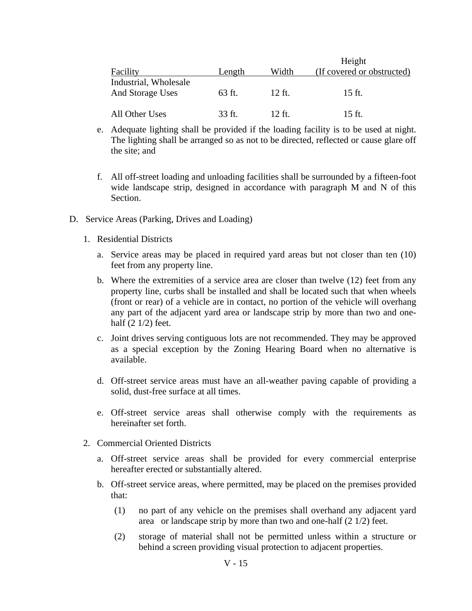|                                           |        |        | Height                     |  |
|-------------------------------------------|--------|--------|----------------------------|--|
| Facility                                  | Length | Width  | (If covered or obstructed) |  |
| Industrial, Wholesale<br>And Storage Uses | 63 ft. | 12 ft. | 15 ft.                     |  |
| All Other Uses                            | 33 ft. | 12 ft. | 15 ft.                     |  |

- e. Adequate lighting shall be provided if the loading facility is to be used at night. The lighting shall be arranged so as not to be directed, reflected or cause glare off the site; and
- f. All off-street loading and unloading facilities shall be surrounded by a fifteen-foot wide landscape strip, designed in accordance with paragraph M and N of this Section.
- D. Service Areas (Parking, Drives and Loading)
	- 1. Residential Districts
		- a. Service areas may be placed in required yard areas but not closer than ten (10) feet from any property line.
		- b. Where the extremities of a service area are closer than twelve (12) feet from any property line, curbs shall be installed and shall be located such that when wheels (front or rear) of a vehicle are in contact, no portion of the vehicle will overhang any part of the adjacent yard area or landscape strip by more than two and onehalf (2 1/2) feet.
		- c. Joint drives serving contiguous lots are not recommended. They may be approved as a special exception by the Zoning Hearing Board when no alternative is available.
		- d. Off-street service areas must have an all-weather paving capable of providing a solid, dust-free surface at all times.
		- e. Off-street service areas shall otherwise comply with the requirements as hereinafter set forth.
	- 2. Commercial Oriented Districts
		- a. Off-street service areas shall be provided for every commercial enterprise hereafter erected or substantially altered.
		- b. Off-street service areas, where permitted, may be placed on the premises provided that:
			- (1) no part of any vehicle on the premises shall overhand any adjacent yard area or landscape strip by more than two and one-half (2 1/2) feet.
			- (2) storage of material shall not be permitted unless within a structure or behind a screen providing visual protection to adjacent properties.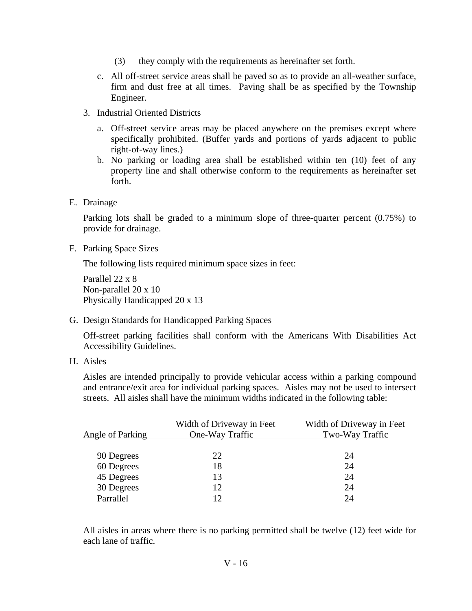- (3) they comply with the requirements as hereinafter set forth.
- c. All off-street service areas shall be paved so as to provide an all-weather surface, firm and dust free at all times. Paving shall be as specified by the Township Engineer.
- 3. Industrial Oriented Districts
	- a. Off-street service areas may be placed anywhere on the premises except where specifically prohibited. (Buffer yards and portions of yards adjacent to public right-of-way lines.)
	- b. No parking or loading area shall be established within ten (10) feet of any property line and shall otherwise conform to the requirements as hereinafter set forth.
- E. Drainage

Parking lots shall be graded to a minimum slope of three-quarter percent (0.75%) to provide for drainage.

F. Parking Space Sizes

The following lists required minimum space sizes in feet:

Parallel 22 x 8 Non-parallel 20 x 10 Physically Handicapped 20 x 13

G. Design Standards for Handicapped Parking Spaces

Off-street parking facilities shall conform with the Americans With Disabilities Act Accessibility Guidelines.

H. Aisles

Aisles are intended principally to provide vehicular access within a parking compound and entrance/exit area for individual parking spaces. Aisles may not be used to intersect streets. All aisles shall have the minimum widths indicated in the following table:

|                  | Width of Driveway in Feet | Width of Driveway in Feet |
|------------------|---------------------------|---------------------------|
| Angle of Parking | One-Way Traffic           | Two-Way Traffic           |
|                  |                           |                           |
| 90 Degrees       | 22                        | 24                        |
| 60 Degrees       | 18                        | 24                        |
| 45 Degrees       | 13                        | 24                        |
| 30 Degrees       | 12                        | 24                        |
| Parrallel        | 12 <sup>°</sup>           | 24                        |
|                  |                           |                           |

All aisles in areas where there is no parking permitted shall be twelve (12) feet wide for each lane of traffic.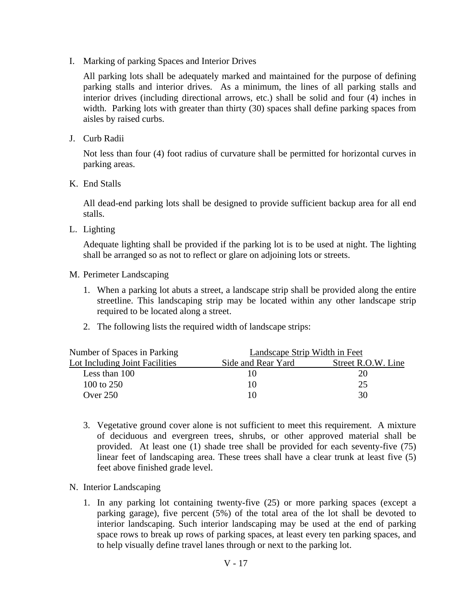I. Marking of parking Spaces and Interior Drives

All parking lots shall be adequately marked and maintained for the purpose of defining parking stalls and interior drives. As a minimum, the lines of all parking stalls and interior drives (including directional arrows, etc.) shall be solid and four (4) inches in width. Parking lots with greater than thirty (30) spaces shall define parking spaces from aisles by raised curbs.

J. Curb Radii

Not less than four (4) foot radius of curvature shall be permitted for horizontal curves in parking areas.

K. End Stalls

All dead-end parking lots shall be designed to provide sufficient backup area for all end stalls.

L. Lighting

Adequate lighting shall be provided if the parking lot is to be used at night. The lighting shall be arranged so as not to reflect or glare on adjoining lots or streets.

- M. Perimeter Landscaping
	- 1. When a parking lot abuts a street, a landscape strip shall be provided along the entire streetline. This landscaping strip may be located within any other landscape strip required to be located along a street.
	- 2. The following lists the required width of landscape strips:

| Number of Spaces in Parking    | Landscape Strip Width in Feet |                    |
|--------------------------------|-------------------------------|--------------------|
| Lot Including Joint Facilities | Side and Rear Yard            | Street R.O.W. Line |
| Less than 100                  |                               | 20                 |
| 100 to 250                     | 10                            |                    |
| Over $250$                     | l ()                          | 30                 |

- 3. Vegetative ground cover alone is not sufficient to meet this requirement. A mixture of deciduous and evergreen trees, shrubs, or other approved material shall be provided. At least one (1) shade tree shall be provided for each seventy-five (75) linear feet of landscaping area. These trees shall have a clear trunk at least five (5) feet above finished grade level.
- N. Interior Landscaping
	- 1. In any parking lot containing twenty-five (25) or more parking spaces (except a parking garage), five percent (5%) of the total area of the lot shall be devoted to interior landscaping. Such interior landscaping may be used at the end of parking space rows to break up rows of parking spaces, at least every ten parking spaces, and to help visually define travel lanes through or next to the parking lot.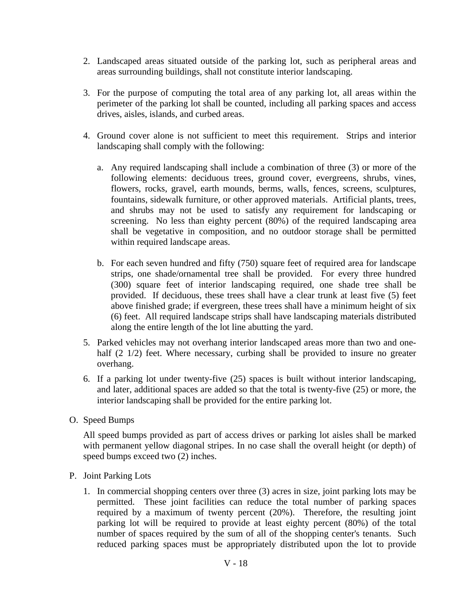- 2. Landscaped areas situated outside of the parking lot, such as peripheral areas and areas surrounding buildings, shall not constitute interior landscaping.
- 3. For the purpose of computing the total area of any parking lot, all areas within the perimeter of the parking lot shall be counted, including all parking spaces and access drives, aisles, islands, and curbed areas.
- 4. Ground cover alone is not sufficient to meet this requirement. Strips and interior landscaping shall comply with the following:
	- a. Any required landscaping shall include a combination of three (3) or more of the following elements: deciduous trees, ground cover, evergreens, shrubs, vines, flowers, rocks, gravel, earth mounds, berms, walls, fences, screens, sculptures, fountains, sidewalk furniture, or other approved materials. Artificial plants, trees, and shrubs may not be used to satisfy any requirement for landscaping or screening. No less than eighty percent (80%) of the required landscaping area shall be vegetative in composition, and no outdoor storage shall be permitted within required landscape areas.
	- b. For each seven hundred and fifty (750) square feet of required area for landscape strips, one shade/ornamental tree shall be provided. For every three hundred (300) square feet of interior landscaping required, one shade tree shall be provided. If deciduous, these trees shall have a clear trunk at least five (5) feet above finished grade; if evergreen, these trees shall have a minimum height of six (6) feet. All required landscape strips shall have landscaping materials distributed along the entire length of the lot line abutting the yard.
- 5. Parked vehicles may not overhang interior landscaped areas more than two and onehalf (2 1/2) feet. Where necessary, curbing shall be provided to insure no greater overhang.
- 6. If a parking lot under twenty-five (25) spaces is built without interior landscaping, and later, additional spaces are added so that the total is twenty-five (25) or more, the interior landscaping shall be provided for the entire parking lot.
- O. Speed Bumps

All speed bumps provided as part of access drives or parking lot aisles shall be marked with permanent yellow diagonal stripes. In no case shall the overall height (or depth) of speed bumps exceed two (2) inches.

- P. Joint Parking Lots
	- 1. In commercial shopping centers over three (3) acres in size, joint parking lots may be permitted. These joint facilities can reduce the total number of parking spaces required by a maximum of twenty percent (20%). Therefore, the resulting joint parking lot will be required to provide at least eighty percent (80%) of the total number of spaces required by the sum of all of the shopping center's tenants. Such reduced parking spaces must be appropriately distributed upon the lot to provide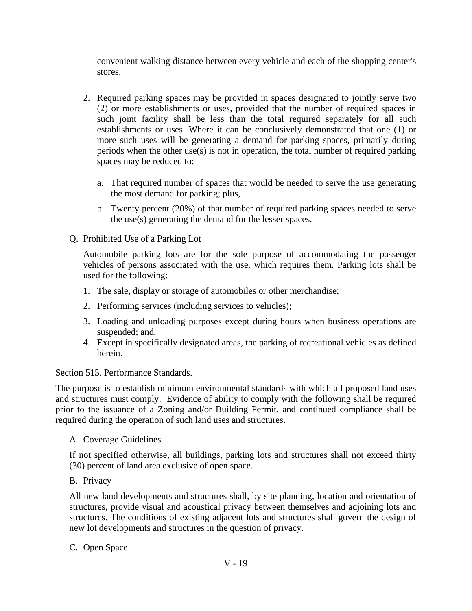convenient walking distance between every vehicle and each of the shopping center's stores.

- 2. Required parking spaces may be provided in spaces designated to jointly serve two (2) or more establishments or uses, provided that the number of required spaces in such joint facility shall be less than the total required separately for all such establishments or uses. Where it can be conclusively demonstrated that one (1) or more such uses will be generating a demand for parking spaces, primarily during periods when the other use(s) is not in operation, the total number of required parking spaces may be reduced to:
	- a. That required number of spaces that would be needed to serve the use generating the most demand for parking; plus,
	- b. Twenty percent (20%) of that number of required parking spaces needed to serve the use(s) generating the demand for the lesser spaces.
- Q. Prohibited Use of a Parking Lot

Automobile parking lots are for the sole purpose of accommodating the passenger vehicles of persons associated with the use, which requires them. Parking lots shall be used for the following:

- 1. The sale, display or storage of automobiles or other merchandise;
- 2. Performing services (including services to vehicles);
- 3. Loading and unloading purposes except during hours when business operations are suspended; and,
- 4. Except in specifically designated areas, the parking of recreational vehicles as defined herein.

# Section 515. Performance Standards.

The purpose is to establish minimum environmental standards with which all proposed land uses and structures must comply. Evidence of ability to comply with the following shall be required prior to the issuance of a Zoning and/or Building Permit, and continued compliance shall be required during the operation of such land uses and structures.

# A. Coverage Guidelines

If not specified otherwise, all buildings, parking lots and structures shall not exceed thirty (30) percent of land area exclusive of open space.

# B. Privacy

All new land developments and structures shall, by site planning, location and orientation of structures, provide visual and acoustical privacy between themselves and adjoining lots and structures. The conditions of existing adjacent lots and structures shall govern the design of new lot developments and structures in the question of privacy.

# C. Open Space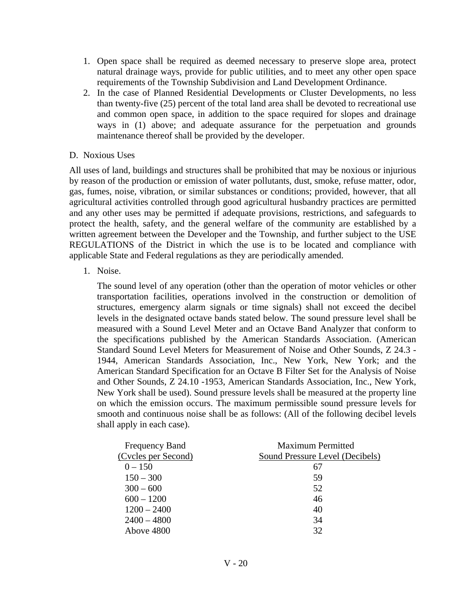- 1. Open space shall be required as deemed necessary to preserve slope area, protect natural drainage ways, provide for public utilities, and to meet any other open space requirements of the Township Subdivision and Land Development Ordinance.
- 2. In the case of Planned Residential Developments or Cluster Developments, no less than twenty-five (25) percent of the total land area shall be devoted to recreational use and common open space, in addition to the space required for slopes and drainage ways in (1) above; and adequate assurance for the perpetuation and grounds maintenance thereof shall be provided by the developer.

### D. Noxious Uses

All uses of land, buildings and structures shall be prohibited that may be noxious or injurious by reason of the production or emission of water pollutants, dust, smoke, refuse matter, odor, gas, fumes, noise, vibration, or similar substances or conditions; provided, however, that all agricultural activities controlled through good agricultural husbandry practices are permitted and any other uses may be permitted if adequate provisions, restrictions, and safeguards to protect the health, safety, and the general welfare of the community are established by a written agreement between the Developer and the Township, and further subject to the USE REGULATIONS of the District in which the use is to be located and compliance with applicable State and Federal regulations as they are periodically amended.

1. Noise.

The sound level of any operation (other than the operation of motor vehicles or other transportation facilities, operations involved in the construction or demolition of structures, emergency alarm signals or time signals) shall not exceed the decibel levels in the designated octave bands stated below. The sound pressure level shall be measured with a Sound Level Meter and an Octave Band Analyzer that conform to the specifications published by the American Standards Association. (American Standard Sound Level Meters for Measurement of Noise and Other Sounds, Z 24.3 - 1944, American Standards Association, Inc., New York, New York; and the American Standard Specification for an Octave B Filter Set for the Analysis of Noise and Other Sounds, Z 24.10 -1953, American Standards Association, Inc., New York, New York shall be used). Sound pressure levels shall be measured at the property line on which the emission occurs. The maximum permissible sound pressure levels for smooth and continuous noise shall be as follows: (All of the following decibel levels shall apply in each case).

| <b>Frequency Band</b> | <b>Maximum Permitted</b>        |
|-----------------------|---------------------------------|
| (Cycles per Second)   | Sound Pressure Level (Decibels) |
| $0 - 150$             | 67                              |
| $150 - 300$           | 59                              |
| $300 - 600$           | 52                              |
| $600 - 1200$          | 46                              |
| $1200 - 2400$         | 40                              |
| $2400 - 4800$         | 34                              |
| Above 4800            | 32                              |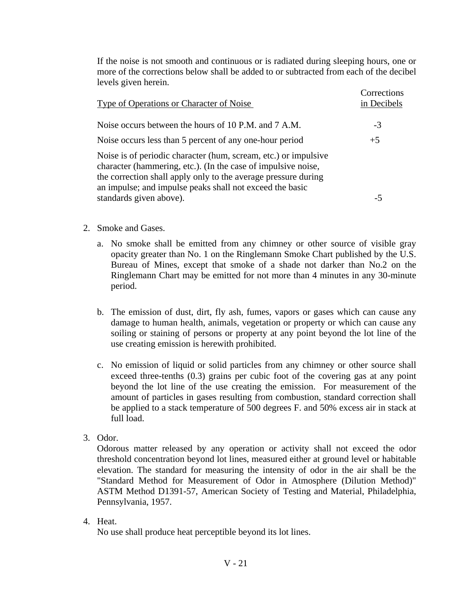If the noise is not smooth and continuous or is radiated during sleeping hours, one or more of the corrections below shall be added to or subtracted from each of the decibel levels given herein.

| <b>Type of Operations or Character of Noise</b>                                                                                                                                                                                                                | Corrections<br>in Decibels |
|----------------------------------------------------------------------------------------------------------------------------------------------------------------------------------------------------------------------------------------------------------------|----------------------------|
| Noise occurs between the hours of 10 P.M. and 7 A.M.                                                                                                                                                                                                           | $-3$                       |
| Noise occurs less than 5 percent of any one-hour period                                                                                                                                                                                                        | $+5$                       |
| Noise is of periodic character (hum, scream, etc.) or impulsive<br>character (hammering, etc.). (In the case of impulsive noise,<br>the correction shall apply only to the average pressure during<br>an impulse; and impulse peaks shall not exceed the basic |                            |
| standards given above).                                                                                                                                                                                                                                        | -5                         |

- 2. Smoke and Gases.
	- a. No smoke shall be emitted from any chimney or other source of visible gray opacity greater than No. 1 on the Ringlemann Smoke Chart published by the U.S. Bureau of Mines, except that smoke of a shade not darker than No.2 on the Ringlemann Chart may be emitted for not more than 4 minutes in any 30-minute period.
	- b. The emission of dust, dirt, fly ash, fumes, vapors or gases which can cause any damage to human health, animals, vegetation or property or which can cause any soiling or staining of persons or property at any point beyond the lot line of the use creating emission is herewith prohibited.
	- c. No emission of liquid or solid particles from any chimney or other source shall exceed three-tenths (0.3) grains per cubic foot of the covering gas at any point beyond the lot line of the use creating the emission. For measurement of the amount of particles in gases resulting from combustion, standard correction shall be applied to a stack temperature of 500 degrees F. and 50% excess air in stack at full load.
- 3. Odor.

Odorous matter released by any operation or activity shall not exceed the odor threshold concentration beyond lot lines, measured either at ground level or habitable elevation. The standard for measuring the intensity of odor in the air shall be the "Standard Method for Measurement of Odor in Atmosphere (Dilution Method)" ASTM Method D1391-57, American Society of Testing and Material, Philadelphia, Pennsylvania, 1957.

4. Heat.

No use shall produce heat perceptible beyond its lot lines.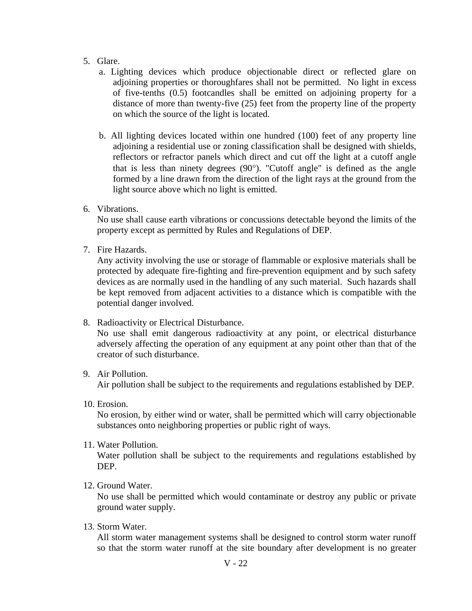### 5. Glare.

- a. Lighting devices which produce objectionable direct or reflected glare on adjoining properties or thoroughfares shall not be permitted. No light in excess of five-tenths (0.5) footcandles shall be emitted on adjoining property for a distance of more than twenty-five (25) feet from the property line of the property on which the source of the light is located.
- b. All lighting devices located within one hundred (100) feet of any property line adjoining a residential use or zoning classification shall be designed with shields, reflectors or refractor panels which direct and cut off the light at a cutoff angle that is less than ninety degrees (90°). "Cutoff angle" is defined as the angle formed by a line drawn from the direction of the light rays at the ground from the light source above which no light is emitted.
- 6. Vibrations.

No use shall cause earth vibrations or concussions detectable beyond the limits of the property except as permitted by Rules and Regulations of DEP.

7. Fire Hazards.

Any activity involving the use or storage of flammable or explosive materials shall be protected by adequate fire-fighting and fire-prevention equipment and by such safety devices as are normally used in the handling of any such material. Such hazards shall be kept removed from adjacent activities to a distance which is compatible with the potential danger involved.

8. Radioactivity or Electrical Disturbance.

No use shall emit dangerous radioactivity at any point, or electrical disturbance adversely affecting the operation of any equipment at any point other than that of the creator of such disturbance.

### 9. Air Pollution.

Air pollution shall be subject to the requirements and regulations established by DEP.

10. Erosion.

No erosion, by either wind or water, shall be permitted which will carry objectionable substances onto neighboring properties or public right of ways.

11. Water Pollution.

Water pollution shall be subject to the requirements and regulations established by DEP.

12. Ground Water.

No use shall be permitted which would contaminate or destroy any public or private ground water supply.

13. Storm Water.

All storm water management systems shall be designed to control storm water runoff so that the storm water runoff at the site boundary after development is no greater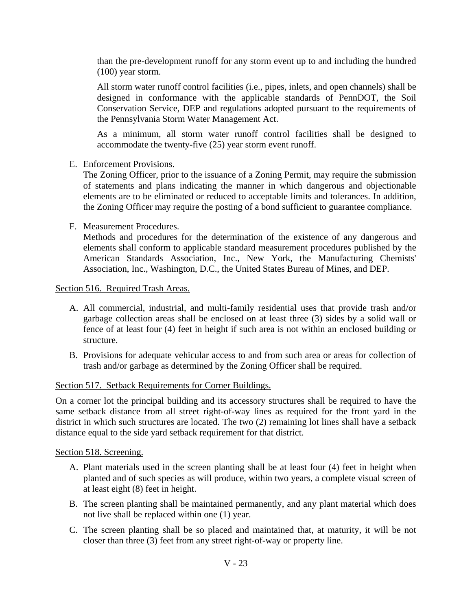than the pre-development runoff for any storm event up to and including the hundred (100) year storm.

All storm water runoff control facilities (i.e., pipes, inlets, and open channels) shall be designed in conformance with the applicable standards of PennDOT, the Soil Conservation Service, DEP and regulations adopted pursuant to the requirements of the Pennsylvania Storm Water Management Act.

As a minimum, all storm water runoff control facilities shall be designed to accommodate the twenty-five (25) year storm event runoff.

E. Enforcement Provisions.

The Zoning Officer, prior to the issuance of a Zoning Permit, may require the submission of statements and plans indicating the manner in which dangerous and objectionable elements are to be eliminated or reduced to acceptable limits and tolerances. In addition, the Zoning Officer may require the posting of a bond sufficient to guarantee compliance.

F. Measurement Procedures.

Methods and procedures for the determination of the existence of any dangerous and elements shall conform to applicable standard measurement procedures published by the American Standards Association, Inc., New York, the Manufacturing Chemists' Association, Inc., Washington, D.C., the United States Bureau of Mines, and DEP.

Section 516. Required Trash Areas.

- A. All commercial, industrial, and multi-family residential uses that provide trash and/or garbage collection areas shall be enclosed on at least three (3) sides by a solid wall or fence of at least four (4) feet in height if such area is not within an enclosed building or structure.
- B. Provisions for adequate vehicular access to and from such area or areas for collection of trash and/or garbage as determined by the Zoning Officer shall be required.

### Section 517. Setback Requirements for Corner Buildings.

On a corner lot the principal building and its accessory structures shall be required to have the same setback distance from all street right-of-way lines as required for the front yard in the district in which such structures are located. The two (2) remaining lot lines shall have a setback distance equal to the side yard setback requirement for that district.

### Section 518. Screening.

- A. Plant materials used in the screen planting shall be at least four (4) feet in height when planted and of such species as will produce, within two years, a complete visual screen of at least eight (8) feet in height.
- B. The screen planting shall be maintained permanently, and any plant material which does not live shall be replaced within one (1) year.
- C. The screen planting shall be so placed and maintained that, at maturity, it will be not closer than three (3) feet from any street right-of-way or property line.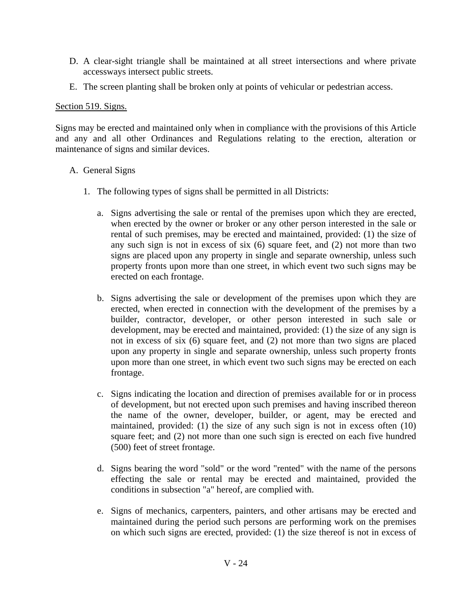- D. A clear-sight triangle shall be maintained at all street intersections and where private accessways intersect public streets.
- E. The screen planting shall be broken only at points of vehicular or pedestrian access.

### Section 519. Signs.

Signs may be erected and maintained only when in compliance with the provisions of this Article and any and all other Ordinances and Regulations relating to the erection, alteration or maintenance of signs and similar devices.

### A. General Signs

- 1. The following types of signs shall be permitted in all Districts:
	- a. Signs advertising the sale or rental of the premises upon which they are erected, when erected by the owner or broker or any other person interested in the sale or rental of such premises, may be erected and maintained, provided: (1) the size of any such sign is not in excess of six (6) square feet, and (2) not more than two signs are placed upon any property in single and separate ownership, unless such property fronts upon more than one street, in which event two such signs may be erected on each frontage.
	- b. Signs advertising the sale or development of the premises upon which they are erected, when erected in connection with the development of the premises by a builder, contractor, developer, or other person interested in such sale or development, may be erected and maintained, provided: (1) the size of any sign is not in excess of six (6) square feet, and (2) not more than two signs are placed upon any property in single and separate ownership, unless such property fronts upon more than one street, in which event two such signs may be erected on each frontage.
	- c. Signs indicating the location and direction of premises available for or in process of development, but not erected upon such premises and having inscribed thereon the name of the owner, developer, builder, or agent, may be erected and maintained, provided: (1) the size of any such sign is not in excess often (10) square feet; and (2) not more than one such sign is erected on each five hundred (500) feet of street frontage.
	- d. Signs bearing the word "sold" or the word "rented" with the name of the persons effecting the sale or rental may be erected and maintained, provided the conditions in subsection "a" hereof, are complied with.
	- e. Signs of mechanics, carpenters, painters, and other artisans may be erected and maintained during the period such persons are performing work on the premises on which such signs are erected, provided: (1) the size thereof is not in excess of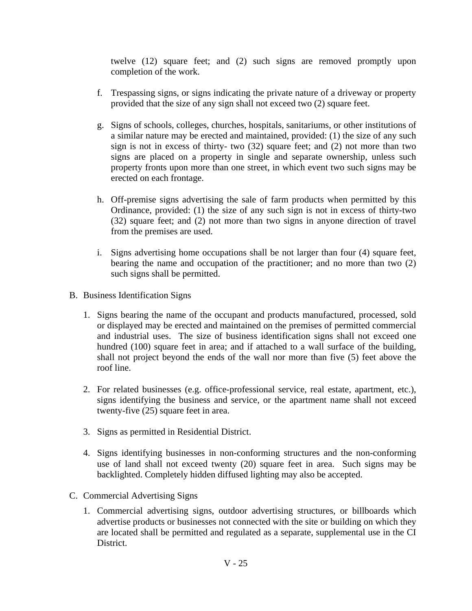twelve (12) square feet; and (2) such signs are removed promptly upon completion of the work.

- f. Trespassing signs, or signs indicating the private nature of a driveway or property provided that the size of any sign shall not exceed two (2) square feet.
- g. Signs of schools, colleges, churches, hospitals, sanitariums, or other institutions of a similar nature may be erected and maintained, provided: (1) the size of any such sign is not in excess of thirty- two (32) square feet; and (2) not more than two signs are placed on a property in single and separate ownership, unless such property fronts upon more than one street, in which event two such signs may be erected on each frontage.
- h. Off-premise signs advertising the sale of farm products when permitted by this Ordinance, provided: (1) the size of any such sign is not in excess of thirty-two (32) square feet; and (2) not more than two signs in anyone direction of travel from the premises are used.
- i. Signs advertising home occupations shall be not larger than four (4) square feet, bearing the name and occupation of the practitioner; and no more than two (2) such signs shall be permitted.
- B. Business Identification Signs
	- 1. Signs bearing the name of the occupant and products manufactured, processed, sold or displayed may be erected and maintained on the premises of permitted commercial and industrial uses. The size of business identification signs shall not exceed one hundred (100) square feet in area; and if attached to a wall surface of the building, shall not project beyond the ends of the wall nor more than five (5) feet above the roof line.
	- 2. For related businesses (e.g. office-professional service, real estate, apartment, etc.), signs identifying the business and service, or the apartment name shall not exceed twenty-five (25) square feet in area.
	- 3. Signs as permitted in Residential District.
	- 4. Signs identifying businesses in non-conforming structures and the non-conforming use of land shall not exceed twenty (20) square feet in area. Such signs may be backlighted. Completely hidden diffused lighting may also be accepted.
- C. Commercial Advertising Signs
	- 1. Commercial advertising signs, outdoor advertising structures, or billboards which advertise products or businesses not connected with the site or building on which they are located shall be permitted and regulated as a separate, supplemental use in the CI District.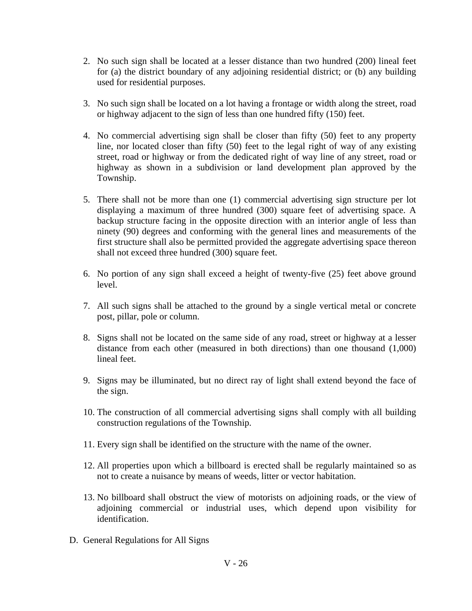- 2. No such sign shall be located at a lesser distance than two hundred (200) lineal feet for (a) the district boundary of any adjoining residential district; or (b) any building used for residential purposes.
- 3. No such sign shall be located on a lot having a frontage or width along the street, road or highway adjacent to the sign of less than one hundred fifty (150) feet.
- 4. No commercial advertising sign shall be closer than fifty (50) feet to any property line, nor located closer than fifty (50) feet to the legal right of way of any existing street, road or highway or from the dedicated right of way line of any street, road or highway as shown in a subdivision or land development plan approved by the Township.
- 5. There shall not be more than one (1) commercial advertising sign structure per lot displaying a maximum of three hundred (300) square feet of advertising space. A backup structure facing in the opposite direction with an interior angle of less than ninety (90) degrees and conforming with the general lines and measurements of the first structure shall also be permitted provided the aggregate advertising space thereon shall not exceed three hundred (300) square feet.
- 6. No portion of any sign shall exceed a height of twenty-five (25) feet above ground level.
- 7. All such signs shall be attached to the ground by a single vertical metal or concrete post, pillar, pole or column.
- 8. Signs shall not be located on the same side of any road, street or highway at a lesser distance from each other (measured in both directions) than one thousand (1,000) lineal feet.
- 9. Signs may be illuminated, but no direct ray of light shall extend beyond the face of the sign.
- 10. The construction of all commercial advertising signs shall comply with all building construction regulations of the Township.
- 11. Every sign shall be identified on the structure with the name of the owner.
- 12. All properties upon which a billboard is erected shall be regularly maintained so as not to create a nuisance by means of weeds, litter or vector habitation.
- 13. No billboard shall obstruct the view of motorists on adjoining roads, or the view of adjoining commercial or industrial uses, which depend upon visibility for identification.
- D. General Regulations for All Signs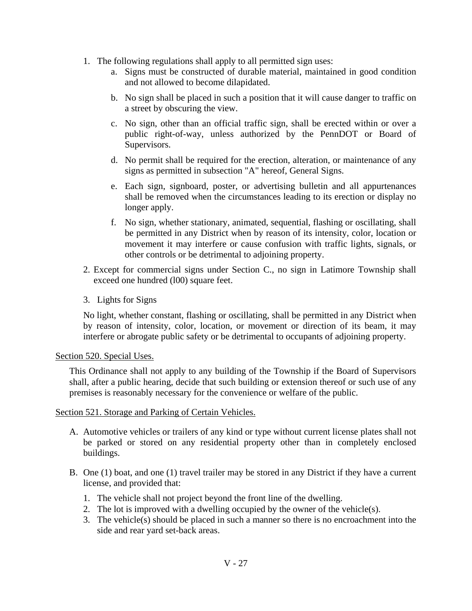- 1. The following regulations shall apply to all permitted sign uses:
	- a. Signs must be constructed of durable material, maintained in good condition and not allowed to become dilapidated.
	- b. No sign shall be placed in such a position that it will cause danger to traffic on a street by obscuring the view.
	- c. No sign, other than an official traffic sign, shall be erected within or over a public right-of-way, unless authorized by the PennDOT or Board of Supervisors.
	- d. No permit shall be required for the erection, alteration, or maintenance of any signs as permitted in subsection "A" hereof, General Signs.
	- e. Each sign, signboard, poster, or advertising bulletin and all appurtenances shall be removed when the circumstances leading to its erection or display no longer apply.
	- f. No sign, whether stationary, animated, sequential, flashing or oscillating, shall be permitted in any District when by reason of its intensity, color, location or movement it may interfere or cause confusion with traffic lights, signals, or other controls or be detrimental to adjoining property.
- 2. Except for commercial signs under Section C., no sign in Latimore Township shall exceed one hundred (l00) square feet.
- 3. Lights for Signs

No light, whether constant, flashing or oscillating, shall be permitted in any District when by reason of intensity, color, location, or movement or direction of its beam, it may interfere or abrogate public safety or be detrimental to occupants of adjoining property.

### Section 520. Special Uses.

This Ordinance shall not apply to any building of the Township if the Board of Supervisors shall, after a public hearing, decide that such building or extension thereof or such use of any premises is reasonably necessary for the convenience or welfare of the public.

# Section 521. Storage and Parking of Certain Vehicles.

- A. Automotive vehicles or trailers of any kind or type without current license plates shall not be parked or stored on any residential property other than in completely enclosed buildings.
- B. One (1) boat, and one (1) travel trailer may be stored in any District if they have a current license, and provided that:
	- 1. The vehicle shall not project beyond the front line of the dwelling.
	- 2. The lot is improved with a dwelling occupied by the owner of the vehicle(s).
	- 3. The vehicle(s) should be placed in such a manner so there is no encroachment into the side and rear yard set-back areas.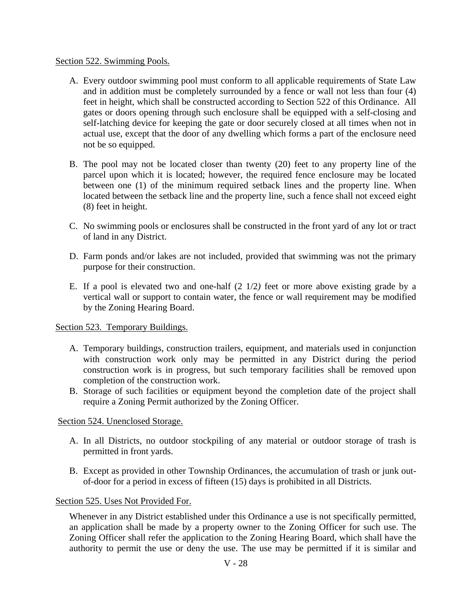### Section 522. Swimming Pools.

- A. Every outdoor swimming pool must conform to all applicable requirements of State Law and in addition must be completely surrounded by a fence or wall not less than four (4) feet in height, which shall be constructed according to Section 522 of this Ordinance. All gates or doors opening through such enclosure shall be equipped with a self-closing and self-latching device for keeping the gate or door securely closed at all times when not in actual use, except that the door of any dwelling which forms a part of the enclosure need not be so equipped.
- B. The pool may not be located closer than twenty (20) feet to any property line of the parcel upon which it is located; however, the required fence enclosure may be located between one (1) of the minimum required setback lines and the property line. When located between the setback line and the property line, such a fence shall not exceed eight (8) feet in height.
- C. No swimming pools or enclosures shall be constructed in the front yard of any lot or tract of land in any District.
- D. Farm ponds and/or lakes are not included, provided that swimming was not the primary purpose for their construction.
- E. If a pool is elevated two and one-half (2 1/2*)* feet or more above existing grade by a vertical wall or support to contain water, the fence or wall requirement may be modified by the Zoning Hearing Board.

# Section 523. Temporary Buildings.

- A. Temporary buildings, construction trailers, equipment, and materials used in conjunction with construction work only may be permitted in any District during the period construction work is in progress, but such temporary facilities shall be removed upon completion of the construction work.
- B. Storage of such facilities or equipment beyond the completion date of the project shall require a Zoning Permit authorized by the Zoning Officer.

# Section 524. Unenclosed Storage.

- A. In all Districts, no outdoor stockpiling of any material or outdoor storage of trash is permitted in front yards.
- B. Except as provided in other Township Ordinances, the accumulation of trash or junk outof-door for a period in excess of fifteen (15) days is prohibited in all Districts.

# Section 525. Uses Not Provided For.

Whenever in any District established under this Ordinance a use is not specifically permitted, an application shall be made by a property owner to the Zoning Officer for such use. The Zoning Officer shall refer the application to the Zoning Hearing Board, which shall have the authority to permit the use or deny the use. The use may be permitted if it is similar and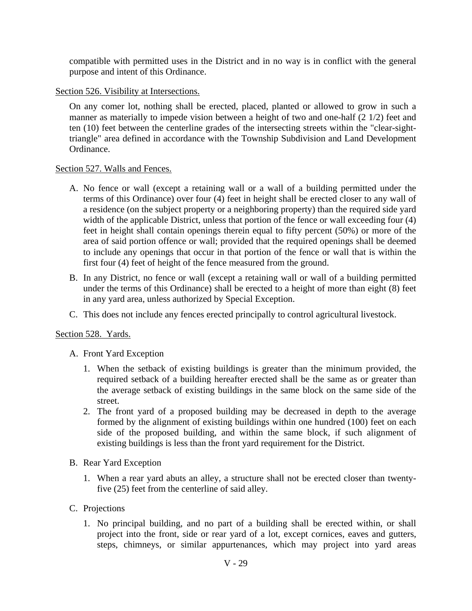compatible with permitted uses in the District and in no way is in conflict with the general purpose and intent of this Ordinance.

### Section 526. Visibility at Intersections.

On any comer lot, nothing shall be erected, placed, planted or allowed to grow in such a manner as materially to impede vision between a height of two and one-half (2 1/2) feet and ten (10) feet between the centerline grades of the intersecting streets within the "clear-sighttriangle" area defined in accordance with the Township Subdivision and Land Development Ordinance.

### Section 527. Walls and Fences.

- A. No fence or wall (except a retaining wall or a wall of a building permitted under the terms of this Ordinance) over four (4) feet in height shall be erected closer to any wall of a residence (on the subject property or a neighboring property) than the required side yard width of the applicable District, unless that portion of the fence or wall exceeding four (4) feet in height shall contain openings therein equal to fifty percent (50%) or more of the area of said portion offence or wall; provided that the required openings shall be deemed to include any openings that occur in that portion of the fence or wall that is within the first four (4) feet of height of the fence measured from the ground.
- B. In any District, no fence or wall (except a retaining wall or wall of a building permitted under the terms of this Ordinance) shall be erected to a height of more than eight (8) feet in any yard area, unless authorized by Special Exception.
- C. This does not include any fences erected principally to control agricultural livestock.

# Section 528. Yards.

# A. Front Yard Exception

- 1. When the setback of existing buildings is greater than the minimum provided, the required setback of a building hereafter erected shall be the same as or greater than the average setback of existing buildings in the same block on the same side of the street.
- 2. The front yard of a proposed building may be decreased in depth to the average formed by the alignment of existing buildings within one hundred (100) feet on each side of the proposed building, and within the same block, if such alignment of existing buildings is less than the front yard requirement for the District.
- B. Rear Yard Exception
	- 1. When a rear yard abuts an alley, a structure shall not be erected closer than twentyfive (25) feet from the centerline of said alley.
- C. Projections
	- 1. No principal building, and no part of a building shall be erected within, or shall project into the front, side or rear yard of a lot, except cornices, eaves and gutters, steps, chimneys, or similar appurtenances, which may project into yard areas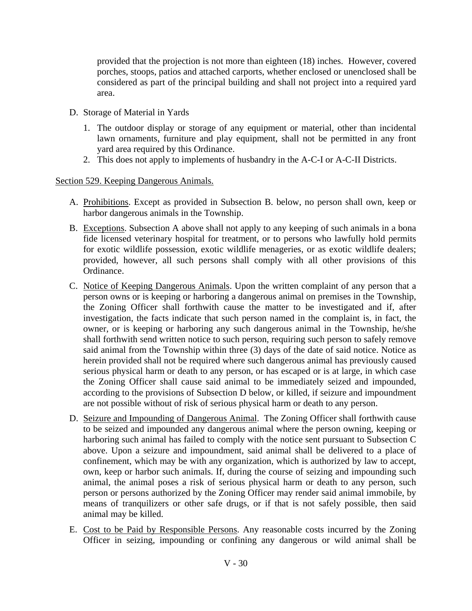provided that the projection is not more than eighteen (18) inches. However, covered porches, stoops, patios and attached carports, whether enclosed or unenclosed shall be considered as part of the principal building and shall not project into a required yard area.

- D. Storage of Material in Yards
	- 1. The outdoor display or storage of any equipment or material, other than incidental lawn ornaments, furniture and play equipment, shall not be permitted in any front yard area required by this Ordinance.
	- 2. This does not apply to implements of husbandry in the A-C-I or A-C-II Districts.

# Section 529. Keeping Dangerous Animals.

- A. Prohibitions. Except as provided in Subsection B. below, no person shall own, keep or harbor dangerous animals in the Township.
- B. Exceptions. Subsection A above shall not apply to any keeping of such animals in a bona fide licensed veterinary hospital for treatment, or to persons who lawfully hold permits for exotic wildlife possession, exotic wildlife menageries, or as exotic wildlife dealers; provided, however, all such persons shall comply with all other provisions of this Ordinance.
- C. Notice of Keeping Dangerous Animals. Upon the written complaint of any person that a person owns or is keeping or harboring a dangerous animal on premises in the Township, the Zoning Officer shall forthwith cause the matter to be investigated and if, after investigation, the facts indicate that such person named in the complaint is, in fact, the owner, or is keeping or harboring any such dangerous animal in the Township, he/she shall forthwith send written notice to such person, requiring such person to safely remove said animal from the Township within three (3) days of the date of said notice. Notice as herein provided shall not be required where such dangerous animal has previously caused serious physical harm or death to any person, or has escaped or is at large, in which case the Zoning Officer shall cause said animal to be immediately seized and impounded, according to the provisions of Subsection D below, or killed, if seizure and impoundment are not possible without of risk of serious physical harm or death to any person.
- D. Seizure and Impounding of Dangerous Animal. The Zoning Officer shall forthwith cause to be seized and impounded any dangerous animal where the person owning, keeping or harboring such animal has failed to comply with the notice sent pursuant to Subsection C above. Upon a seizure and impoundment, said animal shall be delivered to a place of confinement, which may be with any organization, which is authorized by law to accept, own, keep or harbor such animals. If, during the course of seizing and impounding such animal, the animal poses a risk of serious physical harm or death to any person, such person or persons authorized by the Zoning Officer may render said animal immobile, by means of tranquilizers or other safe drugs, or if that is not safely possible, then said animal may be killed.
- E. Cost to be Paid by Responsible Persons. Any reasonable costs incurred by the Zoning Officer in seizing, impounding or confining any dangerous or wild animal shall be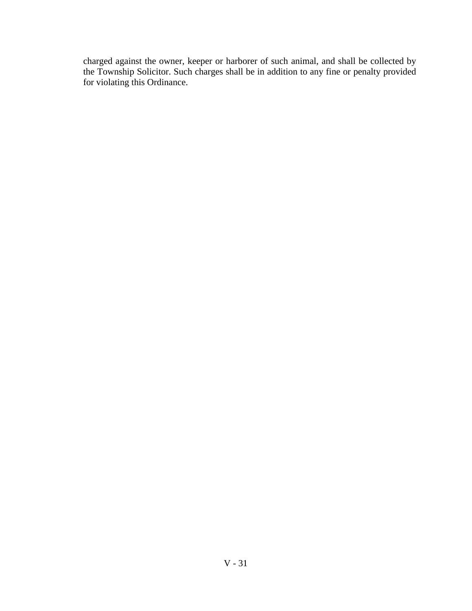charged against the owner, keeper or harborer of such animal, and shall be collected by the Township Solicitor. Such charges shall be in addition to any fine or penalty provided for violating this Ordinance.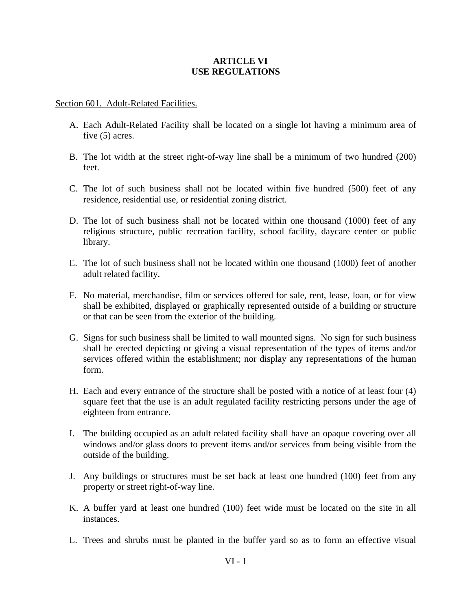### **ARTICLE VI USE REGULATIONS**

#### Section 601. Adult-Related Facilities.

- A. Each Adult-Related Facility shall be located on a single lot having a minimum area of five (5) acres.
- B. The lot width at the street right-of-way line shall be a minimum of two hundred (200) feet.
- C. The lot of such business shall not be located within five hundred (500) feet of any residence, residential use, or residential zoning district.
- D. The lot of such business shall not be located within one thousand (1000) feet of any religious structure, public recreation facility, school facility, daycare center or public library.
- E. The lot of such business shall not be located within one thousand (1000) feet of another adult related facility.
- F. No material, merchandise, film or services offered for sale, rent, lease, loan, or for view shall be exhibited, displayed or graphically represented outside of a building or structure or that can be seen from the exterior of the building.
- G. Signs for such business shall be limited to wall mounted signs. No sign for such business shall be erected depicting or giving a visual representation of the types of items and/or services offered within the establishment; nor display any representations of the human form.
- H. Each and every entrance of the structure shall be posted with a notice of at least four (4) square feet that the use is an adult regulated facility restricting persons under the age of eighteen from entrance.
- I. The building occupied as an adult related facility shall have an opaque covering over all windows and/or glass doors to prevent items and/or services from being visible from the outside of the building.
- J. Any buildings or structures must be set back at least one hundred (100) feet from any property or street right-of-way line.
- K. A buffer yard at least one hundred (100) feet wide must be located on the site in all instances.
- L. Trees and shrubs must be planted in the buffer yard so as to form an effective visual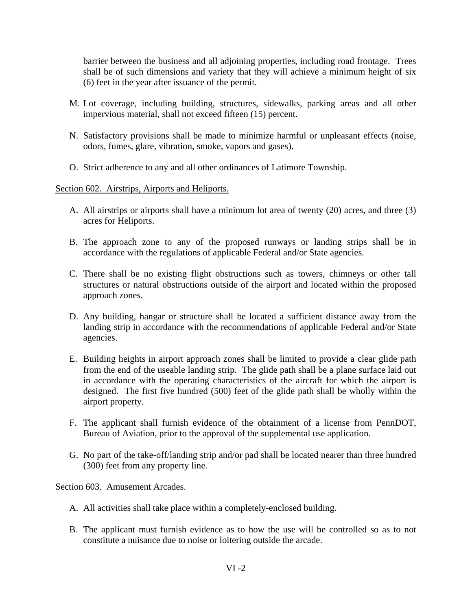barrier between the business and all adjoining properties, including road frontage. Trees shall be of such dimensions and variety that they will achieve a minimum height of six (6) feet in the year after issuance of the permit.

- M. Lot coverage, including building, structures, sidewalks, parking areas and all other impervious material, shall not exceed fifteen (15) percent.
- N. Satisfactory provisions shall be made to minimize harmful or unpleasant effects (noise, odors, fumes, glare, vibration, smoke, vapors and gases).
- O. Strict adherence to any and all other ordinances of Latimore Township.

Section 602. Airstrips, Airports and Heliports.

- A. All airstrips or airports shall have a minimum lot area of twenty (20) acres, and three (3) acres for Heliports.
- B. The approach zone to any of the proposed runways or landing strips shall be in accordance with the regulations of applicable Federal and/or State agencies.
- C. There shall be no existing flight obstructions such as towers, chimneys or other tall structures or natural obstructions outside of the airport and located within the proposed approach zones.
- D. Any building, hangar or structure shall be located a sufficient distance away from the landing strip in accordance with the recommendations of applicable Federal and/or State agencies.
- E. Building heights in airport approach zones shall be limited to provide a clear glide path from the end of the useable landing strip. The glide path shall be a plane surface laid out in accordance with the operating characteristics of the aircraft for which the airport is designed. The first five hundred (500) feet of the glide path shall be wholly within the airport property.
- F. The applicant shall furnish evidence of the obtainment of a license from PennDOT, Bureau of Aviation, prior to the approval of the supplemental use application.
- G. No part of the take-off/landing strip and/or pad shall be located nearer than three hundred (300) feet from any property line.

Section 603. Amusement Arcades.

- A. All activities shall take place within a completely-enclosed building.
- B. The applicant must furnish evidence as to how the use will be controlled so as to not constitute a nuisance due to noise or loitering outside the arcade.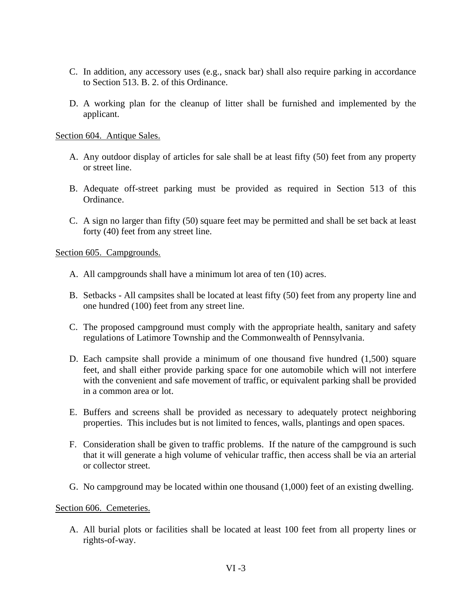- C. In addition, any accessory uses (e.g., snack bar) shall also require parking in accordance to Section 513. B. 2. of this Ordinance.
- D. A working plan for the cleanup of litter shall be furnished and implemented by the applicant.

Section 604. Antique Sales.

- A. Any outdoor display of articles for sale shall be at least fifty (50) feet from any property or street line.
- B. Adequate off-street parking must be provided as required in Section 513 of this Ordinance.
- C. A sign no larger than fifty (50) square feet may be permitted and shall be set back at least forty (40) feet from any street line.

Section 605. Campgrounds.

- A. All campgrounds shall have a minimum lot area of ten (10) acres.
- B. Setbacks All campsites shall be located at least fifty (50) feet from any property line and one hundred (100) feet from any street line.
- C. The proposed campground must comply with the appropriate health, sanitary and safety regulations of Latimore Township and the Commonwealth of Pennsylvania.
- D. Each campsite shall provide a minimum of one thousand five hundred (1,500) square feet, and shall either provide parking space for one automobile which will not interfere with the convenient and safe movement of traffic, or equivalent parking shall be provided in a common area or lot.
- E. Buffers and screens shall be provided as necessary to adequately protect neighboring properties. This includes but is not limited to fences, walls, plantings and open spaces.
- F. Consideration shall be given to traffic problems. If the nature of the campground is such that it will generate a high volume of vehicular traffic, then access shall be via an arterial or collector street.
- G. No campground may be located within one thousand (1,000) feet of an existing dwelling.

### Section 606. Cemeteries.

 A. All burial plots or facilities shall be located at least 100 feet from all property lines or rights-of-way.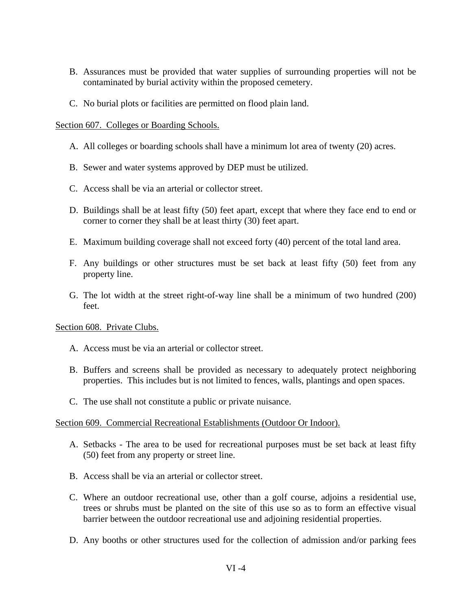- B. Assurances must be provided that water supplies of surrounding properties will not be contaminated by burial activity within the proposed cemetery.
- C. No burial plots or facilities are permitted on flood plain land.

### Section 607. Colleges or Boarding Schools.

- A. All colleges or boarding schools shall have a minimum lot area of twenty (20) acres.
- B. Sewer and water systems approved by DEP must be utilized.
- C. Access shall be via an arterial or collector street.
- D. Buildings shall be at least fifty (50) feet apart, except that where they face end to end or corner to corner they shall be at least thirty (30) feet apart.
- E. Maximum building coverage shall not exceed forty (40) percent of the total land area.
- F. Any buildings or other structures must be set back at least fifty (50) feet from any property line.
- G. The lot width at the street right-of-way line shall be a minimum of two hundred (200) feet.

### Section 608. Private Clubs.

- A. Access must be via an arterial or collector street.
- B. Buffers and screens shall be provided as necessary to adequately protect neighboring properties. This includes but is not limited to fences, walls, plantings and open spaces.
- C. The use shall not constitute a public or private nuisance.

### Section 609. Commercial Recreational Establishments (Outdoor Or Indoor).

- A. Setbacks The area to be used for recreational purposes must be set back at least fifty (50) feet from any property or street line.
- B. Access shall be via an arterial or collector street.
- C. Where an outdoor recreational use, other than a golf course, adjoins a residential use, trees or shrubs must be planted on the site of this use so as to form an effective visual barrier between the outdoor recreational use and adjoining residential properties.
- D. Any booths or other structures used for the collection of admission and/or parking fees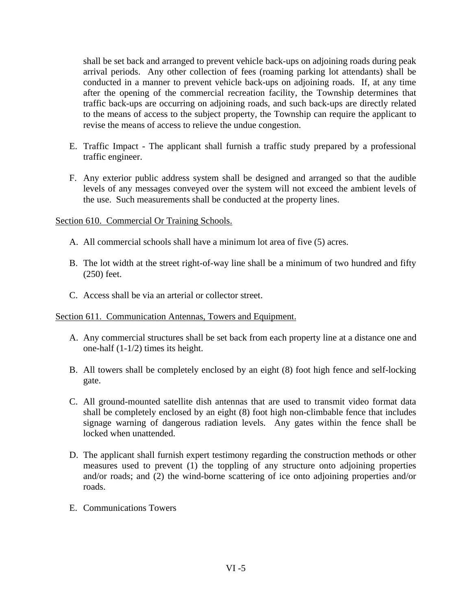shall be set back and arranged to prevent vehicle back-ups on adjoining roads during peak arrival periods. Any other collection of fees (roaming parking lot attendants) shall be conducted in a manner to prevent vehicle back-ups on adjoining roads. If, at any time after the opening of the commercial recreation facility, the Township determines that traffic back-ups are occurring on adjoining roads, and such back-ups are directly related to the means of access to the subject property, the Township can require the applicant to revise the means of access to relieve the undue congestion.

- E. Traffic Impact The applicant shall furnish a traffic study prepared by a professional traffic engineer.
- F. Any exterior public address system shall be designed and arranged so that the audible levels of any messages conveyed over the system will not exceed the ambient levels of the use. Such measurements shall be conducted at the property lines.

### Section 610. Commercial Or Training Schools.

- A. All commercial schools shall have a minimum lot area of five (5) acres.
- B. The lot width at the street right-of-way line shall be a minimum of two hundred and fifty (250) feet.
- C. Access shall be via an arterial or collector street.

### Section 611. Communication Antennas, Towers and Equipment.

- A. Any commercial structures shall be set back from each property line at a distance one and one-half (1-1/2) times its height.
- B. All towers shall be completely enclosed by an eight (8) foot high fence and self-locking gate.
- C. All ground-mounted satellite dish antennas that are used to transmit video format data shall be completely enclosed by an eight (8) foot high non-climbable fence that includes signage warning of dangerous radiation levels. Any gates within the fence shall be locked when unattended.
- D. The applicant shall furnish expert testimony regarding the construction methods or other measures used to prevent (1) the toppling of any structure onto adjoining properties and/or roads; and (2) the wind-borne scattering of ice onto adjoining properties and/or roads.
- E. Communications Towers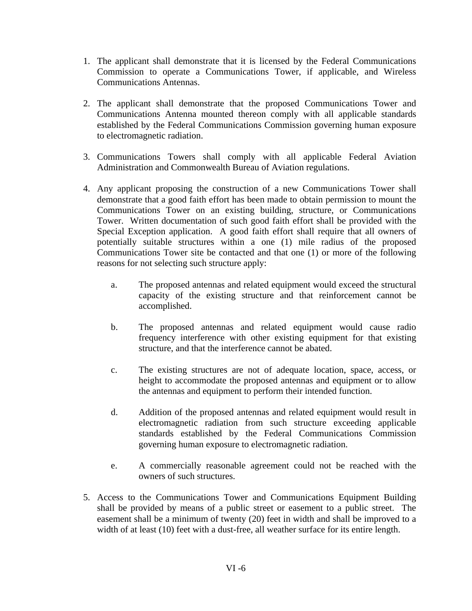- 1. The applicant shall demonstrate that it is licensed by the Federal Communications Commission to operate a Communications Tower, if applicable, and Wireless Communications Antennas.
- 2. The applicant shall demonstrate that the proposed Communications Tower and Communications Antenna mounted thereon comply with all applicable standards established by the Federal Communications Commission governing human exposure to electromagnetic radiation.
- 3. Communications Towers shall comply with all applicable Federal Aviation Administration and Commonwealth Bureau of Aviation regulations.
- 4. Any applicant proposing the construction of a new Communications Tower shall demonstrate that a good faith effort has been made to obtain permission to mount the Communications Tower on an existing building, structure, or Communications Tower. Written documentation of such good faith effort shall be provided with the Special Exception application. A good faith effort shall require that all owners of potentially suitable structures within a one (1) mile radius of the proposed Communications Tower site be contacted and that one (1) or more of the following reasons for not selecting such structure apply:
	- a. The proposed antennas and related equipment would exceed the structural capacity of the existing structure and that reinforcement cannot be accomplished.
	- b. The proposed antennas and related equipment would cause radio frequency interference with other existing equipment for that existing structure, and that the interference cannot be abated.
	- c. The existing structures are not of adequate location, space, access, or height to accommodate the proposed antennas and equipment or to allow the antennas and equipment to perform their intended function.
	- d. Addition of the proposed antennas and related equipment would result in electromagnetic radiation from such structure exceeding applicable standards established by the Federal Communications Commission governing human exposure to electromagnetic radiation.
	- e. A commercially reasonable agreement could not be reached with the owners of such structures.
- 5. Access to the Communications Tower and Communications Equipment Building shall be provided by means of a public street or easement to a public street. The easement shall be a minimum of twenty (20) feet in width and shall be improved to a width of at least (10) feet with a dust-free, all weather surface for its entire length.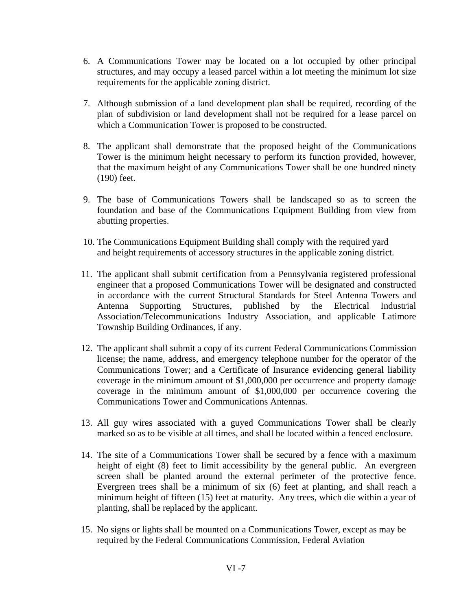- 6. A Communications Tower may be located on a lot occupied by other principal structures, and may occupy a leased parcel within a lot meeting the minimum lot size requirements for the applicable zoning district.
- 7. Although submission of a land development plan shall be required, recording of the plan of subdivision or land development shall not be required for a lease parcel on which a Communication Tower is proposed to be constructed.
- 8. The applicant shall demonstrate that the proposed height of the Communications Tower is the minimum height necessary to perform its function provided, however, that the maximum height of any Communications Tower shall be one hundred ninety (190) feet.
- 9. The base of Communications Towers shall be landscaped so as to screen the foundation and base of the Communications Equipment Building from view from abutting properties.
- 10. The Communications Equipment Building shall comply with the required yard and height requirements of accessory structures in the applicable zoning district.
- 11. The applicant shall submit certification from a Pennsylvania registered professional engineer that a proposed Communications Tower will be designated and constructed in accordance with the current Structural Standards for Steel Antenna Towers and Antenna Supporting Structures, published by the Electrical Industrial Association/Telecommunications Industry Association, and applicable Latimore Township Building Ordinances, if any.
- 12. The applicant shall submit a copy of its current Federal Communications Commission license; the name, address, and emergency telephone number for the operator of the Communications Tower; and a Certificate of Insurance evidencing general liability coverage in the minimum amount of \$1,000,000 per occurrence and property damage coverage in the minimum amount of \$1,000,000 per occurrence covering the Communications Tower and Communications Antennas.
- 13. All guy wires associated with a guyed Communications Tower shall be clearly marked so as to be visible at all times, and shall be located within a fenced enclosure.
- 14. The site of a Communications Tower shall be secured by a fence with a maximum height of eight (8) feet to limit accessibility by the general public. An evergreen screen shall be planted around the external perimeter of the protective fence. Evergreen trees shall be a minimum of six (6) feet at planting, and shall reach a minimum height of fifteen (15) feet at maturity. Any trees, which die within a year of planting, shall be replaced by the applicant.
- 15. No signs or lights shall be mounted on a Communications Tower, except as may be required by the Federal Communications Commission, Federal Aviation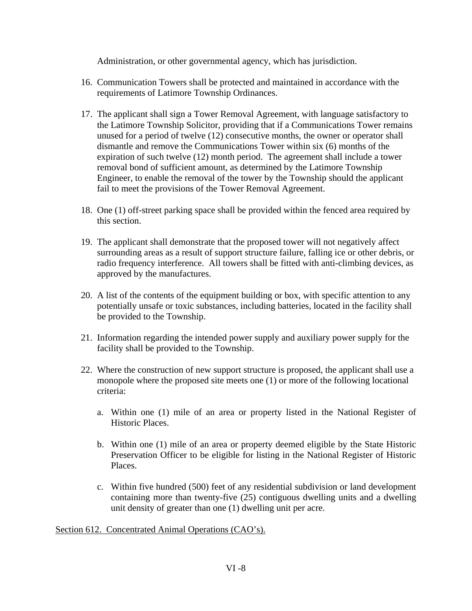Administration, or other governmental agency, which has jurisdiction.

- 16. Communication Towers shall be protected and maintained in accordance with the requirements of Latimore Township Ordinances.
- 17. The applicant shall sign a Tower Removal Agreement, with language satisfactory to the Latimore Township Solicitor, providing that if a Communications Tower remains unused for a period of twelve (12) consecutive months, the owner or operator shall dismantle and remove the Communications Tower within six (6) months of the expiration of such twelve (12) month period. The agreement shall include a tower removal bond of sufficient amount, as determined by the Latimore Township Engineer, to enable the removal of the tower by the Township should the applicant fail to meet the provisions of the Tower Removal Agreement.
- 18. One (1) off-street parking space shall be provided within the fenced area required by this section.
- 19. The applicant shall demonstrate that the proposed tower will not negatively affect surrounding areas as a result of support structure failure, falling ice or other debris, or radio frequency interference. All towers shall be fitted with anti-climbing devices, as approved by the manufactures.
- 20. A list of the contents of the equipment building or box, with specific attention to any potentially unsafe or toxic substances, including batteries, located in the facility shall be provided to the Township.
- 21. Information regarding the intended power supply and auxiliary power supply for the facility shall be provided to the Township.
- 22. Where the construction of new support structure is proposed, the applicant shall use a monopole where the proposed site meets one (1) or more of the following locational criteria:
	- a. Within one (1) mile of an area or property listed in the National Register of Historic Places.
	- b. Within one (1) mile of an area or property deemed eligible by the State Historic Preservation Officer to be eligible for listing in the National Register of Historic Places.
	- c. Within five hundred (500) feet of any residential subdivision or land development containing more than twenty-five (25) contiguous dwelling units and a dwelling unit density of greater than one (1) dwelling unit per acre.

Section 612. Concentrated Animal Operations (CAO's).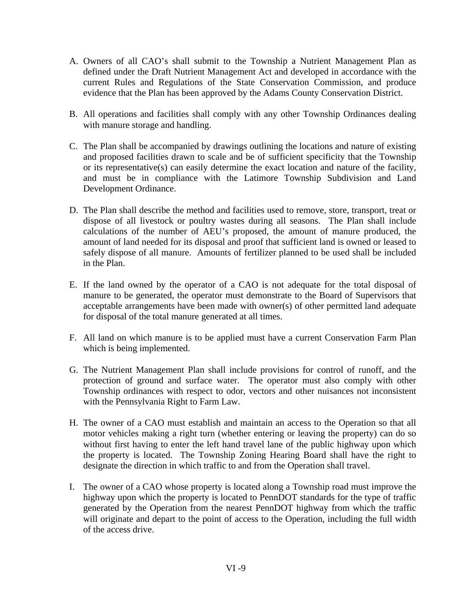- A. Owners of all CAO's shall submit to the Township a Nutrient Management Plan as defined under the Draft Nutrient Management Act and developed in accordance with the current Rules and Regulations of the State Conservation Commission, and produce evidence that the Plan has been approved by the Adams County Conservation District.
- B. All operations and facilities shall comply with any other Township Ordinances dealing with manure storage and handling.
- C. The Plan shall be accompanied by drawings outlining the locations and nature of existing and proposed facilities drawn to scale and be of sufficient specificity that the Township or its representative(s) can easily determine the exact location and nature of the facility, and must be in compliance with the Latimore Township Subdivision and Land Development Ordinance.
- D. The Plan shall describe the method and facilities used to remove, store, transport, treat or dispose of all livestock or poultry wastes during all seasons. The Plan shall include calculations of the number of AEU's proposed, the amount of manure produced, the amount of land needed for its disposal and proof that sufficient land is owned or leased to safely dispose of all manure. Amounts of fertilizer planned to be used shall be included in the Plan.
- E. If the land owned by the operator of a CAO is not adequate for the total disposal of manure to be generated, the operator must demonstrate to the Board of Supervisors that acceptable arrangements have been made with owner(s) of other permitted land adequate for disposal of the total manure generated at all times.
- F. All land on which manure is to be applied must have a current Conservation Farm Plan which is being implemented.
- G. The Nutrient Management Plan shall include provisions for control of runoff, and the protection of ground and surface water. The operator must also comply with other Township ordinances with respect to odor, vectors and other nuisances not inconsistent with the Pennsylvania Right to Farm Law.
- H. The owner of a CAO must establish and maintain an access to the Operation so that all motor vehicles making a right turn (whether entering or leaving the property) can do so without first having to enter the left hand travel lane of the public highway upon which the property is located. The Township Zoning Hearing Board shall have the right to designate the direction in which traffic to and from the Operation shall travel.
- I. The owner of a CAO whose property is located along a Township road must improve the highway upon which the property is located to PennDOT standards for the type of traffic generated by the Operation from the nearest PennDOT highway from which the traffic will originate and depart to the point of access to the Operation, including the full width of the access drive.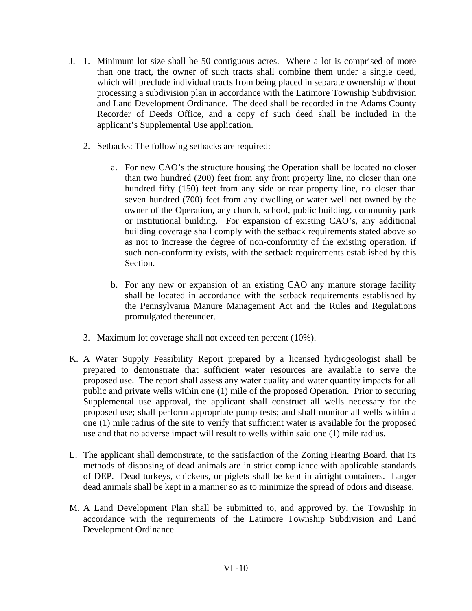- J. 1. Minimum lot size shall be 50 contiguous acres. Where a lot is comprised of more than one tract, the owner of such tracts shall combine them under a single deed, which will preclude individual tracts from being placed in separate ownership without processing a subdivision plan in accordance with the Latimore Township Subdivision and Land Development Ordinance. The deed shall be recorded in the Adams County Recorder of Deeds Office, and a copy of such deed shall be included in the applicant's Supplemental Use application.
	- 2. Setbacks: The following setbacks are required:
		- a. For new CAO's the structure housing the Operation shall be located no closer than two hundred (200) feet from any front property line, no closer than one hundred fifty (150) feet from any side or rear property line, no closer than seven hundred (700) feet from any dwelling or water well not owned by the owner of the Operation, any church, school, public building, community park or institutional building. For expansion of existing CAO's, any additional building coverage shall comply with the setback requirements stated above so as not to increase the degree of non-conformity of the existing operation, if such non-conformity exists, with the setback requirements established by this Section.
		- b. For any new or expansion of an existing CAO any manure storage facility shall be located in accordance with the setback requirements established by the Pennsylvania Manure Management Act and the Rules and Regulations promulgated thereunder.
	- 3. Maximum lot coverage shall not exceed ten percent (10%).
- K. A Water Supply Feasibility Report prepared by a licensed hydrogeologist shall be prepared to demonstrate that sufficient water resources are available to serve the proposed use. The report shall assess any water quality and water quantity impacts for all public and private wells within one (1) mile of the proposed Operation. Prior to securing Supplemental use approval, the applicant shall construct all wells necessary for the proposed use; shall perform appropriate pump tests; and shall monitor all wells within a one (1) mile radius of the site to verify that sufficient water is available for the proposed use and that no adverse impact will result to wells within said one (1) mile radius.
- L. The applicant shall demonstrate, to the satisfaction of the Zoning Hearing Board, that its methods of disposing of dead animals are in strict compliance with applicable standards of DEP. Dead turkeys, chickens, or piglets shall be kept in airtight containers. Larger dead animals shall be kept in a manner so as to minimize the spread of odors and disease.
- M. A Land Development Plan shall be submitted to, and approved by, the Township in accordance with the requirements of the Latimore Township Subdivision and Land Development Ordinance.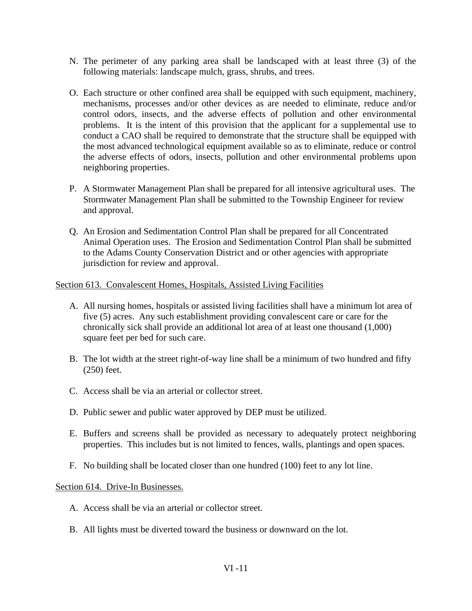- N. The perimeter of any parking area shall be landscaped with at least three (3) of the following materials: landscape mulch, grass, shrubs, and trees.
- O. Each structure or other confined area shall be equipped with such equipment, machinery, mechanisms, processes and/or other devices as are needed to eliminate, reduce and/or control odors, insects, and the adverse effects of pollution and other environmental problems. It is the intent of this provision that the applicant for a supplemental use to conduct a CAO shall be required to demonstrate that the structure shall be equipped with the most advanced technological equipment available so as to eliminate, reduce or control the adverse effects of odors, insects, pollution and other environmental problems upon neighboring properties.
- P. A Stormwater Management Plan shall be prepared for all intensive agricultural uses. The Stormwater Management Plan shall be submitted to the Township Engineer for review and approval.
- Q. An Erosion and Sedimentation Control Plan shall be prepared for all Concentrated Animal Operation uses. The Erosion and Sedimentation Control Plan shall be submitted to the Adams County Conservation District and or other agencies with appropriate jurisdiction for review and approval.

### Section 613. Convalescent Homes, Hospitals, Assisted Living Facilities

- A. All nursing homes, hospitals or assisted living facilities shall have a minimum lot area of five (5) acres. Any such establishment providing convalescent care or care for the chronically sick shall provide an additional lot area of at least one thousand (1,000) square feet per bed for such care.
- B. The lot width at the street right-of-way line shall be a minimum of two hundred and fifty (250) feet.
- C. Access shall be via an arterial or collector street.
- D. Public sewer and public water approved by DEP must be utilized.
- E. Buffers and screens shall be provided as necessary to adequately protect neighboring properties. This includes but is not limited to fences, walls, plantings and open spaces.
- F. No building shall be located closer than one hundred (100) feet to any lot line.

### Section 614. Drive-In Businesses.

- A. Access shall be via an arterial or collector street.
- B. All lights must be diverted toward the business or downward on the lot.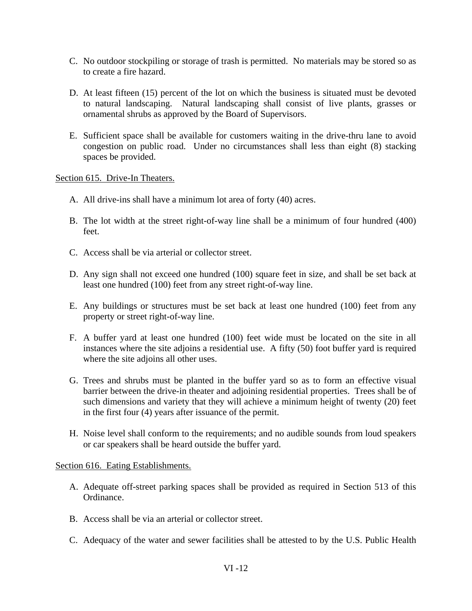- C. No outdoor stockpiling or storage of trash is permitted. No materials may be stored so as to create a fire hazard.
- D. At least fifteen (15) percent of the lot on which the business is situated must be devoted to natural landscaping. Natural landscaping shall consist of live plants, grasses or ornamental shrubs as approved by the Board of Supervisors.
- E. Sufficient space shall be available for customers waiting in the drive-thru lane to avoid congestion on public road. Under no circumstances shall less than eight (8) stacking spaces be provided.

Section 615. Drive-In Theaters.

- A. All drive-ins shall have a minimum lot area of forty (40) acres.
- B. The lot width at the street right-of-way line shall be a minimum of four hundred (400) feet.
- C. Access shall be via arterial or collector street.
- D. Any sign shall not exceed one hundred (100) square feet in size, and shall be set back at least one hundred (100) feet from any street right-of-way line.
- E. Any buildings or structures must be set back at least one hundred (100) feet from any property or street right-of-way line.
- F. A buffer yard at least one hundred (100) feet wide must be located on the site in all instances where the site adjoins a residential use. A fifty (50) foot buffer yard is required where the site adjoins all other uses.
- G. Trees and shrubs must be planted in the buffer yard so as to form an effective visual barrier between the drive-in theater and adjoining residential properties. Trees shall be of such dimensions and variety that they will achieve a minimum height of twenty (20) feet in the first four (4) years after issuance of the permit.
- H. Noise level shall conform to the requirements; and no audible sounds from loud speakers or car speakers shall be heard outside the buffer yard.

#### Section 616. Eating Establishments.

- A. Adequate off-street parking spaces shall be provided as required in Section 513 of this Ordinance.
- B. Access shall be via an arterial or collector street.
- C. Adequacy of the water and sewer facilities shall be attested to by the U.S. Public Health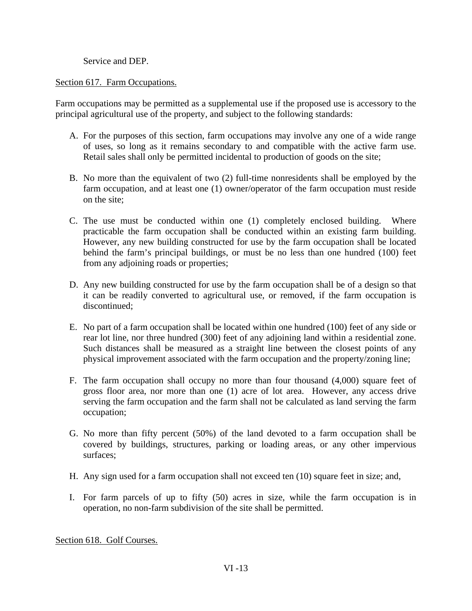Service and DEP.

### Section 617. Farm Occupations.

Farm occupations may be permitted as a supplemental use if the proposed use is accessory to the principal agricultural use of the property, and subject to the following standards:

- A. For the purposes of this section, farm occupations may involve any one of a wide range of uses, so long as it remains secondary to and compatible with the active farm use. Retail sales shall only be permitted incidental to production of goods on the site;
- B. No more than the equivalent of two (2) full-time nonresidents shall be employed by the farm occupation, and at least one (1) owner/operator of the farm occupation must reside on the site;
- C. The use must be conducted within one (1) completely enclosed building. Where practicable the farm occupation shall be conducted within an existing farm building. However, any new building constructed for use by the farm occupation shall be located behind the farm's principal buildings, or must be no less than one hundred (100) feet from any adjoining roads or properties;
- D. Any new building constructed for use by the farm occupation shall be of a design so that it can be readily converted to agricultural use, or removed, if the farm occupation is discontinued;
- E. No part of a farm occupation shall be located within one hundred (100) feet of any side or rear lot line, nor three hundred (300) feet of any adjoining land within a residential zone. Such distances shall be measured as a straight line between the closest points of any physical improvement associated with the farm occupation and the property/zoning line;
- F. The farm occupation shall occupy no more than four thousand (4,000) square feet of gross floor area, nor more than one (1) acre of lot area. However, any access drive serving the farm occupation and the farm shall not be calculated as land serving the farm occupation;
- G. No more than fifty percent (50%) of the land devoted to a farm occupation shall be covered by buildings, structures, parking or loading areas, or any other impervious surfaces;
- H. Any sign used for a farm occupation shall not exceed ten (10) square feet in size; and,
- I. For farm parcels of up to fifty (50) acres in size, while the farm occupation is in operation, no non-farm subdivision of the site shall be permitted.

Section 618. Golf Courses.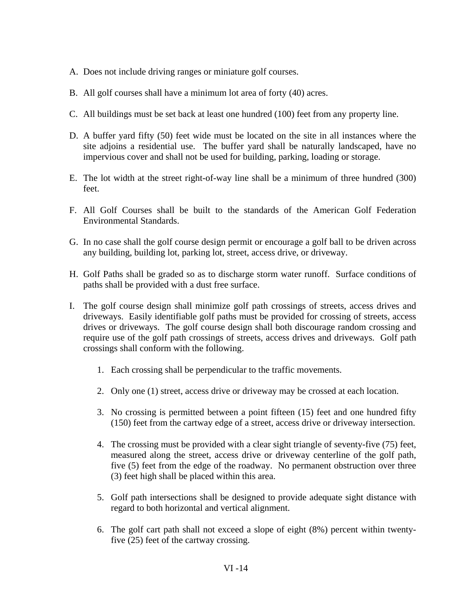- A. Does not include driving ranges or miniature golf courses.
- B. All golf courses shall have a minimum lot area of forty (40) acres.
- C. All buildings must be set back at least one hundred (100) feet from any property line.
- D. A buffer yard fifty (50) feet wide must be located on the site in all instances where the site adjoins a residential use. The buffer yard shall be naturally landscaped, have no impervious cover and shall not be used for building, parking, loading or storage.
- E. The lot width at the street right-of-way line shall be a minimum of three hundred (300) feet.
- F. All Golf Courses shall be built to the standards of the American Golf Federation Environmental Standards.
- G. In no case shall the golf course design permit or encourage a golf ball to be driven across any building, building lot, parking lot, street, access drive, or driveway.
- H. Golf Paths shall be graded so as to discharge storm water runoff. Surface conditions of paths shall be provided with a dust free surface.
- I. The golf course design shall minimize golf path crossings of streets, access drives and driveways. Easily identifiable golf paths must be provided for crossing of streets, access drives or driveways. The golf course design shall both discourage random crossing and require use of the golf path crossings of streets, access drives and driveways. Golf path crossings shall conform with the following.
	- 1. Each crossing shall be perpendicular to the traffic movements.
	- 2. Only one (1) street, access drive or driveway may be crossed at each location.
	- 3. No crossing is permitted between a point fifteen (15) feet and one hundred fifty (150) feet from the cartway edge of a street, access drive or driveway intersection.
	- 4. The crossing must be provided with a clear sight triangle of seventy-five (75) feet, measured along the street, access drive or driveway centerline of the golf path, five (5) feet from the edge of the roadway. No permanent obstruction over three (3) feet high shall be placed within this area.
	- 5. Golf path intersections shall be designed to provide adequate sight distance with regard to both horizontal and vertical alignment.
	- 6. The golf cart path shall not exceed a slope of eight (8%) percent within twentyfive (25) feet of the cartway crossing.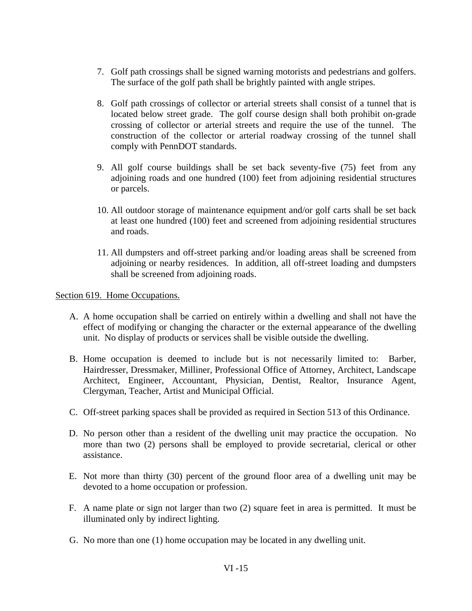- 7. Golf path crossings shall be signed warning motorists and pedestrians and golfers. The surface of the golf path shall be brightly painted with angle stripes.
- 8. Golf path crossings of collector or arterial streets shall consist of a tunnel that is located below street grade. The golf course design shall both prohibit on-grade crossing of collector or arterial streets and require the use of the tunnel. The construction of the collector or arterial roadway crossing of the tunnel shall comply with PennDOT standards.
- 9. All golf course buildings shall be set back seventy-five (75) feet from any adjoining roads and one hundred (100) feet from adjoining residential structures or parcels.
- 10. All outdoor storage of maintenance equipment and/or golf carts shall be set back at least one hundred (100) feet and screened from adjoining residential structures and roads.
- 11. All dumpsters and off-street parking and/or loading areas shall be screened from adjoining or nearby residences. In addition, all off-street loading and dumpsters shall be screened from adjoining roads.

Section 619. Home Occupations.

- A. A home occupation shall be carried on entirely within a dwelling and shall not have the effect of modifying or changing the character or the external appearance of the dwelling unit. No display of products or services shall be visible outside the dwelling.
- B. Home occupation is deemed to include but is not necessarily limited to: Barber, Hairdresser, Dressmaker, Milliner, Professional Office of Attorney, Architect, Landscape Architect, Engineer, Accountant, Physician, Dentist, Realtor, Insurance Agent, Clergyman, Teacher, Artist and Municipal Official.
- C. Off-street parking spaces shall be provided as required in Section 513 of this Ordinance.
- D. No person other than a resident of the dwelling unit may practice the occupation. No more than two (2) persons shall be employed to provide secretarial, clerical or other assistance.
- E. Not more than thirty (30) percent of the ground floor area of a dwelling unit may be devoted to a home occupation or profession.
- F. A name plate or sign not larger than two (2) square feet in area is permitted. It must be illuminated only by indirect lighting.
- G. No more than one (1) home occupation may be located in any dwelling unit.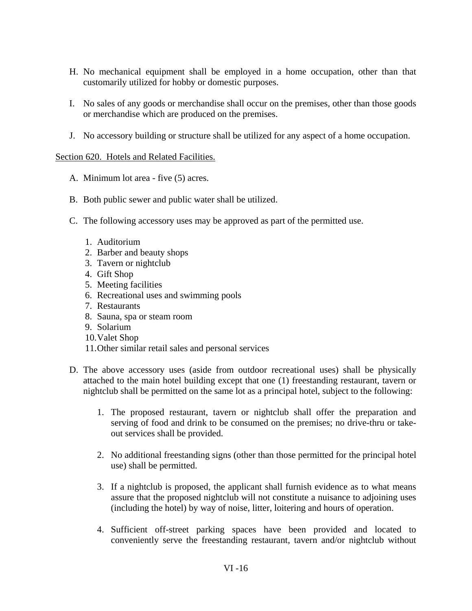- H. No mechanical equipment shall be employed in a home occupation, other than that customarily utilized for hobby or domestic purposes.
- I. No sales of any goods or merchandise shall occur on the premises, other than those goods or merchandise which are produced on the premises.
- J. No accessory building or structure shall be utilized for any aspect of a home occupation.

### Section 620. Hotels and Related Facilities.

- A. Minimum lot area five (5) acres.
- B. Both public sewer and public water shall be utilized.
- C. The following accessory uses may be approved as part of the permitted use.
	- 1. Auditorium
	- 2. Barber and beauty shops
	- 3. Tavern or nightclub
	- 4. Gift Shop
	- 5. Meeting facilities
	- 6. Recreational uses and swimming pools
	- 7. Restaurants
	- 8. Sauna, spa or steam room
	- 9. Solarium
	- 10.Valet Shop
	- 11.Other similar retail sales and personal services
- D. The above accessory uses (aside from outdoor recreational uses) shall be physically attached to the main hotel building except that one (1) freestanding restaurant, tavern or nightclub shall be permitted on the same lot as a principal hotel, subject to the following:
	- 1. The proposed restaurant, tavern or nightclub shall offer the preparation and serving of food and drink to be consumed on the premises; no drive-thru or takeout services shall be provided.
	- 2. No additional freestanding signs (other than those permitted for the principal hotel use) shall be permitted.
	- 3. If a nightclub is proposed, the applicant shall furnish evidence as to what means assure that the proposed nightclub will not constitute a nuisance to adjoining uses (including the hotel) by way of noise, litter, loitering and hours of operation.
	- 4. Sufficient off-street parking spaces have been provided and located to conveniently serve the freestanding restaurant, tavern and/or nightclub without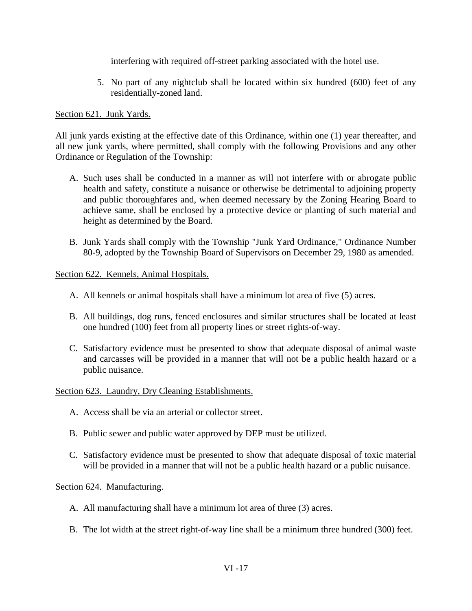interfering with required off-street parking associated with the hotel use.

5. No part of any nightclub shall be located within six hundred (600) feet of any residentially-zoned land.

### Section 621. Junk Yards.

 All junk yards existing at the effective date of this Ordinance, within one (1) year thereafter, and all new junk yards, where permitted, shall comply with the following Provisions and any other Ordinance or Regulation of the Township:

- A. Such uses shall be conducted in a manner as will not interfere with or abrogate public health and safety, constitute a nuisance or otherwise be detrimental to adjoining property and public thoroughfares and, when deemed necessary by the Zoning Hearing Board to achieve same, shall be enclosed by a protective device or planting of such material and height as determined by the Board.
- B. Junk Yards shall comply with the Township "Junk Yard Ordinance," Ordinance Number 80-9, adopted by the Township Board of Supervisors on December 29, 1980 as amended.

Section 622. Kennels, Animal Hospitals.

- A. All kennels or animal hospitals shall have a minimum lot area of five (5) acres.
- B. All buildings, dog runs, fenced enclosures and similar structures shall be located at least one hundred (100) feet from all property lines or street rights-of-way.
- C. Satisfactory evidence must be presented to show that adequate disposal of animal waste and carcasses will be provided in a manner that will not be a public health hazard or a public nuisance.

### Section 623. Laundry, Dry Cleaning Establishments.

- A. Access shall be via an arterial or collector street.
- B. Public sewer and public water approved by DEP must be utilized.
- C. Satisfactory evidence must be presented to show that adequate disposal of toxic material will be provided in a manner that will not be a public health hazard or a public nuisance.

Section 624. Manufacturing.

- A. All manufacturing shall have a minimum lot area of three (3) acres.
- B. The lot width at the street right-of-way line shall be a minimum three hundred (300) feet.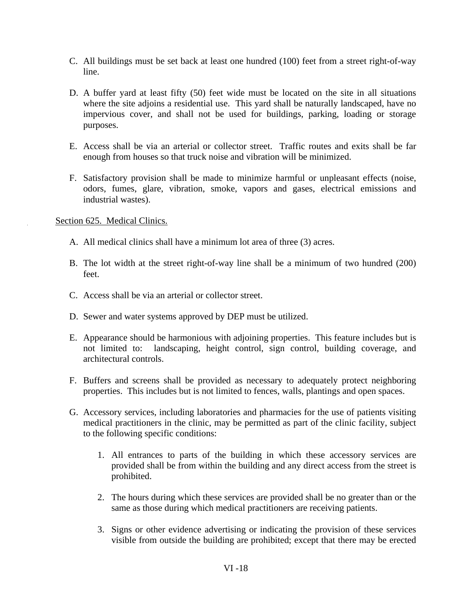- C. All buildings must be set back at least one hundred (100) feet from a street right-of-way line.
- D. A buffer yard at least fifty (50) feet wide must be located on the site in all situations where the site adjoins a residential use. This yard shall be naturally landscaped, have no impervious cover, and shall not be used for buildings, parking, loading or storage purposes.
- E. Access shall be via an arterial or collector street. Traffic routes and exits shall be far enough from houses so that truck noise and vibration will be minimized.
- F. Satisfactory provision shall be made to minimize harmful or unpleasant effects (noise, odors, fumes, glare, vibration, smoke, vapors and gases, electrical emissions and industrial wastes).

Section 625. Medical Clinics.

- A. All medical clinics shall have a minimum lot area of three (3) acres.
- B. The lot width at the street right-of-way line shall be a minimum of two hundred (200) feet.
- C. Access shall be via an arterial or collector street.
- D. Sewer and water systems approved by DEP must be utilized.
- E. Appearance should be harmonious with adjoining properties. This feature includes but is not limited to: landscaping, height control, sign control, building coverage, and architectural controls.
- F. Buffers and screens shall be provided as necessary to adequately protect neighboring properties. This includes but is not limited to fences, walls, plantings and open spaces.
- G. Accessory services, including laboratories and pharmacies for the use of patients visiting medical practitioners in the clinic, may be permitted as part of the clinic facility, subject to the following specific conditions:
	- 1. All entrances to parts of the building in which these accessory services are provided shall be from within the building and any direct access from the street is prohibited.
	- 2. The hours during which these services are provided shall be no greater than or the same as those during which medical practitioners are receiving patients.
	- 3. Signs or other evidence advertising or indicating the provision of these services visible from outside the building are prohibited; except that there may be erected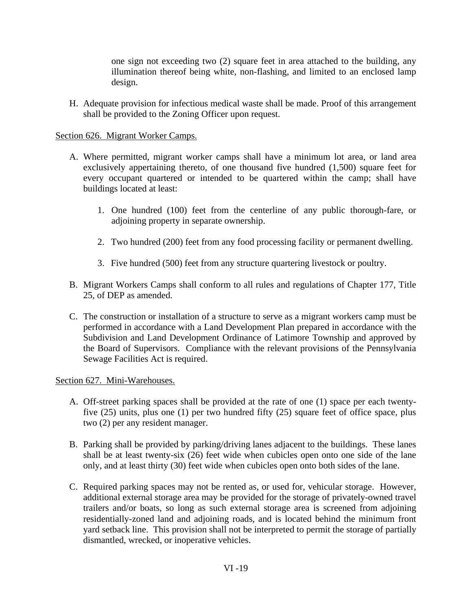one sign not exceeding two (2) square feet in area attached to the building, any illumination thereof being white, non-flashing, and limited to an enclosed lamp design.

 H. Adequate provision for infectious medical waste shall be made. Proof of this arrangement shall be provided to the Zoning Officer upon request.

## Section 626. Migrant Worker Camps.

- A. Where permitted, migrant worker camps shall have a minimum lot area, or land area exclusively appertaining thereto, of one thousand five hundred (1,500) square feet for every occupant quartered or intended to be quartered within the camp; shall have buildings located at least:
	- 1. One hundred (100) feet from the centerline of any public thorough-fare, or adjoining property in separate ownership.
	- 2. Two hundred (200) feet from any food processing facility or permanent dwelling.
	- 3. Five hundred (500) feet from any structure quartering livestock or poultry.
- B. Migrant Workers Camps shall conform to all rules and regulations of Chapter 177, Title 25, of DEP as amended.
- C. The construction or installation of a structure to serve as a migrant workers camp must be performed in accordance with a Land Development Plan prepared in accordance with the Subdivision and Land Development Ordinance of Latimore Township and approved by the Board of Supervisors. Compliance with the relevant provisions of the Pennsylvania Sewage Facilities Act is required.

### Section 627. Mini-Warehouses.

- A. Off-street parking spaces shall be provided at the rate of one (1) space per each twentyfive (25) units, plus one (1) per two hundred fifty (25) square feet of office space, plus two (2) per any resident manager.
- B. Parking shall be provided by parking/driving lanes adjacent to the buildings. These lanes shall be at least twenty-six (26) feet wide when cubicles open onto one side of the lane only, and at least thirty (30) feet wide when cubicles open onto both sides of the lane.
- C. Required parking spaces may not be rented as, or used for, vehicular storage. However, additional external storage area may be provided for the storage of privately-owned travel trailers and/or boats, so long as such external storage area is screened from adjoining residentially-zoned land and adjoining roads, and is located behind the minimum front yard setback line. This provision shall not be interpreted to permit the storage of partially dismantled, wrecked, or inoperative vehicles.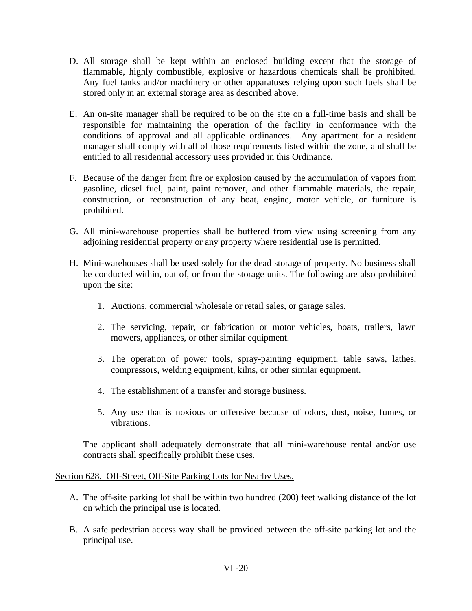- D. All storage shall be kept within an enclosed building except that the storage of flammable, highly combustible, explosive or hazardous chemicals shall be prohibited. Any fuel tanks and/or machinery or other apparatuses relying upon such fuels shall be stored only in an external storage area as described above.
- E. An on-site manager shall be required to be on the site on a full-time basis and shall be responsible for maintaining the operation of the facility in conformance with the conditions of approval and all applicable ordinances. Any apartment for a resident manager shall comply with all of those requirements listed within the zone, and shall be entitled to all residential accessory uses provided in this Ordinance.
- F. Because of the danger from fire or explosion caused by the accumulation of vapors from gasoline, diesel fuel, paint, paint remover, and other flammable materials, the repair, construction, or reconstruction of any boat, engine, motor vehicle, or furniture is prohibited.
- G. All mini-warehouse properties shall be buffered from view using screening from any adjoining residential property or any property where residential use is permitted.
- H. Mini-warehouses shall be used solely for the dead storage of property. No business shall be conducted within, out of, or from the storage units. The following are also prohibited upon the site:
	- 1. Auctions, commercial wholesale or retail sales, or garage sales.
	- 2. The servicing, repair, or fabrication or motor vehicles, boats, trailers, lawn mowers, appliances, or other similar equipment.
	- 3. The operation of power tools, spray-painting equipment, table saws, lathes, compressors, welding equipment, kilns, or other similar equipment.
	- 4. The establishment of a transfer and storage business.
	- 5. Any use that is noxious or offensive because of odors, dust, noise, fumes, or vibrations.

The applicant shall adequately demonstrate that all mini-warehouse rental and/or use contracts shall specifically prohibit these uses.

### Section 628. Off-Street, Off-Site Parking Lots for Nearby Uses.

- A. The off-site parking lot shall be within two hundred (200) feet walking distance of the lot on which the principal use is located.
- B. A safe pedestrian access way shall be provided between the off-site parking lot and the principal use.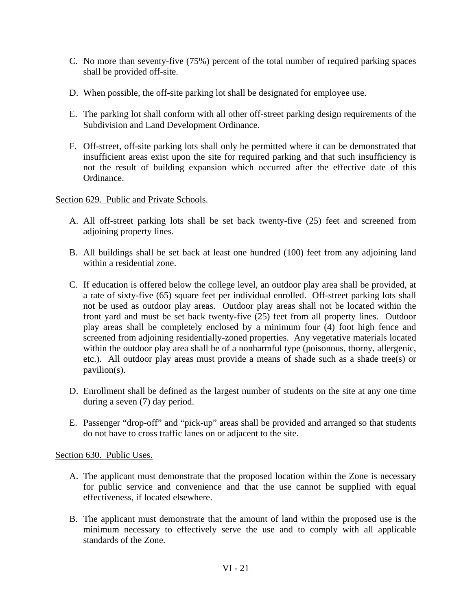- C. No more than seventy-five (75%) percent of the total number of required parking spaces shall be provided off-site.
- D. When possible, the off-site parking lot shall be designated for employee use.
- E. The parking lot shall conform with all other off-street parking design requirements of the Subdivision and Land Development Ordinance.
- F. Off-street, off-site parking lots shall only be permitted where it can be demonstrated that insufficient areas exist upon the site for required parking and that such insufficiency is not the result of building expansion which occurred after the effective date of this Ordinance.

Section 629. Public and Private Schools.

- A. All off-street parking lots shall be set back twenty-five (25) feet and screened from adjoining property lines.
- B. All buildings shall be set back at least one hundred (100) feet from any adjoining land within a residential zone.
- C. If education is offered below the college level, an outdoor play area shall be provided, at a rate of sixty-five (65) square feet per individual enrolled. Off-street parking lots shall not be used as outdoor play areas. Outdoor play areas shall not be located within the front yard and must be set back twenty-five (25) feet from all property lines. Outdoor play areas shall be completely enclosed by a minimum four (4) foot high fence and screened from adjoining residentially-zoned properties. Any vegetative materials located within the outdoor play area shall be of a nonharmful type (poisonous, thorny, allergenic, etc.). All outdoor play areas must provide a means of shade such as a shade tree(s) or pavilion(s).
- D. Enrollment shall be defined as the largest number of students on the site at any one time during a seven (7) day period.
- E. Passenger "drop-off" and "pick-up" areas shall be provided and arranged so that students do not have to cross traffic lanes on or adjacent to the site.

Section 630. Public Uses.

- A. The applicant must demonstrate that the proposed location within the Zone is necessary for public service and convenience and that the use cannot be supplied with equal effectiveness, if located elsewhere.
- B. The applicant must demonstrate that the amount of land within the proposed use is the minimum necessary to effectively serve the use and to comply with all applicable standards of the Zone.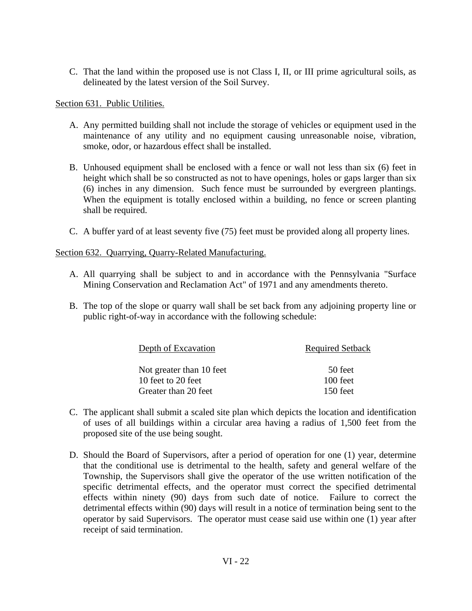C. That the land within the proposed use is not Class I, II, or III prime agricultural soils, as delineated by the latest version of the Soil Survey.

Section 631. Public Utilities.

- A. Any permitted building shall not include the storage of vehicles or equipment used in the maintenance of any utility and no equipment causing unreasonable noise, vibration, smoke, odor, or hazardous effect shall be installed.
- B. Unhoused equipment shall be enclosed with a fence or wall not less than six (6) feet in height which shall be so constructed as not to have openings, holes or gaps larger than six (6) inches in any dimension. Such fence must be surrounded by evergreen plantings. When the equipment is totally enclosed within a building, no fence or screen planting shall be required.
- C. A buffer yard of at least seventy five (75) feet must be provided along all property lines.

Section 632. Quarrying, Quarry-Related Manufacturing.

- A. All quarrying shall be subject to and in accordance with the Pennsylvania "Surface Mining Conservation and Reclamation Act" of 1971 and any amendments thereto.
- B. The top of the slope or quarry wall shall be set back from any adjoining property line or public right-of-way in accordance with the following schedule:

| Depth of Excavation      | <b>Required Setback</b> |
|--------------------------|-------------------------|
| Not greater than 10 feet | 50 feet                 |
| 10 feet to 20 feet       | 100 feet                |
| Greater than 20 feet     | 150 feet                |

- C. The applicant shall submit a scaled site plan which depicts the location and identification of uses of all buildings within a circular area having a radius of 1,500 feet from the proposed site of the use being sought.
- D. Should the Board of Supervisors, after a period of operation for one (1) year, determine that the conditional use is detrimental to the health, safety and general welfare of the Township, the Supervisors shall give the operator of the use written notification of the specific detrimental effects, and the operator must correct the specified detrimental effects within ninety (90) days from such date of notice. Failure to correct the detrimental effects within (90) days will result in a notice of termination being sent to the operator by said Supervisors. The operator must cease said use within one (1) year after receipt of said termination.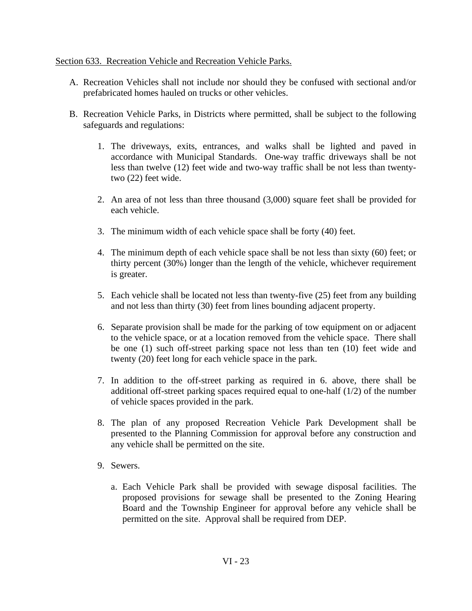### Section 633. Recreation Vehicle and Recreation Vehicle Parks.

- A. Recreation Vehicles shall not include nor should they be confused with sectional and/or prefabricated homes hauled on trucks or other vehicles.
- B. Recreation Vehicle Parks, in Districts where permitted, shall be subject to the following safeguards and regulations:
	- 1. The driveways, exits, entrances, and walks shall be lighted and paved in accordance with Municipal Standards. One-way traffic driveways shall be not less than twelve (12) feet wide and two-way traffic shall be not less than twentytwo (22) feet wide.
	- 2. An area of not less than three thousand (3,000) square feet shall be provided for each vehicle.
	- 3. The minimum width of each vehicle space shall be forty (40) feet.
	- 4. The minimum depth of each vehicle space shall be not less than sixty (60) feet; or thirty percent (30%) longer than the length of the vehicle, whichever requirement is greater.
	- 5. Each vehicle shall be located not less than twenty-five (25) feet from any building and not less than thirty (30) feet from lines bounding adjacent property.
	- 6. Separate provision shall be made for the parking of tow equipment on or adjacent to the vehicle space, or at a location removed from the vehicle space. There shall be one (1) such off-street parking space not less than ten (10) feet wide and twenty (20) feet long for each vehicle space in the park.
	- 7. In addition to the off-street parking as required in 6. above, there shall be additional off-street parking spaces required equal to one-half (1/2) of the number of vehicle spaces provided in the park.
	- 8. The plan of any proposed Recreation Vehicle Park Development shall be presented to the Planning Commission for approval before any construction and any vehicle shall be permitted on the site.
	- 9. Sewers.
		- a. Each Vehicle Park shall be provided with sewage disposal facilities. The proposed provisions for sewage shall be presented to the Zoning Hearing Board and the Township Engineer for approval before any vehicle shall be permitted on the site. Approval shall be required from DEP.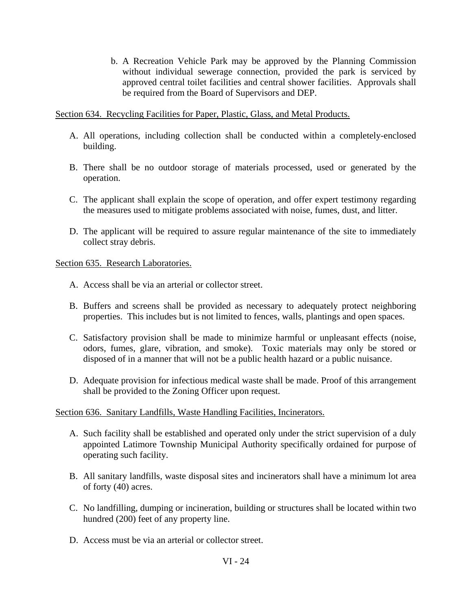b. A Recreation Vehicle Park may be approved by the Planning Commission without individual sewerage connection, provided the park is serviced by approved central toilet facilities and central shower facilities. Approvals shall be required from the Board of Supervisors and DEP.

Section 634. Recycling Facilities for Paper, Plastic, Glass, and Metal Products.

- A. All operations, including collection shall be conducted within a completely-enclosed building.
- B. There shall be no outdoor storage of materials processed, used or generated by the operation.
- C. The applicant shall explain the scope of operation, and offer expert testimony regarding the measures used to mitigate problems associated with noise, fumes, dust, and litter.
- D. The applicant will be required to assure regular maintenance of the site to immediately collect stray debris.

### Section 635. Research Laboratories.

- A. Access shall be via an arterial or collector street.
- B. Buffers and screens shall be provided as necessary to adequately protect neighboring properties. This includes but is not limited to fences, walls, plantings and open spaces.
- C. Satisfactory provision shall be made to minimize harmful or unpleasant effects (noise, odors, fumes, glare, vibration, and smoke). Toxic materials may only be stored or disposed of in a manner that will not be a public health hazard or a public nuisance.
- D. Adequate provision for infectious medical waste shall be made. Proof of this arrangement shall be provided to the Zoning Officer upon request.

### Section 636. Sanitary Landfills, Waste Handling Facilities, Incinerators.

- A. Such facility shall be established and operated only under the strict supervision of a duly appointed Latimore Township Municipal Authority specifically ordained for purpose of operating such facility.
- B. All sanitary landfills, waste disposal sites and incinerators shall have a minimum lot area of forty (40) acres.
- C. No landfilling, dumping or incineration, building or structures shall be located within two hundred (200) feet of any property line.
- D. Access must be via an arterial or collector street.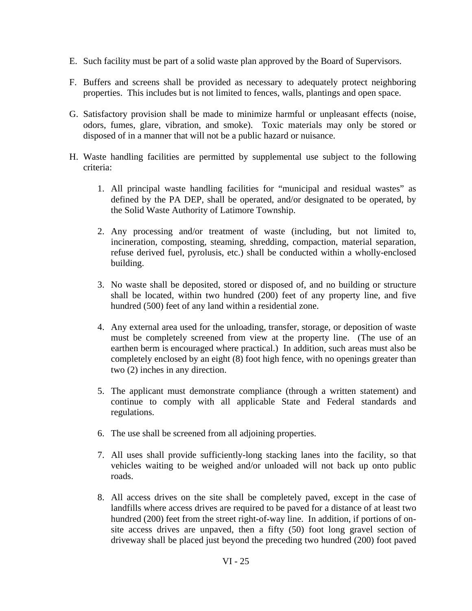- E. Such facility must be part of a solid waste plan approved by the Board of Supervisors.
- F. Buffers and screens shall be provided as necessary to adequately protect neighboring properties. This includes but is not limited to fences, walls, plantings and open space.
- G. Satisfactory provision shall be made to minimize harmful or unpleasant effects (noise, odors, fumes, glare, vibration, and smoke). Toxic materials may only be stored or disposed of in a manner that will not be a public hazard or nuisance.
- H. Waste handling facilities are permitted by supplemental use subject to the following criteria:
	- 1. All principal waste handling facilities for "municipal and residual wastes" as defined by the PA DEP, shall be operated, and/or designated to be operated, by the Solid Waste Authority of Latimore Township.
	- 2. Any processing and/or treatment of waste (including, but not limited to, incineration, composting, steaming, shredding, compaction, material separation, refuse derived fuel, pyrolusis, etc.) shall be conducted within a wholly-enclosed building.
	- 3. No waste shall be deposited, stored or disposed of, and no building or structure shall be located, within two hundred (200) feet of any property line, and five hundred (500) feet of any land within a residential zone.
	- 4. Any external area used for the unloading, transfer, storage, or deposition of waste must be completely screened from view at the property line. (The use of an earthen berm is encouraged where practical.) In addition, such areas must also be completely enclosed by an eight (8) foot high fence, with no openings greater than two (2) inches in any direction.
	- 5. The applicant must demonstrate compliance (through a written statement) and continue to comply with all applicable State and Federal standards and regulations.
	- 6. The use shall be screened from all adjoining properties.
	- 7. All uses shall provide sufficiently-long stacking lanes into the facility, so that vehicles waiting to be weighed and/or unloaded will not back up onto public roads.
	- 8. All access drives on the site shall be completely paved, except in the case of landfills where access drives are required to be paved for a distance of at least two hundred (200) feet from the street right-of-way line. In addition, if portions of onsite access drives are unpaved, then a fifty (50) foot long gravel section of driveway shall be placed just beyond the preceding two hundred (200) foot paved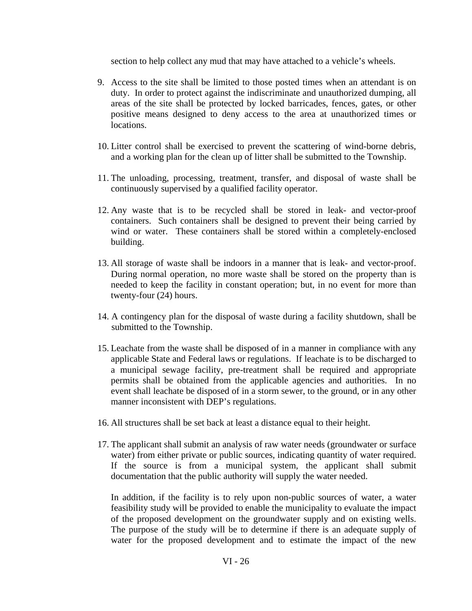section to help collect any mud that may have attached to a vehicle's wheels.

- 9. Access to the site shall be limited to those posted times when an attendant is on duty. In order to protect against the indiscriminate and unauthorized dumping, all areas of the site shall be protected by locked barricades, fences, gates, or other positive means designed to deny access to the area at unauthorized times or locations.
- 10. Litter control shall be exercised to prevent the scattering of wind-borne debris, and a working plan for the clean up of litter shall be submitted to the Township.
- 11. The unloading, processing, treatment, transfer, and disposal of waste shall be continuously supervised by a qualified facility operator.
- 12. Any waste that is to be recycled shall be stored in leak- and vector-proof containers. Such containers shall be designed to prevent their being carried by wind or water. These containers shall be stored within a completely-enclosed building.
- 13. All storage of waste shall be indoors in a manner that is leak- and vector-proof. During normal operation, no more waste shall be stored on the property than is needed to keep the facility in constant operation; but, in no event for more than twenty-four (24) hours.
- 14. A contingency plan for the disposal of waste during a facility shutdown, shall be submitted to the Township.
- 15. Leachate from the waste shall be disposed of in a manner in compliance with any applicable State and Federal laws or regulations. If leachate is to be discharged to a municipal sewage facility, pre-treatment shall be required and appropriate permits shall be obtained from the applicable agencies and authorities. In no event shall leachate be disposed of in a storm sewer, to the ground, or in any other manner inconsistent with DEP's regulations.
- 16. All structures shall be set back at least a distance equal to their height.
- 17. The applicant shall submit an analysis of raw water needs (groundwater or surface water) from either private or public sources, indicating quantity of water required. If the source is from a municipal system, the applicant shall submit documentation that the public authority will supply the water needed.

In addition, if the facility is to rely upon non-public sources of water, a water feasibility study will be provided to enable the municipality to evaluate the impact of the proposed development on the groundwater supply and on existing wells. The purpose of the study will be to determine if there is an adequate supply of water for the proposed development and to estimate the impact of the new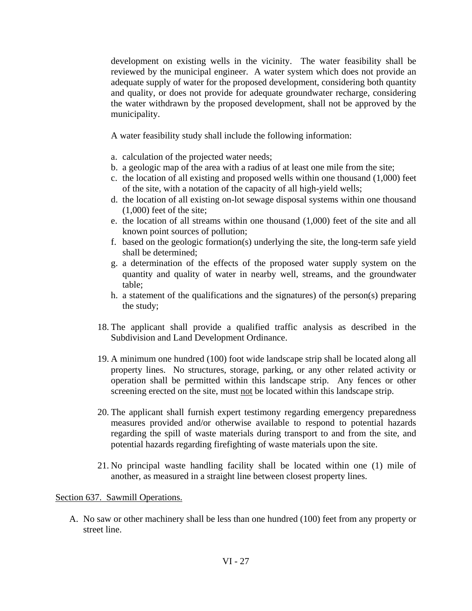development on existing wells in the vicinity. The water feasibility shall be reviewed by the municipal engineer. A water system which does not provide an adequate supply of water for the proposed development, considering both quantity and quality, or does not provide for adequate groundwater recharge, considering the water withdrawn by the proposed development, shall not be approved by the municipality.

A water feasibility study shall include the following information:

- a. calculation of the projected water needs;
- b. a geologic map of the area with a radius of at least one mile from the site;
- c. the location of all existing and proposed wells within one thousand (1,000) feet of the site, with a notation of the capacity of all high-yield wells;
- d. the location of all existing on-lot sewage disposal systems within one thousand (1,000) feet of the site;
- e. the location of all streams within one thousand (1,000) feet of the site and all known point sources of pollution;
- f. based on the geologic formation(s) underlying the site, the long-term safe yield shall be determined;
- g. a determination of the effects of the proposed water supply system on the quantity and quality of water in nearby well, streams, and the groundwater table;
- h. a statement of the qualifications and the signatures) of the person(s) preparing the study;
- 18. The applicant shall provide a qualified traffic analysis as described in the Subdivision and Land Development Ordinance.
- 19. A minimum one hundred (100) foot wide landscape strip shall be located along all property lines. No structures, storage, parking, or any other related activity or operation shall be permitted within this landscape strip. Any fences or other screening erected on the site, must not be located within this landscape strip.
- 20. The applicant shall furnish expert testimony regarding emergency preparedness measures provided and/or otherwise available to respond to potential hazards regarding the spill of waste materials during transport to and from the site, and potential hazards regarding firefighting of waste materials upon the site.
- 21. No principal waste handling facility shall be located within one (1) mile of another, as measured in a straight line between closest property lines.

### Section 637. Sawmill Operations.

A. No saw or other machinery shall be less than one hundred (100) feet from any property or street line.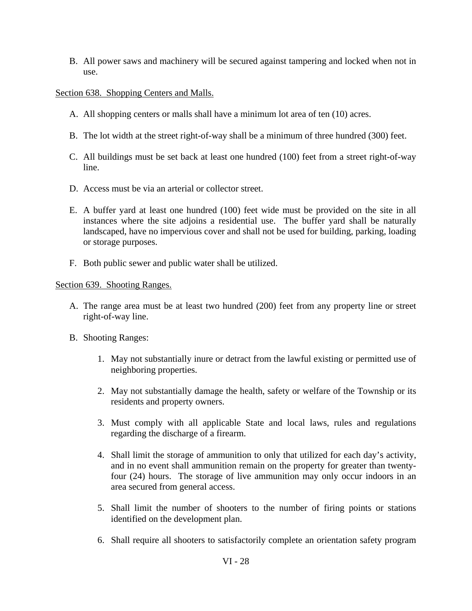B. All power saws and machinery will be secured against tampering and locked when not in use.

# Section 638. Shopping Centers and Malls.

- A. All shopping centers or malls shall have a minimum lot area of ten (10) acres.
- B. The lot width at the street right-of-way shall be a minimum of three hundred (300) feet.
- C. All buildings must be set back at least one hundred (100) feet from a street right-of-way line.
- D. Access must be via an arterial or collector street.
- E. A buffer yard at least one hundred (100) feet wide must be provided on the site in all instances where the site adjoins a residential use. The buffer yard shall be naturally landscaped, have no impervious cover and shall not be used for building, parking, loading or storage purposes.
- F. Both public sewer and public water shall be utilized.

### Section 639. Shooting Ranges.

- A. The range area must be at least two hundred (200) feet from any property line or street right-of-way line.
- B. Shooting Ranges:
	- 1. May not substantially inure or detract from the lawful existing or permitted use of neighboring properties.
	- 2. May not substantially damage the health, safety or welfare of the Township or its residents and property owners.
	- 3. Must comply with all applicable State and local laws, rules and regulations regarding the discharge of a firearm.
	- 4. Shall limit the storage of ammunition to only that utilized for each day's activity, and in no event shall ammunition remain on the property for greater than twentyfour (24) hours. The storage of live ammunition may only occur indoors in an area secured from general access.
	- 5. Shall limit the number of shooters to the number of firing points or stations identified on the development plan.
	- 6. Shall require all shooters to satisfactorily complete an orientation safety program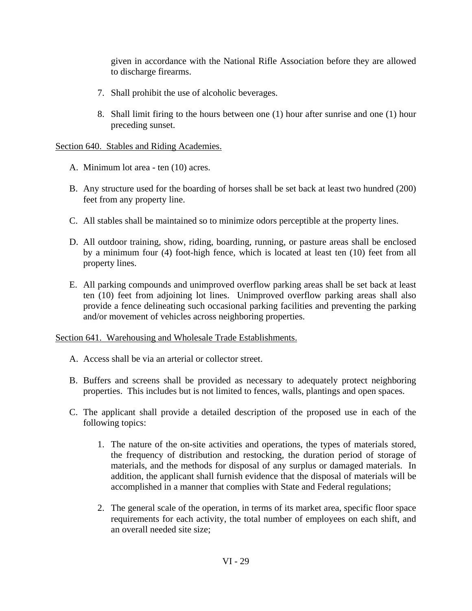given in accordance with the National Rifle Association before they are allowed to discharge firearms.

- 7. Shall prohibit the use of alcoholic beverages.
- 8. Shall limit firing to the hours between one (1) hour after sunrise and one (1) hour preceding sunset.

## Section 640. Stables and Riding Academies.

- A. Minimum lot area ten (10) acres.
- B. Any structure used for the boarding of horses shall be set back at least two hundred (200) feet from any property line.
- C. All stables shall be maintained so to minimize odors perceptible at the property lines.
- D. All outdoor training, show, riding, boarding, running, or pasture areas shall be enclosed by a minimum four (4) foot-high fence, which is located at least ten (10) feet from all property lines.
- E. All parking compounds and unimproved overflow parking areas shall be set back at least ten (10) feet from adjoining lot lines. Unimproved overflow parking areas shall also provide a fence delineating such occasional parking facilities and preventing the parking and/or movement of vehicles across neighboring properties.

Section 641. Warehousing and Wholesale Trade Establishments.

- A. Access shall be via an arterial or collector street.
- B. Buffers and screens shall be provided as necessary to adequately protect neighboring properties. This includes but is not limited to fences, walls, plantings and open spaces.
- C. The applicant shall provide a detailed description of the proposed use in each of the following topics:
	- 1. The nature of the on-site activities and operations, the types of materials stored, the frequency of distribution and restocking, the duration period of storage of materials, and the methods for disposal of any surplus or damaged materials. In addition, the applicant shall furnish evidence that the disposal of materials will be accomplished in a manner that complies with State and Federal regulations;
	- 2. The general scale of the operation, in terms of its market area, specific floor space requirements for each activity, the total number of employees on each shift, and an overall needed site size;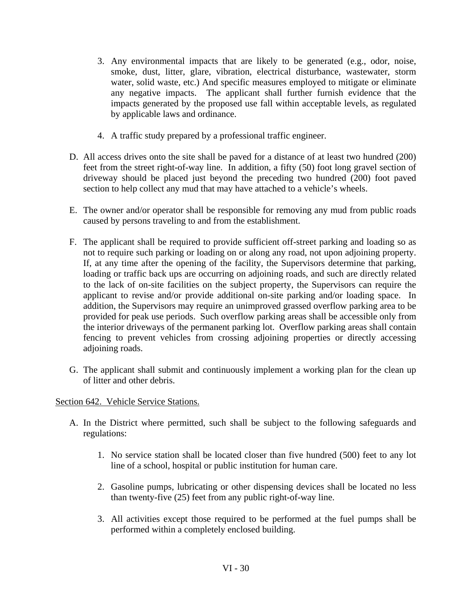- 3. Any environmental impacts that are likely to be generated (e.g., odor, noise, smoke, dust, litter, glare, vibration, electrical disturbance, wastewater, storm water, solid waste, etc.) And specific measures employed to mitigate or eliminate any negative impacts. The applicant shall further furnish evidence that the impacts generated by the proposed use fall within acceptable levels, as regulated by applicable laws and ordinance.
- 4. A traffic study prepared by a professional traffic engineer.
- D. All access drives onto the site shall be paved for a distance of at least two hundred (200) feet from the street right-of-way line. In addition, a fifty (50) foot long gravel section of driveway should be placed just beyond the preceding two hundred (200) foot paved section to help collect any mud that may have attached to a vehicle's wheels.
- E. The owner and/or operator shall be responsible for removing any mud from public roads caused by persons traveling to and from the establishment.
- F. The applicant shall be required to provide sufficient off-street parking and loading so as not to require such parking or loading on or along any road, not upon adjoining property. If, at any time after the opening of the facility, the Supervisors determine that parking, loading or traffic back ups are occurring on adjoining roads, and such are directly related to the lack of on-site facilities on the subject property, the Supervisors can require the applicant to revise and/or provide additional on-site parking and/or loading space. In addition, the Supervisors may require an unimproved grassed overflow parking area to be provided for peak use periods. Such overflow parking areas shall be accessible only from the interior driveways of the permanent parking lot. Overflow parking areas shall contain fencing to prevent vehicles from crossing adjoining properties or directly accessing adjoining roads.
- G. The applicant shall submit and continuously implement a working plan for the clean up of litter and other debris.

# Section 642. Vehicle Service Stations.

- A. In the District where permitted, such shall be subject to the following safeguards and regulations:
	- 1. No service station shall be located closer than five hundred (500) feet to any lot line of a school, hospital or public institution for human care.
	- 2. Gasoline pumps, lubricating or other dispensing devices shall be located no less than twenty-five (25) feet from any public right-of-way line.
	- 3. All activities except those required to be performed at the fuel pumps shall be performed within a completely enclosed building.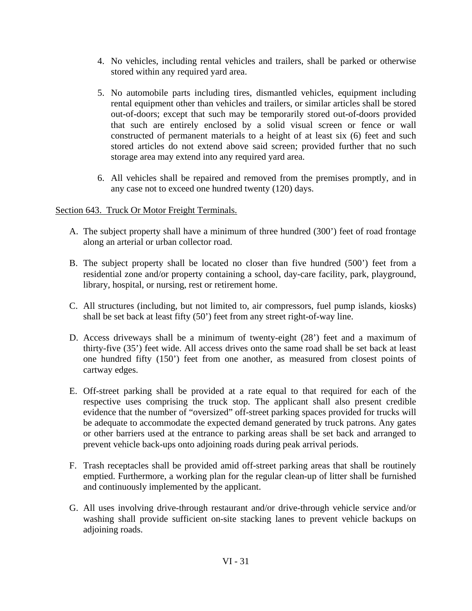- 4. No vehicles, including rental vehicles and trailers, shall be parked or otherwise stored within any required yard area.
- 5. No automobile parts including tires, dismantled vehicles, equipment including rental equipment other than vehicles and trailers, or similar articles shall be stored out-of-doors; except that such may be temporarily stored out-of-doors provided that such are entirely enclosed by a solid visual screen or fence or wall constructed of permanent materials to a height of at least six (6) feet and such stored articles do not extend above said screen; provided further that no such storage area may extend into any required yard area.
- 6. All vehicles shall be repaired and removed from the premises promptly, and in any case not to exceed one hundred twenty (120) days.

# Section 643. Truck Or Motor Freight Terminals.

- A. The subject property shall have a minimum of three hundred (300') feet of road frontage along an arterial or urban collector road.
- B. The subject property shall be located no closer than five hundred (500') feet from a residential zone and/or property containing a school, day-care facility, park, playground, library, hospital, or nursing, rest or retirement home.
- C. All structures (including, but not limited to, air compressors, fuel pump islands, kiosks) shall be set back at least fifty (50') feet from any street right-of-way line.
- D. Access driveways shall be a minimum of twenty-eight (28') feet and a maximum of thirty-five (35') feet wide. All access drives onto the same road shall be set back at least one hundred fifty (150') feet from one another, as measured from closest points of cartway edges.
- E. Off-street parking shall be provided at a rate equal to that required for each of the respective uses comprising the truck stop. The applicant shall also present credible evidence that the number of "oversized" off-street parking spaces provided for trucks will be adequate to accommodate the expected demand generated by truck patrons. Any gates or other barriers used at the entrance to parking areas shall be set back and arranged to prevent vehicle back-ups onto adjoining roads during peak arrival periods.
- F. Trash receptacles shall be provided amid off-street parking areas that shall be routinely emptied. Furthermore, a working plan for the regular clean-up of litter shall be furnished and continuously implemented by the applicant.
- G. All uses involving drive-through restaurant and/or drive-through vehicle service and/or washing shall provide sufficient on-site stacking lanes to prevent vehicle backups on adjoining roads.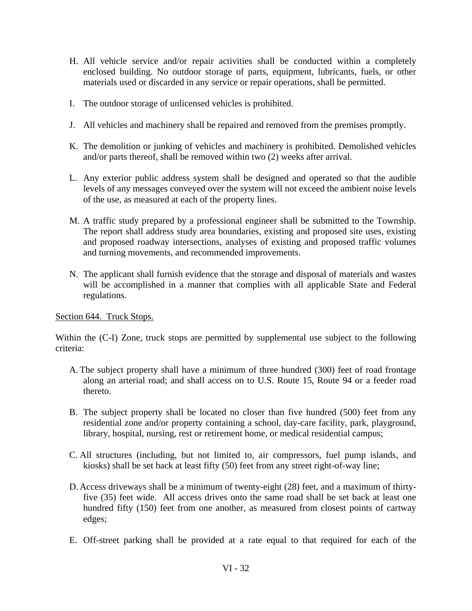- H. All vehicle service and/or repair activities shall be conducted within a completely enclosed building. No outdoor storage of parts, equipment, lubricants, fuels, or other materials used or discarded in any service or repair operations, shall be permitted.
- I. The outdoor storage of unlicensed vehicles is prohibited.
- J. All vehicles and machinery shall be repaired and removed from the premises promptly.
- K. The demolition or junking of vehicles and machinery is prohibited. Demolished vehicles and/or parts thereof, shall be removed within two (2) weeks after arrival.
- L. Any exterior public address system shall be designed and operated so that the audible levels of any messages conveyed over the system will not exceed the ambient noise levels of the use, as measured at each of the property lines.
- M. A traffic study prepared by a professional engineer shall be submitted to the Township. The report shall address study area boundaries, existing and proposed site uses, existing and proposed roadway intersections, analyses of existing and proposed traffic volumes and turning movements, and recommended improvements.
- N. The applicant shall furnish evidence that the storage and disposal of materials and wastes will be accomplished in a manner that complies with all applicable State and Federal regulations.

# Section 644. Truck Stops.

Within the (C-I) Zone, truck stops are permitted by supplemental use subject to the following criteria:

- A. The subject property shall have a minimum of three hundred (300) feet of road frontage along an arterial road; and shall access on to U.S. Route 15, Route 94 or a feeder road thereto.
- B. The subject property shall be located no closer than five hundred (500) feet from any residential zone and/or property containing a school, day-care facility, park, playground, library, hospital, nursing, rest or retirement home, or medical residential campus;
- C. All structures (including, but not limited to, air compressors, fuel pump islands, and kiosks) shall be set back at least fifty (50) feet from any street right-of-way line;
- D. Access driveways shall be a minimum of twenty-eight (28) feet, and a maximum of thirtyfive (35) feet wide. All access drives onto the same road shall be set back at least one hundred fifty (150) feet from one another, as measured from closest points of cartway edges;
- E. Off-street parking shall be provided at a rate equal to that required for each of the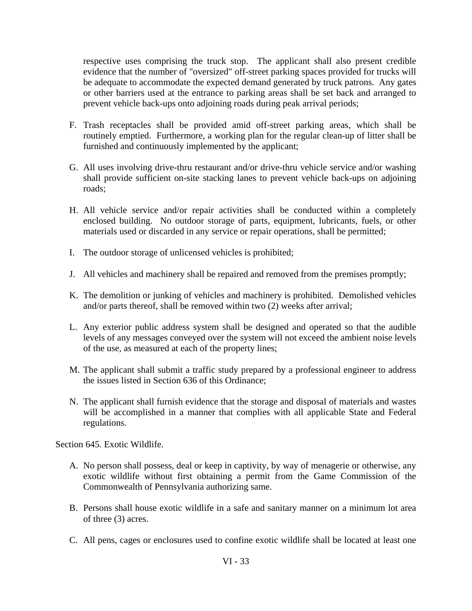respective uses comprising the truck stop. The applicant shall also present credible evidence that the number of "oversized" off-street parking spaces provided for trucks will be adequate to accommodate the expected demand generated by truck patrons. Any gates or other barriers used at the entrance to parking areas shall be set back and arranged to prevent vehicle back-ups onto adjoining roads during peak arrival periods;

- F. Trash receptacles shall be provided amid off-street parking areas, which shall be routinely emptied. Furthermore, a working plan for the regular clean-up of litter shall be furnished and continuously implemented by the applicant;
- G. All uses involving drive-thru restaurant and/or drive-thru vehicle service and/or washing shall provide sufficient on-site stacking lanes to prevent vehicle back-ups on adjoining roads;
- H. All vehicle service and/or repair activities shall be conducted within a completely enclosed building. No outdoor storage of parts, equipment, lubricants, fuels, or other materials used or discarded in any service or repair operations, shall be permitted;
- I. The outdoor storage of unlicensed vehicles is prohibited;
- J. All vehicles and machinery shall be repaired and removed from the premises promptly;
- K. The demolition or junking of vehicles and machinery is prohibited. Demolished vehicles and/or parts thereof, shall be removed within two (2) weeks after arrival;
- L. Any exterior public address system shall be designed and operated so that the audible levels of any messages conveyed over the system will not exceed the ambient noise levels of the use, as measured at each of the property lines;
- M. The applicant shall submit a traffic study prepared by a professional engineer to address the issues listed in Section 636 of this Ordinance;
- N. The applicant shall furnish evidence that the storage and disposal of materials and wastes will be accomplished in a manner that complies with all applicable State and Federal regulations.

Section 645. Exotic Wildlife.

- A. No person shall possess, deal or keep in captivity, by way of menagerie or otherwise, any exotic wildlife without first obtaining a permit from the Game Commission of the Commonwealth of Pennsylvania authorizing same.
- B. Persons shall house exotic wildlife in a safe and sanitary manner on a minimum lot area of three (3) acres.
- C. All pens, cages or enclosures used to confine exotic wildlife shall be located at least one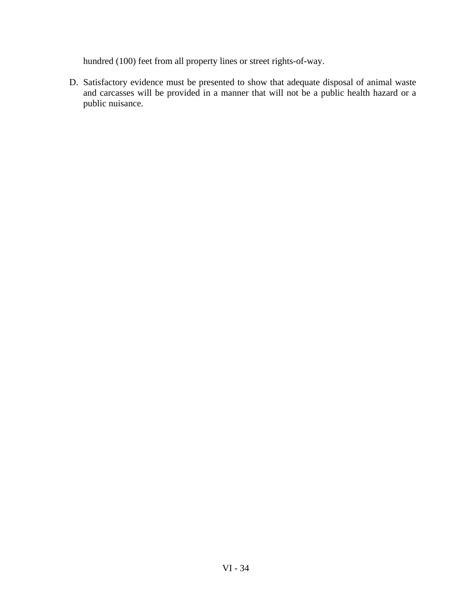hundred (100) feet from all property lines or street rights-of-way.

D. Satisfactory evidence must be presented to show that adequate disposal of animal waste and carcasses will be provided in a manner that will not be a public health hazard or a public nuisance.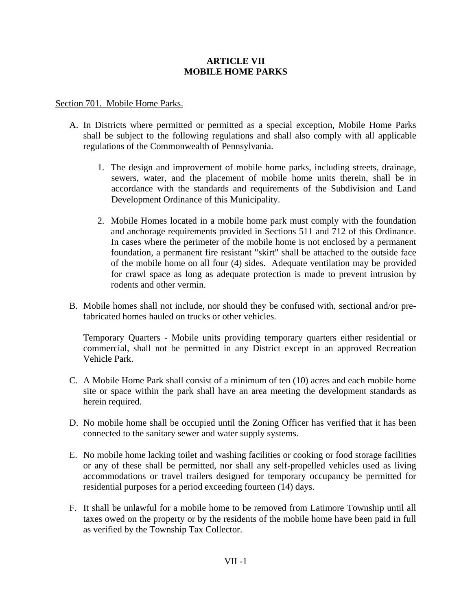## **ARTICLE VII MOBILE HOME PARKS**

#### Section 701. Mobile Home Parks.

- A. In Districts where permitted or permitted as a special exception, Mobile Home Parks shall be subject to the following regulations and shall also comply with all applicable regulations of the Commonwealth of Pennsylvania.
	- 1. The design and improvement of mobile home parks, including streets, drainage, sewers, water, and the placement of mobile home units therein, shall be in accordance with the standards and requirements of the Subdivision and Land Development Ordinance of this Municipality.
	- 2. Mobile Homes located in a mobile home park must comply with the foundation and anchorage requirements provided in Sections 511 and 712 of this Ordinance. In cases where the perimeter of the mobile home is not enclosed by a permanent foundation, a permanent fire resistant "skirt" shall be attached to the outside face of the mobile home on all four (4) sides. Adequate ventilation may be provided for crawl space as long as adequate protection is made to prevent intrusion by rodents and other vermin.
- B. Mobile homes shall not include, nor should they be confused with, sectional and/or prefabricated homes hauled on trucks or other vehicles.

Temporary Quarters - Mobile units providing temporary quarters either residential or commercial, shall not be permitted in any District except in an approved Recreation Vehicle Park.

- C. A Mobile Home Park shall consist of a minimum of ten (10) acres and each mobile home site or space within the park shall have an area meeting the development standards as herein required.
- D. No mobile home shall be occupied until the Zoning Officer has verified that it has been connected to the sanitary sewer and water supply systems.
- E. No mobile home lacking toilet and washing facilities or cooking or food storage facilities or any of these shall be permitted, nor shall any self-propelled vehicles used as living accommodations or travel trailers designed for temporary occupancy be permitted for residential purposes for a period exceeding fourteen (14) days.
- F. It shall be unlawful for a mobile home to be removed from Latimore Township until all taxes owed on the property or by the residents of the mobile home have been paid in full as verified by the Township Tax Collector.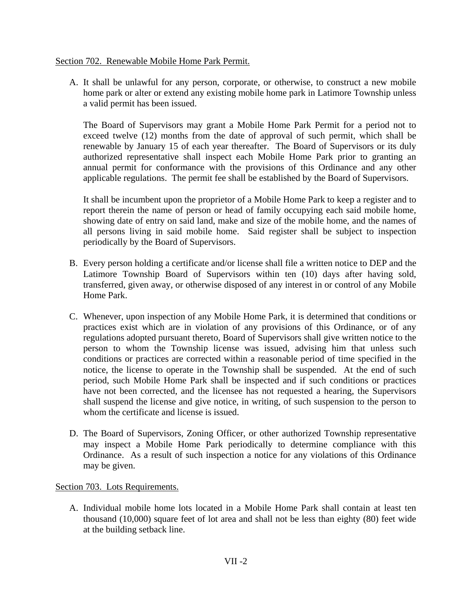### Section 702. Renewable Mobile Home Park Permit.

 A. It shall be unlawful for any person, corporate, or otherwise, to construct a new mobile home park or alter or extend any existing mobile home park in Latimore Township unless a valid permit has been issued.

The Board of Supervisors may grant a Mobile Home Park Permit for a period not to exceed twelve (12) months from the date of approval of such permit, which shall be renewable by January 15 of each year thereafter. The Board of Supervisors or its duly authorized representative shall inspect each Mobile Home Park prior to granting an annual permit for conformance with the provisions of this Ordinance and any other applicable regulations. The permit fee shall be established by the Board of Supervisors.

It shall be incumbent upon the proprietor of a Mobile Home Park to keep a register and to report therein the name of person or head of family occupying each said mobile home, showing date of entry on said land, make and size of the mobile home, and the names of all persons living in said mobile home. Said register shall be subject to inspection periodically by the Board of Supervisors.

- B. Every person holding a certificate and/or license shall file a written notice to DEP and the Latimore Township Board of Supervisors within ten (10) days after having sold, transferred, given away, or otherwise disposed of any interest in or control of any Mobile Home Park.
- C. Whenever, upon inspection of any Mobile Home Park, it is determined that conditions or practices exist which are in violation of any provisions of this Ordinance, or of any regulations adopted pursuant thereto, Board of Supervisors shall give written notice to the person to whom the Township license was issued, advising him that unless such conditions or practices are corrected within a reasonable period of time specified in the notice, the license to operate in the Township shall be suspended. At the end of such period, such Mobile Home Park shall be inspected and if such conditions or practices have not been corrected, and the licensee has not requested a hearing, the Supervisors shall suspend the license and give notice, in writing, of such suspension to the person to whom the certificate and license is issued.
- D. The Board of Supervisors, Zoning Officer, or other authorized Township representative may inspect a Mobile Home Park periodically to determine compliance with this Ordinance. As a result of such inspection a notice for any violations of this Ordinance may be given.

# Section 703. Lots Requirements.

 A. Individual mobile home lots located in a Mobile Home Park shall contain at least ten thousand (10,000) square feet of lot area and shall not be less than eighty (80) feet wide at the building setback line.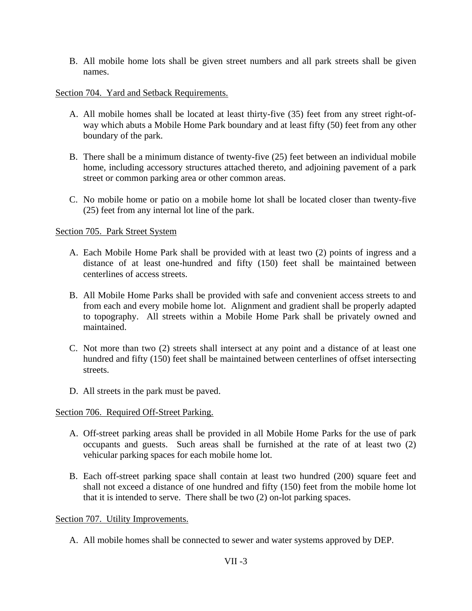B. All mobile home lots shall be given street numbers and all park streets shall be given names.

### Section 704. Yard and Setback Requirements.

- A. All mobile homes shall be located at least thirty-five (35) feet from any street right-ofway which abuts a Mobile Home Park boundary and at least fifty (50) feet from any other boundary of the park.
- B. There shall be a minimum distance of twenty-five (25) feet between an individual mobile home, including accessory structures attached thereto, and adjoining pavement of a park street or common parking area or other common areas.
- C. No mobile home or patio on a mobile home lot shall be located closer than twenty-five (25) feet from any internal lot line of the park.

### Section 705. Park Street System

- A. Each Mobile Home Park shall be provided with at least two (2) points of ingress and a distance of at least one-hundred and fifty (150) feet shall be maintained between centerlines of access streets.
- B. All Mobile Home Parks shall be provided with safe and convenient access streets to and from each and every mobile home lot. Alignment and gradient shall be properly adapted to topography. All streets within a Mobile Home Park shall be privately owned and maintained.
- C. Not more than two (2) streets shall intersect at any point and a distance of at least one hundred and fifty (150) feet shall be maintained between centerlines of offset intersecting streets.
- D. All streets in the park must be paved.

# Section 706. Required Off-Street Parking.

- A. Off-street parking areas shall be provided in all Mobile Home Parks for the use of park occupants and guests. Such areas shall be furnished at the rate of at least two (2) vehicular parking spaces for each mobile home lot.
- B. Each off-street parking space shall contain at least two hundred (200) square feet and shall not exceed a distance of one hundred and fifty (150) feet from the mobile home lot that it is intended to serve. There shall be two (2) on-lot parking spaces.

Section 707. Utility Improvements.

A. All mobile homes shall be connected to sewer and water systems approved by DEP.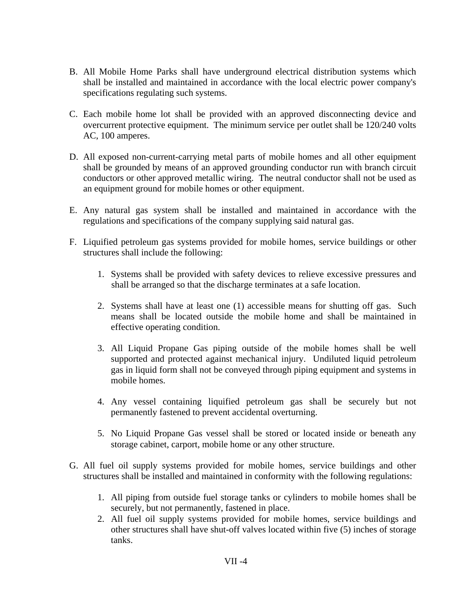- B. All Mobile Home Parks shall have underground electrical distribution systems which shall be installed and maintained in accordance with the local electric power company's specifications regulating such systems.
- C. Each mobile home lot shall be provided with an approved disconnecting device and overcurrent protective equipment. The minimum service per outlet shall be 120/240 volts AC, 100 amperes.
- D. All exposed non-current-carrying metal parts of mobile homes and all other equipment shall be grounded by means of an approved grounding conductor run with branch circuit conductors or other approved metallic wiring. The neutral conductor shall not be used as an equipment ground for mobile homes or other equipment.
- E. Any natural gas system shall be installed and maintained in accordance with the regulations and specifications of the company supplying said natural gas.
- F. Liquified petroleum gas systems provided for mobile homes, service buildings or other structures shall include the following:
	- 1. Systems shall be provided with safety devices to relieve excessive pressures and shall be arranged so that the discharge terminates at a safe location.
	- 2. Systems shall have at least one (1) accessible means for shutting off gas. Such means shall be located outside the mobile home and shall be maintained in effective operating condition.
	- 3. All Liquid Propane Gas piping outside of the mobile homes shall be well supported and protected against mechanical injury. Undiluted liquid petroleum gas in liquid form shall not be conveyed through piping equipment and systems in mobile homes.
	- 4. Any vessel containing liquified petroleum gas shall be securely but not permanently fastened to prevent accidental overturning.
	- 5. No Liquid Propane Gas vessel shall be stored or located inside or beneath any storage cabinet, carport, mobile home or any other structure.
- G. All fuel oil supply systems provided for mobile homes, service buildings and other structures shall be installed and maintained in conformity with the following regulations:
	- 1. All piping from outside fuel storage tanks or cylinders to mobile homes shall be securely, but not permanently, fastened in place.
	- 2. All fuel oil supply systems provided for mobile homes, service buildings and other structures shall have shut-off valves located within five (5) inches of storage tanks.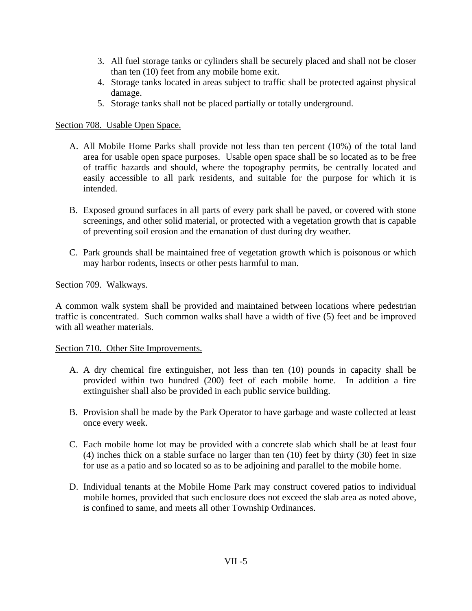- 3. All fuel storage tanks or cylinders shall be securely placed and shall not be closer than ten (10) feet from any mobile home exit.
- 4. Storage tanks located in areas subject to traffic shall be protected against physical damage.
- 5. Storage tanks shall not be placed partially or totally underground.

## Section 708. Usable Open Space.

- A. All Mobile Home Parks shall provide not less than ten percent (10%) of the total land area for usable open space purposes. Usable open space shall be so located as to be free of traffic hazards and should, where the topography permits, be centrally located and easily accessible to all park residents, and suitable for the purpose for which it is intended.
- B. Exposed ground surfaces in all parts of every park shall be paved, or covered with stone screenings, and other solid material, or protected with a vegetation growth that is capable of preventing soil erosion and the emanation of dust during dry weather.
- C. Park grounds shall be maintained free of vegetation growth which is poisonous or which may harbor rodents, insects or other pests harmful to man.

### Section 709. Walkways.

A common walk system shall be provided and maintained between locations where pedestrian traffic is concentrated. Such common walks shall have a width of five (5) feet and be improved with all weather materials.

### Section 710. Other Site Improvements.

- A. A dry chemical fire extinguisher, not less than ten (10) pounds in capacity shall be provided within two hundred (200) feet of each mobile home. In addition a fire extinguisher shall also be provided in each public service building.
- B. Provision shall be made by the Park Operator to have garbage and waste collected at least once every week.
- C. Each mobile home lot may be provided with a concrete slab which shall be at least four (4) inches thick on a stable surface no larger than ten (10) feet by thirty (30) feet in size for use as a patio and so located so as to be adjoining and parallel to the mobile home.
- D. Individual tenants at the Mobile Home Park may construct covered patios to individual mobile homes, provided that such enclosure does not exceed the slab area as noted above, is confined to same, and meets all other Township Ordinances.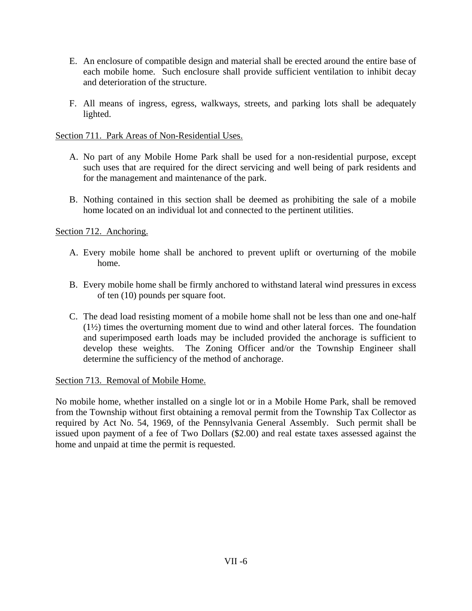- E. An enclosure of compatible design and material shall be erected around the entire base of each mobile home. Such enclosure shall provide sufficient ventilation to inhibit decay and deterioration of the structure.
- F. All means of ingress, egress, walkways, streets, and parking lots shall be adequately lighted.

Section 711. Park Areas of Non-Residential Uses.

- A. No part of any Mobile Home Park shall be used for a non-residential purpose, except such uses that are required for the direct servicing and well being of park residents and for the management and maintenance of the park.
- B. Nothing contained in this section shall be deemed as prohibiting the sale of a mobile home located on an individual lot and connected to the pertinent utilities.

Section 712. Anchoring.

- A. Every mobile home shall be anchored to prevent uplift or overturning of the mobile home.
- B. Every mobile home shall be firmly anchored to withstand lateral wind pressures in excess of ten (10) pounds per square foot.
- C. The dead load resisting moment of a mobile home shall not be less than one and one-half (1½) times the overturning moment due to wind and other lateral forces. The foundation and superimposed earth loads may be included provided the anchorage is sufficient to develop these weights. The Zoning Officer and/or the Township Engineer shall determine the sufficiency of the method of anchorage.

Section 713. Removal of Mobile Home.

No mobile home, whether installed on a single lot or in a Mobile Home Park, shall be removed from the Township without first obtaining a removal permit from the Township Tax Collector as required by Act No. 54, 1969, of the Pennsylvania General Assembly. Such permit shall be issued upon payment of a fee of Two Dollars (\$2.00) and real estate taxes assessed against the home and unpaid at time the permit is requested.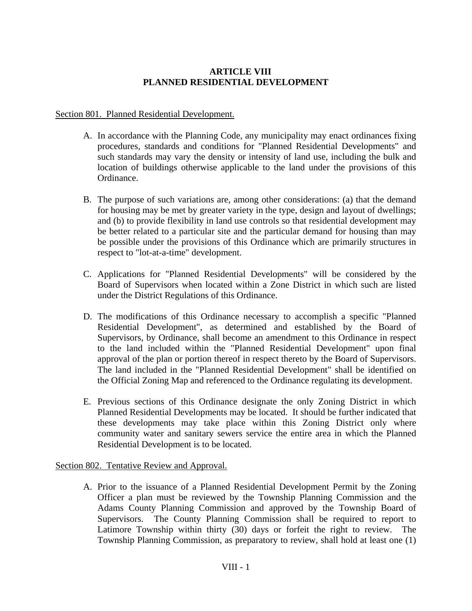# **ARTICLE VIII PLANNED RESIDENTIAL DEVELOPMENT**

## Section 801. Planned Residential Development.

- A. In accordance with the Planning Code, any municipality may enact ordinances fixing procedures, standards and conditions for "Planned Residential Developments" and such standards may vary the density or intensity of land use, including the bulk and location of buildings otherwise applicable to the land under the provisions of this Ordinance.
- B. The purpose of such variations are, among other considerations: (a) that the demand for housing may be met by greater variety in the type, design and layout of dwellings; and (b) to provide flexibility in land use controls so that residential development may be better related to a particular site and the particular demand for housing than may be possible under the provisions of this Ordinance which are primarily structures in respect to "lot-at-a-time" development.
- C. Applications for "Planned Residential Developments" will be considered by the Board of Supervisors when located within a Zone District in which such are listed under the District Regulations of this Ordinance.
- D. The modifications of this Ordinance necessary to accomplish a specific "Planned Residential Development", as determined and established by the Board of Supervisors, by Ordinance, shall become an amendment to this Ordinance in respect to the land included within the "Planned Residential Development" upon final approval of the plan or portion thereof in respect thereto by the Board of Supervisors. The land included in the "Planned Residential Development" shall be identified on the Official Zoning Map and referenced to the Ordinance regulating its development.
- E. Previous sections of this Ordinance designate the only Zoning District in which Planned Residential Developments may be located. It should be further indicated that these developments may take place within this Zoning District only where community water and sanitary sewers service the entire area in which the Planned Residential Development is to be located.

# Section 802. Tentative Review and Approval.

A. Prior to the issuance of a Planned Residential Development Permit by the Zoning Officer a plan must be reviewed by the Township Planning Commission and the Adams County Planning Commission and approved by the Township Board of Supervisors. The County Planning Commission shall be required to report to Latimore Township within thirty (30) days or forfeit the right to review. The Township Planning Commission, as preparatory to review, shall hold at least one (1)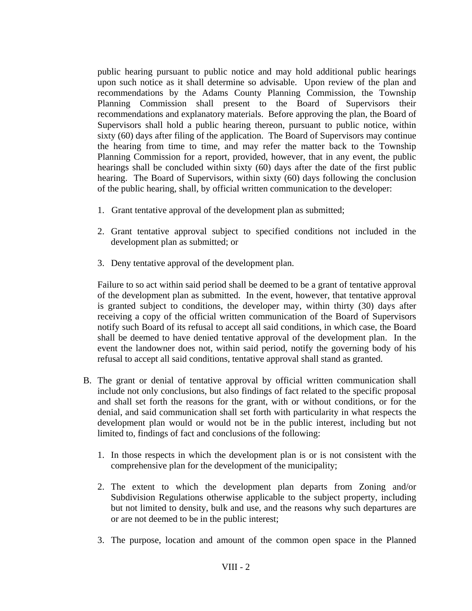public hearing pursuant to public notice and may hold additional public hearings upon such notice as it shall determine so advisable. Upon review of the plan and recommendations by the Adams County Planning Commission, the Township Planning Commission shall present to the Board of Supervisors their recommendations and explanatory materials. Before approving the plan, the Board of Supervisors shall hold a public hearing thereon, pursuant to public notice, within sixty (60) days after filing of the application. The Board of Supervisors may continue the hearing from time to time, and may refer the matter back to the Township Planning Commission for a report, provided, however, that in any event, the public hearings shall be concluded within sixty (60) days after the date of the first public hearing. The Board of Supervisors, within sixty (60) days following the conclusion of the public hearing, shall, by official written communication to the developer:

- 1. Grant tentative approval of the development plan as submitted;
- 2. Grant tentative approval subject to specified conditions not included in the development plan as submitted; or
- 3. Deny tentative approval of the development plan.

Failure to so act within said period shall be deemed to be a grant of tentative approval of the development plan as submitted. In the event, however, that tentative approval is granted subject to conditions, the developer may, within thirty (30) days after receiving a copy of the official written communication of the Board of Supervisors notify such Board of its refusal to accept all said conditions, in which case, the Board shall be deemed to have denied tentative approval of the development plan. In the event the landowner does not, within said period, notify the governing body of his refusal to accept all said conditions, tentative approval shall stand as granted.

- B. The grant or denial of tentative approval by official written communication shall include not only conclusions, but also findings of fact related to the specific proposal and shall set forth the reasons for the grant, with or without conditions, or for the denial, and said communication shall set forth with particularity in what respects the development plan would or would not be in the public interest, including but not limited to, findings of fact and conclusions of the following:
	- 1. In those respects in which the development plan is or is not consistent with the comprehensive plan for the development of the municipality;
	- 2. The extent to which the development plan departs from Zoning and/or Subdivision Regulations otherwise applicable to the subject property, including but not limited to density, bulk and use, and the reasons why such departures are or are not deemed to be in the public interest;
	- 3. The purpose, location and amount of the common open space in the Planned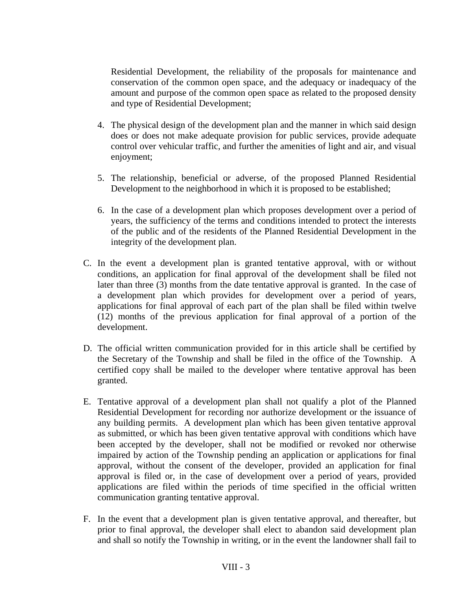Residential Development, the reliability of the proposals for maintenance and conservation of the common open space, and the adequacy or inadequacy of the amount and purpose of the common open space as related to the proposed density and type of Residential Development;

- 4. The physical design of the development plan and the manner in which said design does or does not make adequate provision for public services, provide adequate control over vehicular traffic, and further the amenities of light and air, and visual enjoyment;
- 5. The relationship, beneficial or adverse, of the proposed Planned Residential Development to the neighborhood in which it is proposed to be established;
- 6. In the case of a development plan which proposes development over a period of years, the sufficiency of the terms and conditions intended to protect the interests of the public and of the residents of the Planned Residential Development in the integrity of the development plan.
- C. In the event a development plan is granted tentative approval, with or without conditions, an application for final approval of the development shall be filed not later than three (3) months from the date tentative approval is granted. In the case of a development plan which provides for development over a period of years, applications for final approval of each part of the plan shall be filed within twelve (12) months of the previous application for final approval of a portion of the development.
- D. The official written communication provided for in this article shall be certified by the Secretary of the Township and shall be filed in the office of the Township. A certified copy shall be mailed to the developer where tentative approval has been granted.
- E. Tentative approval of a development plan shall not qualify a plot of the Planned Residential Development for recording nor authorize development or the issuance of any building permits. A development plan which has been given tentative approval as submitted, or which has been given tentative approval with conditions which have been accepted by the developer, shall not be modified or revoked nor otherwise impaired by action of the Township pending an application or applications for final approval, without the consent of the developer, provided an application for final approval is filed or, in the case of development over a period of years, provided applications are filed within the periods of time specified in the official written communication granting tentative approval.
- F. In the event that a development plan is given tentative approval, and thereafter, but prior to final approval, the developer shall elect to abandon said development plan and shall so notify the Township in writing, or in the event the landowner shall fail to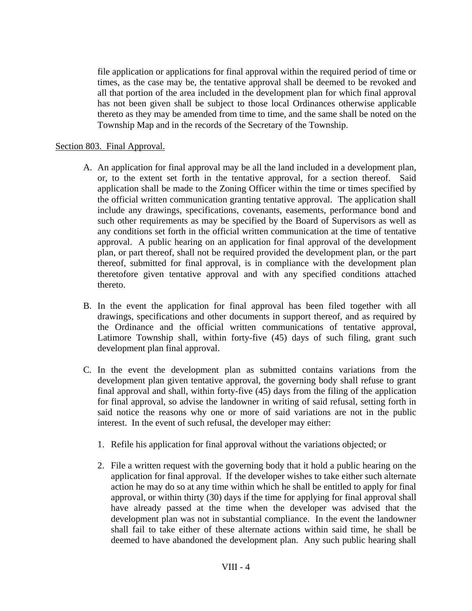file application or applications for final approval within the required period of time or times, as the case may be, the tentative approval shall be deemed to be revoked and all that portion of the area included in the development plan for which final approval has not been given shall be subject to those local Ordinances otherwise applicable thereto as they may be amended from time to time, and the same shall be noted on the Township Map and in the records of the Secretary of the Township.

### Section 803. Final Approval.

- A. An application for final approval may be all the land included in a development plan, or, to the extent set forth in the tentative approval, for a section thereof. Said application shall be made to the Zoning Officer within the time or times specified by the official written communication granting tentative approval. The application shall include any drawings, specifications, covenants, easements, performance bond and such other requirements as may be specified by the Board of Supervisors as well as any conditions set forth in the official written communication at the time of tentative approval. A public hearing on an application for final approval of the development plan, or part thereof, shall not be required provided the development plan, or the part thereof, submitted for final approval, is in compliance with the development plan theretofore given tentative approval and with any specified conditions attached thereto.
- B. In the event the application for final approval has been filed together with all drawings, specifications and other documents in support thereof, and as required by the Ordinance and the official written communications of tentative approval, Latimore Township shall, within forty-five (45) days of such filing, grant such development plan final approval.
- C. In the event the development plan as submitted contains variations from the development plan given tentative approval, the governing body shall refuse to grant final approval and shall, within forty-five (45) days from the filing of the application for final approval, so advise the landowner in writing of said refusal, setting forth in said notice the reasons why one or more of said variations are not in the public interest. In the event of such refusal, the developer may either:
	- 1. Refile his application for final approval without the variations objected; or
	- 2. File a written request with the governing body that it hold a public hearing on the application for final approval. If the developer wishes to take either such alternate action he may do so at any time within which he shall be entitled to apply for final approval, or within thirty (30) days if the time for applying for final approval shall have already passed at the time when the developer was advised that the development plan was not in substantial compliance. In the event the landowner shall fail to take either of these alternate actions within said time, he shall be deemed to have abandoned the development plan. Any such public hearing shall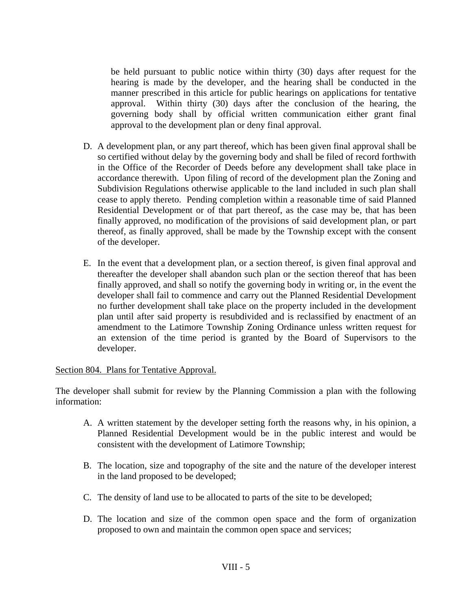be held pursuant to public notice within thirty (30) days after request for the hearing is made by the developer, and the hearing shall be conducted in the manner prescribed in this article for public hearings on applications for tentative approval. Within thirty (30) days after the conclusion of the hearing, the governing body shall by official written communication either grant final approval to the development plan or deny final approval.

- D. A development plan, or any part thereof, which has been given final approval shall be so certified without delay by the governing body and shall be filed of record forthwith in the Office of the Recorder of Deeds before any development shall take place in accordance therewith. Upon filing of record of the development plan the Zoning and Subdivision Regulations otherwise applicable to the land included in such plan shall cease to apply thereto. Pending completion within a reasonable time of said Planned Residential Development or of that part thereof, as the case may be, that has been finally approved, no modification of the provisions of said development plan, or part thereof, as finally approved, shall be made by the Township except with the consent of the developer.
- E. In the event that a development plan, or a section thereof, is given final approval and thereafter the developer shall abandon such plan or the section thereof that has been finally approved, and shall so notify the governing body in writing or, in the event the developer shall fail to commence and carry out the Planned Residential Development no further development shall take place on the property included in the development plan until after said property is resubdivided and is reclassified by enactment of an amendment to the Latimore Township Zoning Ordinance unless written request for an extension of the time period is granted by the Board of Supervisors to the developer.

Section 804. Plans for Tentative Approval.

The developer shall submit for review by the Planning Commission a plan with the following information:

- A. A written statement by the developer setting forth the reasons why, in his opinion, a Planned Residential Development would be in the public interest and would be consistent with the development of Latimore Township;
- B. The location, size and topography of the site and the nature of the developer interest in the land proposed to be developed;
- C. The density of land use to be allocated to parts of the site to be developed;
- D. The location and size of the common open space and the form of organization proposed to own and maintain the common open space and services;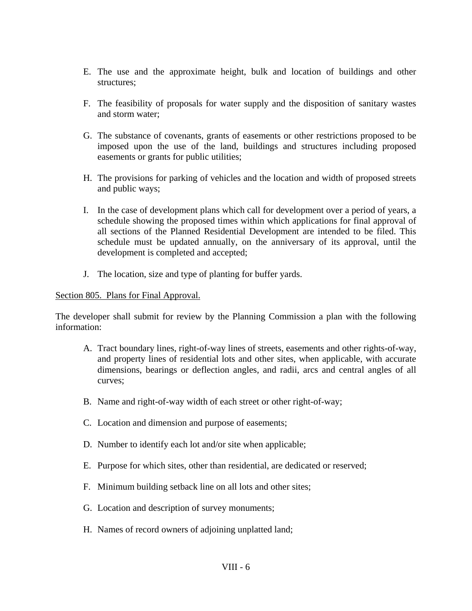- E. The use and the approximate height, bulk and location of buildings and other structures;
- F. The feasibility of proposals for water supply and the disposition of sanitary wastes and storm water;
- G. The substance of covenants, grants of easements or other restrictions proposed to be imposed upon the use of the land, buildings and structures including proposed easements or grants for public utilities;
- H. The provisions for parking of vehicles and the location and width of proposed streets and public ways;
- I. In the case of development plans which call for development over a period of years, a schedule showing the proposed times within which applications for final approval of all sections of the Planned Residential Development are intended to be filed. This schedule must be updated annually, on the anniversary of its approval, until the development is completed and accepted;
- J. The location, size and type of planting for buffer yards.

### Section 805. Plans for Final Approval.

The developer shall submit for review by the Planning Commission a plan with the following information:

- A. Tract boundary lines, right-of-way lines of streets, easements and other rights-of-way, and property lines of residential lots and other sites, when applicable, with accurate dimensions, bearings or deflection angles, and radii, arcs and central angles of all curves;
- B. Name and right-of-way width of each street or other right-of-way;
- C. Location and dimension and purpose of easements;
- D. Number to identify each lot and/or site when applicable;
- E. Purpose for which sites, other than residential, are dedicated or reserved;
- F. Minimum building setback line on all lots and other sites;
- G. Location and description of survey monuments;
- H. Names of record owners of adjoining unplatted land;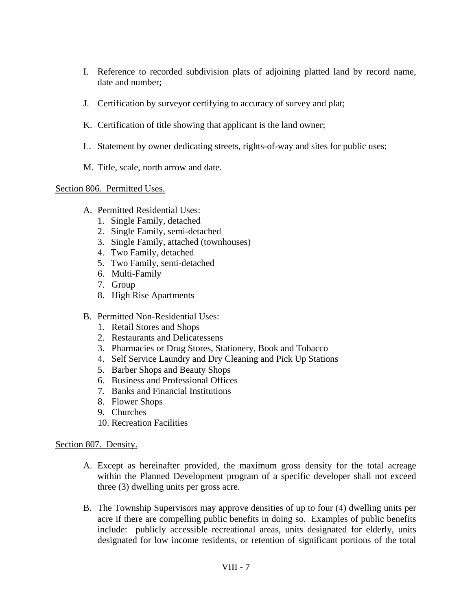- I. Reference to recorded subdivision plats of adjoining platted land by record name, date and number;
- J. Certification by surveyor certifying to accuracy of survey and plat;
- K. Certification of title showing that applicant is the land owner;
- L. Statement by owner dedicating streets, rights-of-way and sites for public uses;
- M. Title, scale, north arrow and date.

# Section 806. Permitted Uses.

- A. Permitted Residential Uses:
	- 1. Single Family, detached
	- 2. Single Family, semi-detached
	- 3. Single Family, attached (townhouses)
	- 4. Two Family, detached
	- 5. Two Family, semi-detached
	- 6. Multi-Family
	- 7. Group
	- 8. High Rise Apartments
- B. Permitted Non-Residential Uses:
	- 1. Retail Stores and Shops
	- 2. Restaurants and Delicatessens
	- 3. Pharmacies or Drug Stores, Stationery, Book and Tobacco
	- 4. Self Service Laundry and Dry Cleaning and Pick Up Stations
	- 5. Barber Shops and Beauty Shops
	- 6. Business and Professional Offices
	- 7. Banks and Financial Institutions
	- 8. Flower Shops
	- 9. Churches
	- 10. Recreation Facilities

# Section 807. Density.

- A. Except as hereinafter provided, the maximum gross density for the total acreage within the Planned Development program of a specific developer shall not exceed three (3) dwelling units per gross acre.
- B. The Township Supervisors may approve densities of up to four (4) dwelling units per acre if there are compelling public benefits in doing so. Examples of public benefits include: publicly accessible recreational areas, units designated for elderly, units designated for low income residents, or retention of significant portions of the total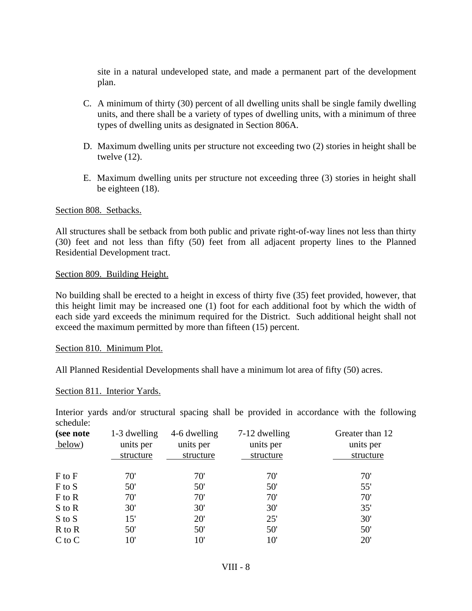site in a natural undeveloped state, and made a permanent part of the development plan.

- C. A minimum of thirty (30) percent of all dwelling units shall be single family dwelling units, and there shall be a variety of types of dwelling units, with a minimum of three types of dwelling units as designated in Section 806A.
- D. Maximum dwelling units per structure not exceeding two (2) stories in height shall be twelve (12).
- E. Maximum dwelling units per structure not exceeding three (3) stories in height shall be eighteen (18).

### Section 808. Setbacks.

All structures shall be setback from both public and private right-of-way lines not less than thirty (30) feet and not less than fifty (50) feet from all adjacent property lines to the Planned Residential Development tract.

#### Section 809. Building Height.

No building shall be erected to a height in excess of thirty five (35) feet provided, however, that this height limit may be increased one (1) foot for each additional foot by which the width of each side yard exceeds the minimum required for the District. Such additional height shall not exceed the maximum permitted by more than fifteen (15) percent.

### Section 810. Minimum Plot.

All Planned Residential Developments shall have a minimum lot area of fifty (50) acres.

#### Section 811. Interior Yards.

Interior yards and/or structural spacing shall be provided in accordance with the following schedule:

| (see note<br>below) | 1-3 dwelling<br>units per<br>structure | 4-6 dwelling<br>units per<br>structure | 7-12 dwelling<br>units per<br>structure | Greater than 12<br>units per<br>structure |
|---------------------|----------------------------------------|----------------------------------------|-----------------------------------------|-------------------------------------------|
| $F$ to $F$          | 70'                                    | 70'                                    | 70'                                     | 70'                                       |
| F to S              | 50'                                    | 50'                                    | 50'                                     | 55'                                       |
| F to R              | 70'                                    | 70'                                    | 70'                                     | 70'                                       |
| S to R              | 30'                                    | 30'                                    | 30'                                     | 35'                                       |
| S to S              | 15'                                    | 20'                                    | 25'                                     | 30'                                       |
| R to R              | 50'                                    | 50'                                    | 50'                                     | 50'                                       |
| $C$ to $C$          | 10'                                    | 10'                                    | $10^{\circ}$                            | 20'                                       |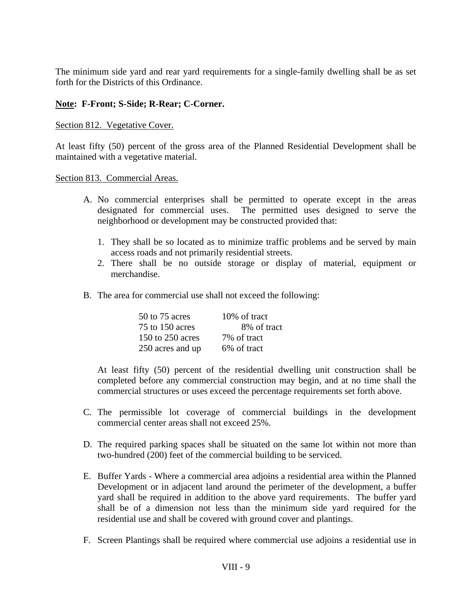The minimum side yard and rear yard requirements for a single-family dwelling shall be as set forth for the Districts of this Ordinance.

# **Note: F-Front; S-Side; R-Rear; C-Corner.**

### Section 812. Vegetative Cover.

At least fifty (50) percent of the gross area of the Planned Residential Development shall be maintained with a vegetative material.

### Section 813. Commercial Areas.

- A. No commercial enterprises shall be permitted to operate except in the areas designated for commercial uses. The permitted uses designed to serve the neighborhood or development may be constructed provided that:
	- 1. They shall be so located as to minimize traffic problems and be served by main access roads and not primarily residential streets.
	- 2. There shall be no outside storage or display of material, equipment or merchandise.
- B. The area for commercial use shall not exceed the following:

| 50 to 75 acres   | 10% of tract |
|------------------|--------------|
| 75 to 150 acres  | 8% of tract  |
| 150 to 250 acres | 7\% of tract |
| 250 acres and up | 6% of tract  |

At least fifty (50) percent of the residential dwelling unit construction shall be completed before any commercial construction may begin, and at no time shall the commercial structures or uses exceed the percentage requirements set forth above.

- C. The permissible lot coverage of commercial buildings in the development commercial center areas shall not exceed 25%.
- D. The required parking spaces shall be situated on the same lot within not more than two-hundred (200) feet of the commercial building to be serviced.
- E. Buffer Yards Where a commercial area adjoins a residential area within the Planned Development or in adjacent land around the perimeter of the development, a buffer yard shall be required in addition to the above yard requirements. The buffer yard shall be of a dimension not less than the minimum side yard required for the residential use and shall be covered with ground cover and plantings.
- F. Screen Plantings shall be required where commercial use adjoins a residential use in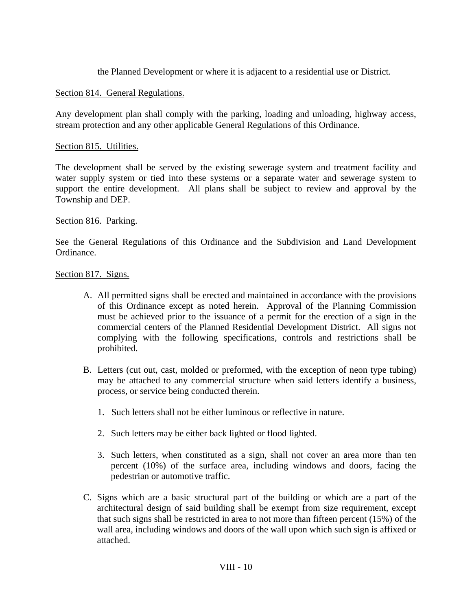the Planned Development or where it is adjacent to a residential use or District.

### Section 814. General Regulations.

Any development plan shall comply with the parking, loading and unloading, highway access, stream protection and any other applicable General Regulations of this Ordinance.

### Section 815. Utilities.

The development shall be served by the existing sewerage system and treatment facility and water supply system or tied into these systems or a separate water and sewerage system to support the entire development. All plans shall be subject to review and approval by the Township and DEP.

### Section 816. Parking.

See the General Regulations of this Ordinance and the Subdivision and Land Development Ordinance.

### Section 817. Signs.

- A. All permitted signs shall be erected and maintained in accordance with the provisions of this Ordinance except as noted herein. Approval of the Planning Commission must be achieved prior to the issuance of a permit for the erection of a sign in the commercial centers of the Planned Residential Development District. All signs not complying with the following specifications, controls and restrictions shall be prohibited.
- B. Letters (cut out, cast, molded or preformed, with the exception of neon type tubing) may be attached to any commercial structure when said letters identify a business, process, or service being conducted therein.
	- 1. Such letters shall not be either luminous or reflective in nature.
	- 2. Such letters may be either back lighted or flood lighted.
	- 3. Such letters, when constituted as a sign, shall not cover an area more than ten percent (10%) of the surface area, including windows and doors, facing the pedestrian or automotive traffic.
- C. Signs which are a basic structural part of the building or which are a part of the architectural design of said building shall be exempt from size requirement, except that such signs shall be restricted in area to not more than fifteen percent (15%) of the wall area, including windows and doors of the wall upon which such sign is affixed or attached.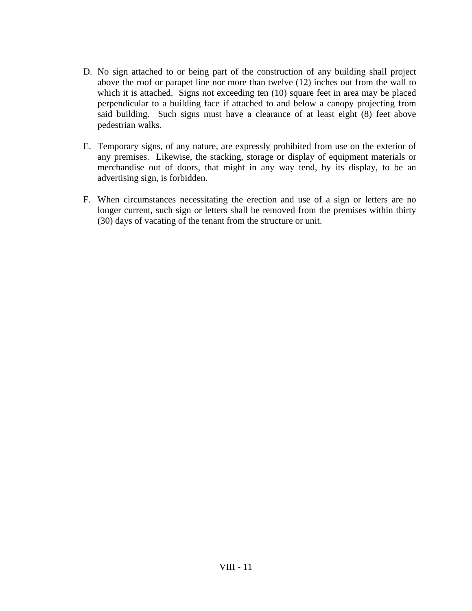- D. No sign attached to or being part of the construction of any building shall project above the roof or parapet line nor more than twelve (12) inches out from the wall to which it is attached. Signs not exceeding ten (10) square feet in area may be placed perpendicular to a building face if attached to and below a canopy projecting from said building. Such signs must have a clearance of at least eight (8) feet above pedestrian walks.
- E. Temporary signs, of any nature, are expressly prohibited from use on the exterior of any premises. Likewise, the stacking, storage or display of equipment materials or merchandise out of doors, that might in any way tend, by its display, to be an advertising sign, is forbidden.
- F. When circumstances necessitating the erection and use of a sign or letters are no longer current, such sign or letters shall be removed from the premises within thirty (30) days of vacating of the tenant from the structure or unit.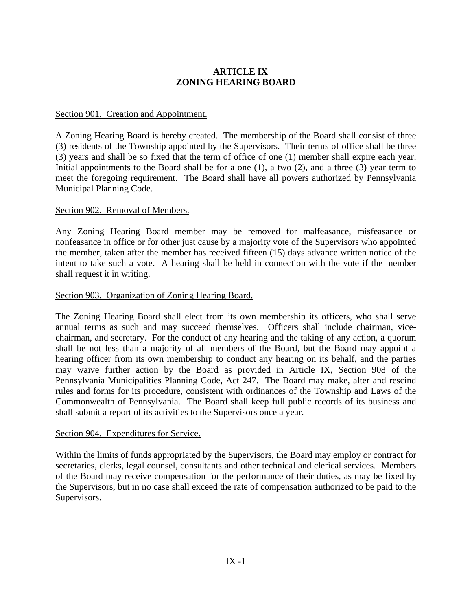# **ARTICLE IX ZONING HEARING BOARD**

### Section 901. Creation and Appointment.

A Zoning Hearing Board is hereby created. The membership of the Board shall consist of three (3) residents of the Township appointed by the Supervisors. Their terms of office shall be three (3) years and shall be so fixed that the term of office of one (1) member shall expire each year. Initial appointments to the Board shall be for a one  $(1)$ , a two  $(2)$ , and a three  $(3)$  year term to meet the foregoing requirement. The Board shall have all powers authorized by Pennsylvania Municipal Planning Code.

### Section 902. Removal of Members.

Any Zoning Hearing Board member may be removed for malfeasance, misfeasance or nonfeasance in office or for other just cause by a majority vote of the Supervisors who appointed the member, taken after the member has received fifteen (15) days advance written notice of the intent to take such a vote. A hearing shall be held in connection with the vote if the member shall request it in writing.

### Section 903. Organization of Zoning Hearing Board.

The Zoning Hearing Board shall elect from its own membership its officers, who shall serve annual terms as such and may succeed themselves. Officers shall include chairman, vicechairman, and secretary. For the conduct of any hearing and the taking of any action, a quorum shall be not less than a majority of all members of the Board, but the Board may appoint a hearing officer from its own membership to conduct any hearing on its behalf, and the parties may waive further action by the Board as provided in Article IX, Section 908 of the Pennsylvania Municipalities Planning Code, Act 247. The Board may make, alter and rescind rules and forms for its procedure, consistent with ordinances of the Township and Laws of the Commonwealth of Pennsylvania. The Board shall keep full public records of its business and shall submit a report of its activities to the Supervisors once a year.

### Section 904. Expenditures for Service.

Within the limits of funds appropriated by the Supervisors, the Board may employ or contract for secretaries, clerks, legal counsel, consultants and other technical and clerical services. Members of the Board may receive compensation for the performance of their duties, as may be fixed by the Supervisors, but in no case shall exceed the rate of compensation authorized to be paid to the Supervisors.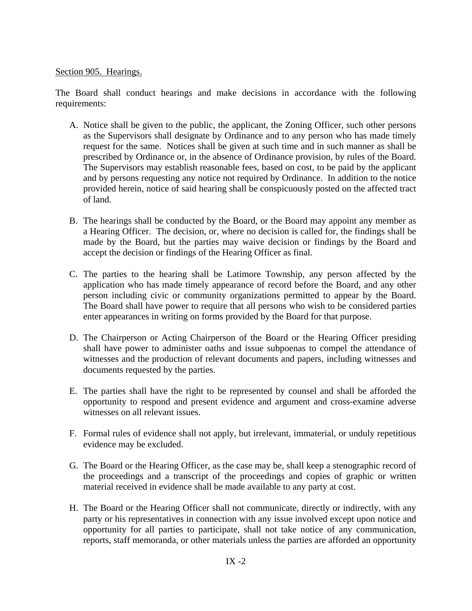## Section 905. Hearings.

The Board shall conduct hearings and make decisions in accordance with the following requirements:

- A. Notice shall be given to the public, the applicant, the Zoning Officer, such other persons as the Supervisors shall designate by Ordinance and to any person who has made timely request for the same. Notices shall be given at such time and in such manner as shall be prescribed by Ordinance or, in the absence of Ordinance provision, by rules of the Board. The Supervisors may establish reasonable fees, based on cost, to be paid by the applicant and by persons requesting any notice not required by Ordinance. In addition to the notice provided herein, notice of said hearing shall be conspicuously posted on the affected tract of land.
- B. The hearings shall be conducted by the Board, or the Board may appoint any member as a Hearing Officer. The decision, or, where no decision is called for, the findings shall be made by the Board, but the parties may waive decision or findings by the Board and accept the decision or findings of the Hearing Officer as final.
- C. The parties to the hearing shall be Latimore Township, any person affected by the application who has made timely appearance of record before the Board, and any other person including civic or community organizations permitted to appear by the Board. The Board shall have power to require that all persons who wish to be considered parties enter appearances in writing on forms provided by the Board for that purpose.
- D. The Chairperson or Acting Chairperson of the Board or the Hearing Officer presiding shall have power to administer oaths and issue subpoenas to compel the attendance of witnesses and the production of relevant documents and papers, including witnesses and documents requested by the parties.
- E. The parties shall have the right to be represented by counsel and shall be afforded the opportunity to respond and present evidence and argument and cross-examine adverse witnesses on all relevant issues.
- F. Formal rules of evidence shall not apply, but irrelevant, immaterial, or unduly repetitious evidence may be excluded.
- G. The Board or the Hearing Officer, as the case may be, shall keep a stenographic record of the proceedings and a transcript of the proceedings and copies of graphic or written material received in evidence shall be made available to any party at cost.
- H. The Board or the Hearing Officer shall not communicate, directly or indirectly, with any party or his representatives in connection with any issue involved except upon notice and opportunity for all parties to participate, shall not take notice of any communication, reports, staff memoranda, or other materials unless the parties are afforded an opportunity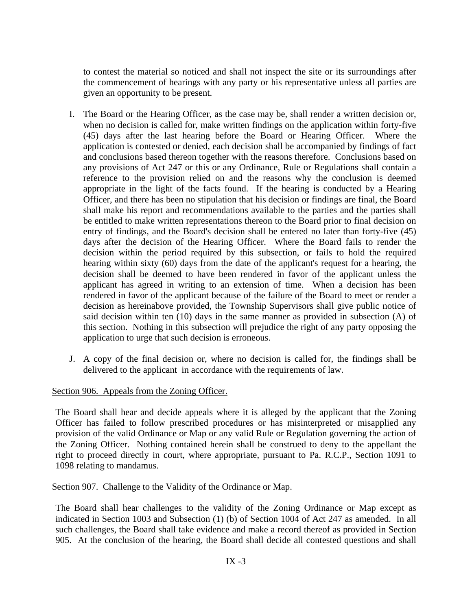to contest the material so noticed and shall not inspect the site or its surroundings after the commencement of hearings with any party or his representative unless all parties are given an opportunity to be present.

- I. The Board or the Hearing Officer, as the case may be, shall render a written decision or, when no decision is called for, make written findings on the application within forty-five (45) days after the last hearing before the Board or Hearing Officer. Where the application is contested or denied, each decision shall be accompanied by findings of fact and conclusions based thereon together with the reasons therefore. Conclusions based on any provisions of Act 247 or this or any Ordinance, Rule or Regulations shall contain a reference to the provision relied on and the reasons why the conclusion is deemed appropriate in the light of the facts found. If the hearing is conducted by a Hearing Officer, and there has been no stipulation that his decision or findings are final, the Board shall make his report and recommendations available to the parties and the parties shall be entitled to make written representations thereon to the Board prior to final decision on entry of findings, and the Board's decision shall be entered no later than forty-five (45) days after the decision of the Hearing Officer. Where the Board fails to render the decision within the period required by this subsection, or fails to hold the required hearing within sixty (60) days from the date of the applicant's request for a hearing, the decision shall be deemed to have been rendered in favor of the applicant unless the applicant has agreed in writing to an extension of time. When a decision has been rendered in favor of the applicant because of the failure of the Board to meet or render a decision as hereinabove provided, the Township Supervisors shall give public notice of said decision within ten (10) days in the same manner as provided in subsection (A) of this section. Nothing in this subsection will prejudice the right of any party opposing the application to urge that such decision is erroneous.
- J. A copy of the final decision or, where no decision is called for, the findings shall be delivered to the applicant in accordance with the requirements of law.

## Section 906. Appeals from the Zoning Officer.

The Board shall hear and decide appeals where it is alleged by the applicant that the Zoning Officer has failed to follow prescribed procedures or has misinterpreted or misapplied any provision of the valid Ordinance or Map or any valid Rule or Regulation governing the action of the Zoning Officer. Nothing contained herein shall be construed to deny to the appellant the right to proceed directly in court, where appropriate, pursuant to Pa. R.C.P., Section 1091 to 1098 relating to mandamus.

## Section 907. Challenge to the Validity of the Ordinance or Map.

The Board shall hear challenges to the validity of the Zoning Ordinance or Map except as indicated in Section 1003 and Subsection (1) (b) of Section 1004 of Act 247 as amended. In all such challenges, the Board shall take evidence and make a record thereof as provided in Section 905. At the conclusion of the hearing, the Board shall decide all contested questions and shall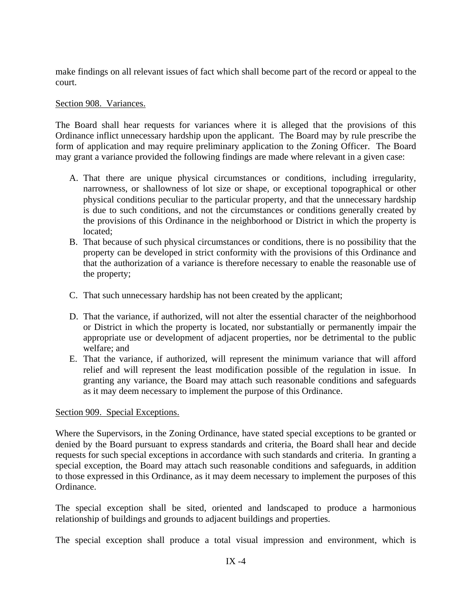make findings on all relevant issues of fact which shall become part of the record or appeal to the court.

## Section 908. Variances.

The Board shall hear requests for variances where it is alleged that the provisions of this Ordinance inflict unnecessary hardship upon the applicant. The Board may by rule prescribe the form of application and may require preliminary application to the Zoning Officer. The Board may grant a variance provided the following findings are made where relevant in a given case:

- A. That there are unique physical circumstances or conditions, including irregularity, narrowness, or shallowness of lot size or shape, or exceptional topographical or other physical conditions peculiar to the particular property, and that the unnecessary hardship is due to such conditions, and not the circumstances or conditions generally created by the provisions of this Ordinance in the neighborhood or District in which the property is located;
- B. That because of such physical circumstances or conditions, there is no possibility that the property can be developed in strict conformity with the provisions of this Ordinance and that the authorization of a variance is therefore necessary to enable the reasonable use of the property;
- C. That such unnecessary hardship has not been created by the applicant;
- D. That the variance, if authorized, will not alter the essential character of the neighborhood or District in which the property is located, nor substantially or permanently impair the appropriate use or development of adjacent properties, nor be detrimental to the public welfare; and
- E. That the variance, if authorized, will represent the minimum variance that will afford relief and will represent the least modification possible of the regulation in issue. In granting any variance, the Board may attach such reasonable conditions and safeguards as it may deem necessary to implement the purpose of this Ordinance.

## Section 909. Special Exceptions.

Where the Supervisors, in the Zoning Ordinance, have stated special exceptions to be granted or denied by the Board pursuant to express standards and criteria, the Board shall hear and decide requests for such special exceptions in accordance with such standards and criteria. In granting a special exception, the Board may attach such reasonable conditions and safeguards, in addition to those expressed in this Ordinance, as it may deem necessary to implement the purposes of this Ordinance.

The special exception shall be sited, oriented and landscaped to produce a harmonious relationship of buildings and grounds to adjacent buildings and properties.

The special exception shall produce a total visual impression and environment, which is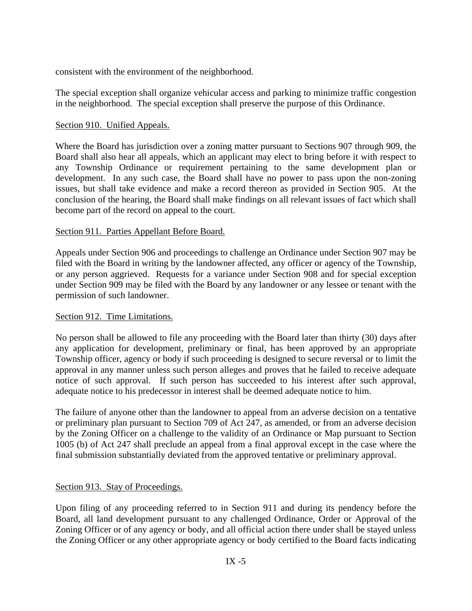consistent with the environment of the neighborhood.

The special exception shall organize vehicular access and parking to minimize traffic congestion in the neighborhood. The special exception shall preserve the purpose of this Ordinance.

## Section 910. Unified Appeals.

Where the Board has jurisdiction over a zoning matter pursuant to Sections 907 through 909, the Board shall also hear all appeals, which an applicant may elect to bring before it with respect to any Township Ordinance or requirement pertaining to the same development plan or development. In any such case, the Board shall have no power to pass upon the non-zoning issues, but shall take evidence and make a record thereon as provided in Section 905. At the conclusion of the hearing, the Board shall make findings on all relevant issues of fact which shall become part of the record on appeal to the court.

## Section 911. Parties Appellant Before Board.

Appeals under Section 906 and proceedings to challenge an Ordinance under Section 907 may be filed with the Board in writing by the landowner affected, any officer or agency of the Township, or any person aggrieved. Requests for a variance under Section 908 and for special exception under Section 909 may be filed with the Board by any landowner or any lessee or tenant with the permission of such landowner.

## Section 912. Time Limitations.

No person shall be allowed to file any proceeding with the Board later than thirty (30) days after any application for development, preliminary or final, has been approved by an appropriate Township officer, agency or body if such proceeding is designed to secure reversal or to limit the approval in any manner unless such person alleges and proves that he failed to receive adequate notice of such approval. If such person has succeeded to his interest after such approval, adequate notice to his predecessor in interest shall be deemed adequate notice to him.

The failure of anyone other than the landowner to appeal from an adverse decision on a tentative or preliminary plan pursuant to Section 709 of Act 247, as amended, or from an adverse decision by the Zoning Officer on a challenge to the validity of an Ordinance or Map pursuant to Section 1005 (b) of Act 247 shall preclude an appeal from a final approval except in the case where the final submission substantially deviated from the approved tentative or preliminary approval.

## Section 913. Stay of Proceedings.

Upon filing of any proceeding referred to in Section 911 and during its pendency before the Board, all land development pursuant to any challenged Ordinance, Order or Approval of the Zoning Officer or of any agency or body, and all official action there under shall be stayed unless the Zoning Officer or any other appropriate agency or body certified to the Board facts indicating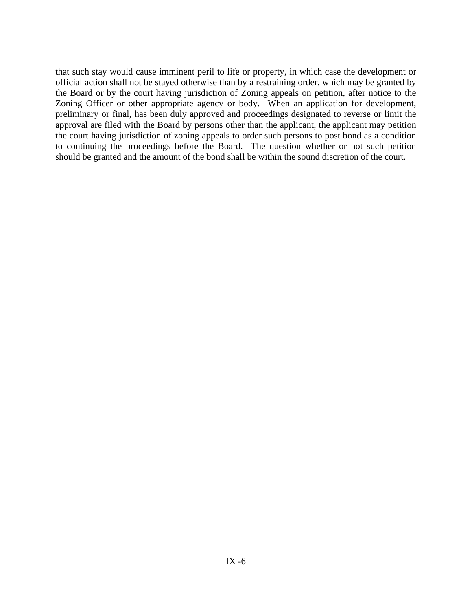that such stay would cause imminent peril to life or property, in which case the development or official action shall not be stayed otherwise than by a restraining order, which may be granted by the Board or by the court having jurisdiction of Zoning appeals on petition, after notice to the Zoning Officer or other appropriate agency or body. When an application for development, preliminary or final, has been duly approved and proceedings designated to reverse or limit the approval are filed with the Board by persons other than the applicant, the applicant may petition the court having jurisdiction of zoning appeals to order such persons to post bond as a condition to continuing the proceedings before the Board. The question whether or not such petition should be granted and the amount of the bond shall be within the sound discretion of the court.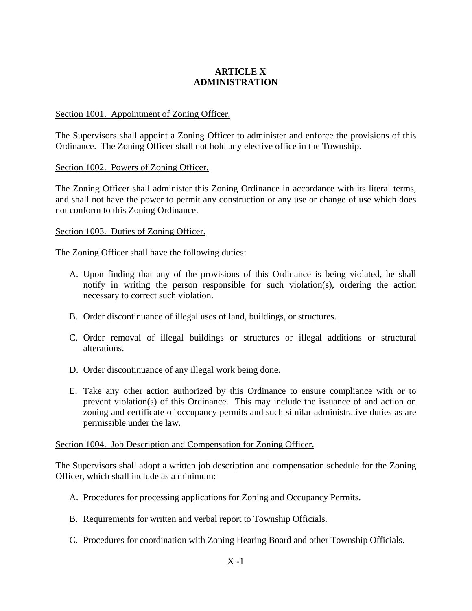# **ARTICLE X ADMINISTRATION**

## Section 1001. Appointment of Zoning Officer.

The Supervisors shall appoint a Zoning Officer to administer and enforce the provisions of this Ordinance. The Zoning Officer shall not hold any elective office in the Township.

## Section 1002. Powers of Zoning Officer.

The Zoning Officer shall administer this Zoning Ordinance in accordance with its literal terms, and shall not have the power to permit any construction or any use or change of use which does not conform to this Zoning Ordinance.

## Section 1003. Duties of Zoning Officer.

The Zoning Officer shall have the following duties:

- A. Upon finding that any of the provisions of this Ordinance is being violated, he shall notify in writing the person responsible for such violation(s), ordering the action necessary to correct such violation.
- B. Order discontinuance of illegal uses of land, buildings, or structures.
- C. Order removal of illegal buildings or structures or illegal additions or structural alterations.
- D. Order discontinuance of any illegal work being done.
- E. Take any other action authorized by this Ordinance to ensure compliance with or to prevent violation(s) of this Ordinance. This may include the issuance of and action on zoning and certificate of occupancy permits and such similar administrative duties as are permissible under the law.

## Section 1004. Job Description and Compensation for Zoning Officer.

The Supervisors shall adopt a written job description and compensation schedule for the Zoning Officer, which shall include as a minimum:

- A. Procedures for processing applications for Zoning and Occupancy Permits.
- B. Requirements for written and verbal report to Township Officials.
- C. Procedures for coordination with Zoning Hearing Board and other Township Officials.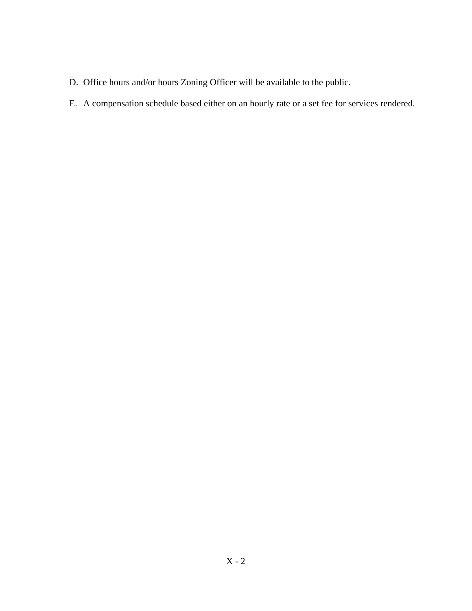- D. Office hours and/or hours Zoning Officer will be available to the public.
- E. A compensation schedule based either on an hourly rate or a set fee for services rendered.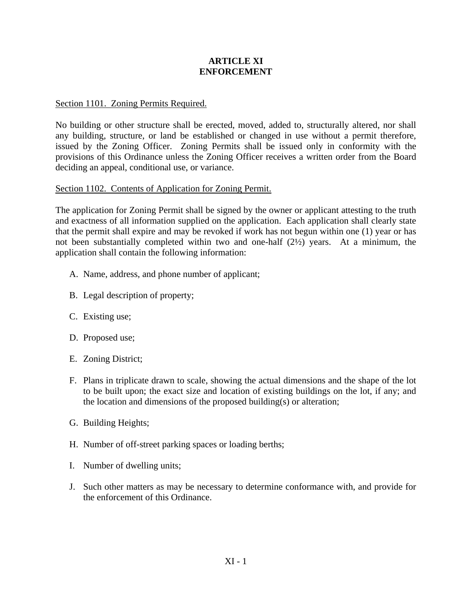## **ARTICLE XI ENFORCEMENT**

## Section 1101. Zoning Permits Required.

No building or other structure shall be erected, moved, added to, structurally altered, nor shall any building, structure, or land be established or changed in use without a permit therefore, issued by the Zoning Officer. Zoning Permits shall be issued only in conformity with the provisions of this Ordinance unless the Zoning Officer receives a written order from the Board deciding an appeal, conditional use, or variance.

## Section 1102. Contents of Application for Zoning Permit.

The application for Zoning Permit shall be signed by the owner or applicant attesting to the truth and exactness of all information supplied on the application. Each application shall clearly state that the permit shall expire and may be revoked if work has not begun within one (1) year or has not been substantially completed within two and one-half (2½) years. At a minimum, the application shall contain the following information:

- A. Name, address, and phone number of applicant;
- B. Legal description of property;
- C. Existing use;
- D. Proposed use;
- E. Zoning District;
- F. Plans in triplicate drawn to scale, showing the actual dimensions and the shape of the lot to be built upon; the exact size and location of existing buildings on the lot, if any; and the location and dimensions of the proposed building(s) or alteration;
- G. Building Heights;
- H. Number of off-street parking spaces or loading berths;
- I. Number of dwelling units;
- J. Such other matters as may be necessary to determine conformance with, and provide for the enforcement of this Ordinance.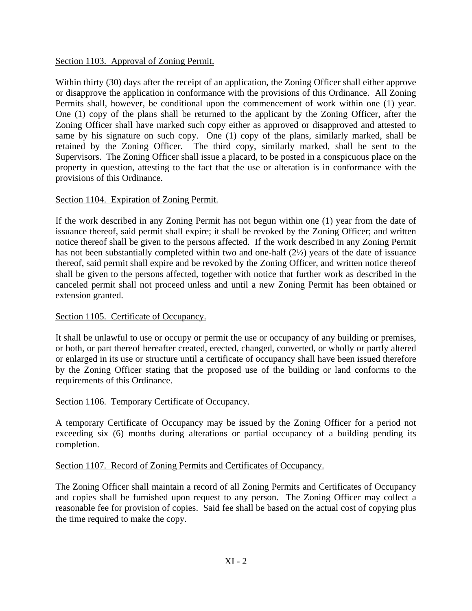## Section 1103. Approval of Zoning Permit.

Within thirty (30) days after the receipt of an application, the Zoning Officer shall either approve or disapprove the application in conformance with the provisions of this Ordinance. All Zoning Permits shall, however, be conditional upon the commencement of work within one (1) year. One (1) copy of the plans shall be returned to the applicant by the Zoning Officer, after the Zoning Officer shall have marked such copy either as approved or disapproved and attested to same by his signature on such copy. One (1) copy of the plans, similarly marked, shall be retained by the Zoning Officer. The third copy, similarly marked, shall be sent to the Supervisors. The Zoning Officer shall issue a placard, to be posted in a conspicuous place on the property in question, attesting to the fact that the use or alteration is in conformance with the provisions of this Ordinance.

## Section 1104. Expiration of Zoning Permit.

If the work described in any Zoning Permit has not begun within one (1) year from the date of issuance thereof, said permit shall expire; it shall be revoked by the Zoning Officer; and written notice thereof shall be given to the persons affected. If the work described in any Zoning Permit has not been substantially completed within two and one-half (2½) years of the date of issuance thereof, said permit shall expire and be revoked by the Zoning Officer, and written notice thereof shall be given to the persons affected, together with notice that further work as described in the canceled permit shall not proceed unless and until a new Zoning Permit has been obtained or extension granted.

## Section 1105. Certificate of Occupancy.

It shall be unlawful to use or occupy or permit the use or occupancy of any building or premises, or both, or part thereof hereafter created, erected, changed, converted, or wholly or partly altered or enlarged in its use or structure until a certificate of occupancy shall have been issued therefore by the Zoning Officer stating that the proposed use of the building or land conforms to the requirements of this Ordinance.

## Section 1106. Temporary Certificate of Occupancy.

A temporary Certificate of Occupancy may be issued by the Zoning Officer for a period not exceeding six (6) months during alterations or partial occupancy of a building pending its completion.

## Section 1107. Record of Zoning Permits and Certificates of Occupancy.

The Zoning Officer shall maintain a record of all Zoning Permits and Certificates of Occupancy and copies shall be furnished upon request to any person. The Zoning Officer may collect a reasonable fee for provision of copies. Said fee shall be based on the actual cost of copying plus the time required to make the copy.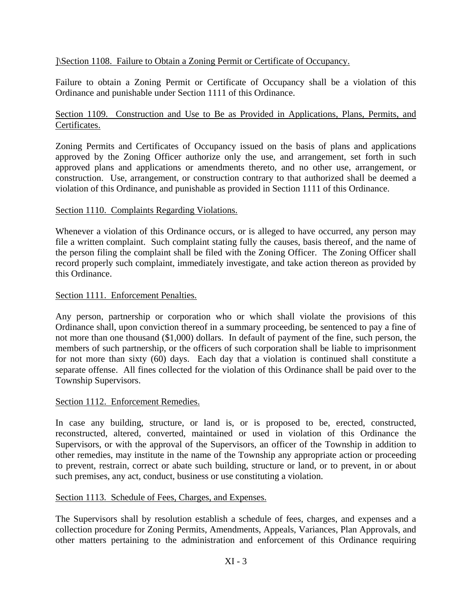## ]\Section 1108. Failure to Obtain a Zoning Permit or Certificate of Occupancy.

Failure to obtain a Zoning Permit or Certificate of Occupancy shall be a violation of this Ordinance and punishable under Section 1111 of this Ordinance.

## Section 1109. Construction and Use to Be as Provided in Applications, Plans, Permits, and Certificates.

Zoning Permits and Certificates of Occupancy issued on the basis of plans and applications approved by the Zoning Officer authorize only the use, and arrangement, set forth in such approved plans and applications or amendments thereto, and no other use, arrangement, or construction. Use, arrangement, or construction contrary to that authorized shall be deemed a violation of this Ordinance, and punishable as provided in Section 1111 of this Ordinance.

## Section 1110. Complaints Regarding Violations.

Whenever a violation of this Ordinance occurs, or is alleged to have occurred, any person may file a written complaint. Such complaint stating fully the causes, basis thereof, and the name of the person filing the complaint shall be filed with the Zoning Officer. The Zoning Officer shall record properly such complaint, immediately investigate, and take action thereon as provided by this Ordinance.

## Section 1111. Enforcement Penalties.

Any person, partnership or corporation who or which shall violate the provisions of this Ordinance shall, upon conviction thereof in a summary proceeding, be sentenced to pay a fine of not more than one thousand (\$1,000) dollars. In default of payment of the fine, such person, the members of such partnership, or the officers of such corporation shall be liable to imprisonment for not more than sixty (60) days. Each day that a violation is continued shall constitute a separate offense. All fines collected for the violation of this Ordinance shall be paid over to the Township Supervisors.

## Section 1112. Enforcement Remedies.

In case any building, structure, or land is, or is proposed to be, erected, constructed, reconstructed, altered, converted, maintained or used in violation of this Ordinance the Supervisors, or with the approval of the Supervisors, an officer of the Township in addition to other remedies, may institute in the name of the Township any appropriate action or proceeding to prevent, restrain, correct or abate such building, structure or land, or to prevent, in or about such premises, any act, conduct, business or use constituting a violation.

## Section 1113. Schedule of Fees, Charges, and Expenses.

The Supervisors shall by resolution establish a schedule of fees, charges, and expenses and a collection procedure for Zoning Permits, Amendments, Appeals, Variances, Plan Approvals, and other matters pertaining to the administration and enforcement of this Ordinance requiring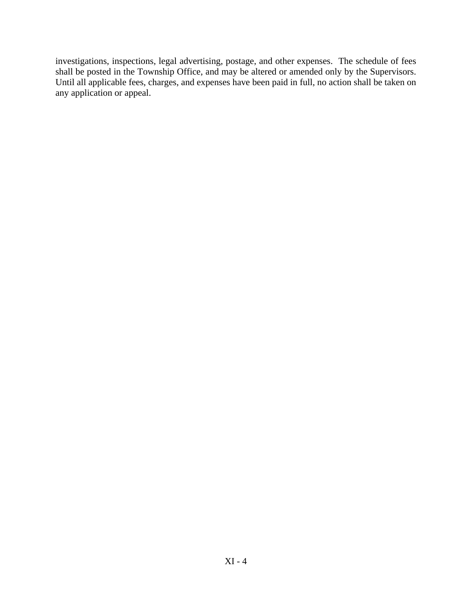investigations, inspections, legal advertising, postage, and other expenses. The schedule of fees shall be posted in the Township Office, and may be altered or amended only by the Supervisors. Until all applicable fees, charges, and expenses have been paid in full, no action shall be taken on any application or appeal.